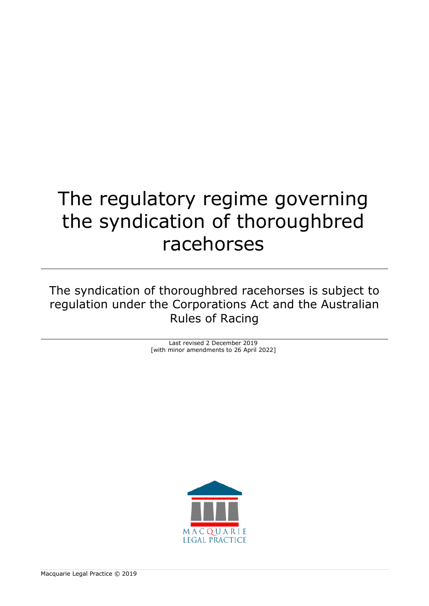# The regulatory regime governing the syndication of thoroughbred racehorses

The syndication of thoroughbred racehorses is subject to regulation under the Corporations Act and the Australian Rules of Racing

> Last revised 2 December 2019 [with minor amendments to 26 April 2022]

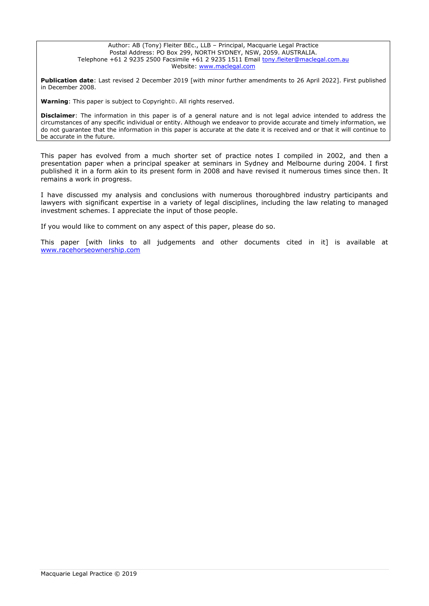#### Author: AB (Tony) Fleiter BEc., LLB – Principal, Macquarie Legal Practice Postal Address: PO Box 299, NORTH SYDNEY, NSW, 2059. AUSTRALIA. Telephone +61 2 9235 2500 Facsimile +61 2 9235 1511 Email [tony.fleiter@maclegal.com.au](mailto:tony.fleiter@maclegal.com.au) Website: [www.maclegal.com](http://www.maclegal.com/)

**Publication date**: Last revised 2 December 2019 [with minor further amendments to 26 April 2022]. First published in December 2008.

**Warning**: This paper is subject to Copyright©. All rights reserved.

**Disclaimer**: The information in this paper is of a general nature and is not legal advice intended to address the circumstances of any specific individual or entity. Although we endeavor to provide accurate and timely information, we do not guarantee that the information in this paper is accurate at the date it is received and or that it will continue to be accurate in the future.

This paper has evolved from a much shorter set of practice notes I compiled in 2002, and then a presentation paper when a principal speaker at seminars in Sydney and Melbourne during 2004. I first published it in a form akin to its present form in 2008 and have revised it numerous times since then. It remains a work in progress.

I have discussed my analysis and conclusions with numerous thoroughbred industry participants and lawyers with significant expertise in a variety of legal disciplines, including the law relating to managed investment schemes. I appreciate the input of those people.

If you would like to comment on any aspect of this paper, please do so.

This paper [with links to all judgements and other documents cited in it] is available at [www.racehorseownership.com](http://www.racehorseownership.com/)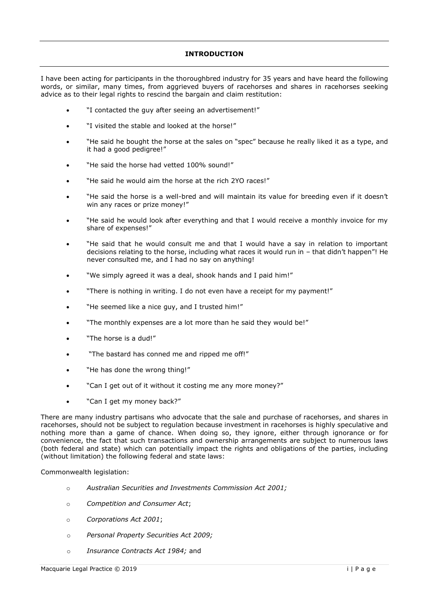# **INTRODUCTION**

I have been acting for participants in the thoroughbred industry for 35 years and have heard the following words, or similar, many times, from aggrieved buyers of racehorses and shares in racehorses seeking advice as to their legal rights to rescind the bargain and claim restitution:

- "I contacted the guy after seeing an advertisement!"
- "I visited the stable and looked at the horse!"
- "He said he bought the horse at the sales on "spec" because he really liked it as a type, and it had a good pedigree!"
- "He said the horse had vetted 100% sound!"
- "He said he would aim the horse at the rich 2YO races!"
- "He said the horse is a well-bred and will maintain its value for breeding even if it doesn't win any races or prize money!"
- "He said he would look after everything and that I would receive a monthly invoice for my share of expenses!"
- "He said that he would consult me and that I would have a say in relation to important decisions relating to the horse, including what races it would run in – that didn't happen"! He never consulted me, and I had no say on anything!
- "We simply agreed it was a deal, shook hands and I paid him!"
- "There is nothing in writing. I do not even have a receipt for my payment!"
- "He seemed like a nice guy, and I trusted him!"
- "The monthly expenses are a lot more than he said they would be!"
- "The horse is a dud!"
- "The bastard has conned me and ripped me off!"
- "He has done the wrong thing!"
- "Can I get out of it without it costing me any more money?"
- "Can I get my money back?"

There are many industry partisans who advocate that the sale and purchase of racehorses, and shares in racehorses, should not be subject to regulation because investment in racehorses is highly speculative and nothing more than a game of chance. When doing so, they ignore, either through ignorance or for convenience, the fact that such transactions and ownership arrangements are subject to numerous laws (both federal and state) which can potentially impact the rights and obligations of the parties, including (without limitation) the following federal and state laws:

Commonwealth legislation:

- o *Australian Securities and Investments Commission Act 2001;*
- o *Competition and Consumer Act*;
- o *Corporations Act 2001*;
- o *Personal Property Securities Act 2009;*
- o *Insurance Contracts Act 1984;* and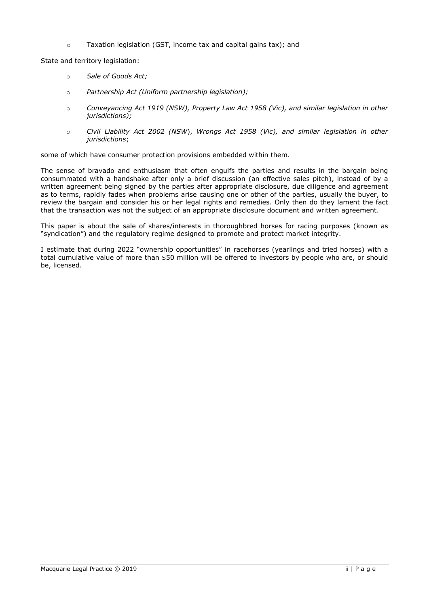o Taxation legislation (GST, income tax and capital gains tax); and

State and territory legislation:

- o *Sale of Goods Act;*
- o *Partnership Act (Uniform partnership legislation);*
- o *Conveyancing Act 1919 (NSW), Property Law Act 1958 (Vic), and similar legislation in other jurisdictions);*
- o *Civil Liability Act 2002 (NSW*), *Wrongs Act 1958 (Vic), and similar legislation in other jurisdictions*;

some of which have consumer protection provisions embedded within them.

The sense of bravado and enthusiasm that often engulfs the parties and results in the bargain being consummated with a handshake after only a brief discussion (an effective sales pitch), instead of by a written agreement being signed by the parties after appropriate disclosure, due diligence and agreement as to terms, rapidly fades when problems arise causing one or other of the parties, usually the buyer, to review the bargain and consider his or her legal rights and remedies. Only then do they lament the fact that the transaction was not the subject of an appropriate disclosure document and written agreement.

This paper is about the sale of shares/interests in thoroughbred horses for racing purposes (known as "syndication") and the regulatory regime designed to promote and protect market integrity.

I estimate that during 2022 "ownership opportunities" in racehorses (yearlings and tried horses) with a total cumulative value of more than \$50 million will be offered to investors by people who are, or should be, licensed.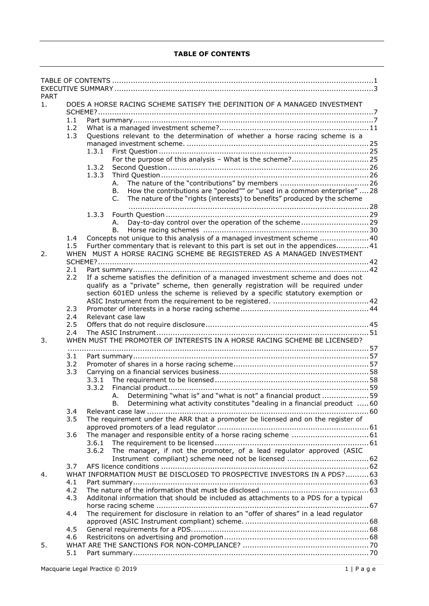# **TABLE OF CONTENTS**

| <b>PART</b> |     |                                                                                                                                                           |  |
|-------------|-----|-----------------------------------------------------------------------------------------------------------------------------------------------------------|--|
| 1.          |     | DOES A HORSE RACING SCHEME SATISFY THE DEFINITION OF A MANAGED INVESTMENT                                                                                 |  |
|             | 1.1 |                                                                                                                                                           |  |
|             | 1.2 |                                                                                                                                                           |  |
|             | 1.3 | Questions relevant to the determination of whether a horse racing scheme is a                                                                             |  |
|             |     |                                                                                                                                                           |  |
|             |     | 1.3.1                                                                                                                                                     |  |
|             |     | 1.3.2                                                                                                                                                     |  |
|             |     | 1.3.3                                                                                                                                                     |  |
|             |     | А.                                                                                                                                                        |  |
|             |     | How the contributions are "pooled"" or "used in a common enterprise"  28<br>В.                                                                            |  |
|             |     | The nature of the "rights (interests) to benefits" produced by the scheme<br>C.                                                                           |  |
|             |     | 1.3.3                                                                                                                                                     |  |
|             |     | А.                                                                                                                                                        |  |
|             |     | В.                                                                                                                                                        |  |
|             | 1.4 | Concepts not unique to this analysis of a managed investment scheme  40                                                                                   |  |
|             | 1.5 | Further commentary that is relevant to this part is set out in the appendices 41<br>WHEN MUST A HORSE RACING SCHEME BE REGISTERED AS A MANAGED INVESTMENT |  |
| 2.          |     |                                                                                                                                                           |  |
|             | 2.1 |                                                                                                                                                           |  |
|             | 2.2 | If a scheme satisfies the definition of a managed investment scheme and does not                                                                          |  |
|             |     | qualify as a "private" scheme, then generally registration will be required under                                                                         |  |
|             |     | section 601ED unless the scheme is relieved by a specific statutory exemption or                                                                          |  |
|             | 2.3 |                                                                                                                                                           |  |
|             | 2.4 | Relevant case law                                                                                                                                         |  |
|             | 2.5 |                                                                                                                                                           |  |
|             | 2.4 |                                                                                                                                                           |  |
| 3.          |     | WHEN MUST THE PROMOTER OF INTERESTS IN A HORSE RACING SCHEME BE LICENSED?                                                                                 |  |
|             | 3.1 |                                                                                                                                                           |  |
|             | 3.2 |                                                                                                                                                           |  |
|             | 3.3 |                                                                                                                                                           |  |
|             |     | 3.3.1                                                                                                                                                     |  |
|             |     |                                                                                                                                                           |  |
|             |     | A. Determining "what is" and "what is not" a financial product 59                                                                                         |  |
|             | 3.4 | Determining what activity constitutes "dealing in a financial preoduct  60<br>В.                                                                          |  |
|             | 3.5 | The requirement under the ARR that a promoter be licensed and on the register of                                                                          |  |
|             |     |                                                                                                                                                           |  |
|             | 3.6 |                                                                                                                                                           |  |
|             |     | 3.6.1                                                                                                                                                     |  |
|             |     | The manager, if not the promoter, of a lead regulator approved (ASIC<br>3.6.2                                                                             |  |
|             | 3.7 |                                                                                                                                                           |  |
| 4.          |     | WHAT INFORMATION MUST BE DISCLOSED TO PROSPECTIVE INVESTORS IN A PDS?  63                                                                                 |  |
|             | 4.1 |                                                                                                                                                           |  |
|             | 4.2 |                                                                                                                                                           |  |
|             | 4.3 | Additonal information that should be included as attachments to a PDS for a typical                                                                       |  |
|             | 4.4 | The requirement for disclosure in relation to an "offer of shares" in a lead regulator                                                                    |  |
|             |     |                                                                                                                                                           |  |
|             | 4.5 |                                                                                                                                                           |  |
|             | 4.6 |                                                                                                                                                           |  |
| 5.          | 5.1 |                                                                                                                                                           |  |
|             |     |                                                                                                                                                           |  |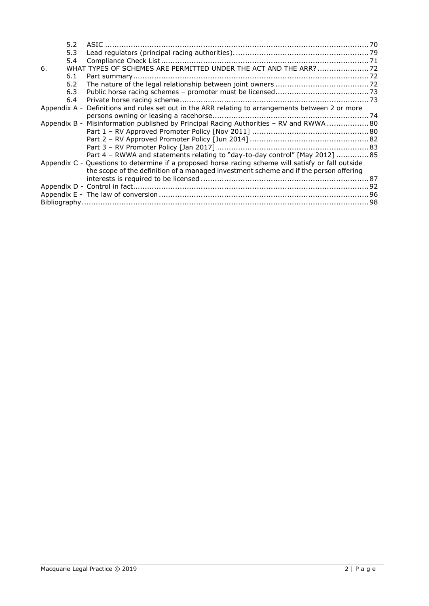|                                                                                                  | 5.2 |                                                                                                    |  |  |
|--------------------------------------------------------------------------------------------------|-----|----------------------------------------------------------------------------------------------------|--|--|
|                                                                                                  | 5.3 |                                                                                                    |  |  |
|                                                                                                  | 5.4 |                                                                                                    |  |  |
| 6.                                                                                               |     | WHAT TYPES OF SCHEMES ARE PERMITTED UNDER THE ACT AND THE ARR?  72                                 |  |  |
|                                                                                                  | 6.1 |                                                                                                    |  |  |
|                                                                                                  | 6.2 |                                                                                                    |  |  |
|                                                                                                  | 6.3 |                                                                                                    |  |  |
|                                                                                                  | 6.4 |                                                                                                    |  |  |
| Appendix A - Definitions and rules set out in the ARR relating to arrangements between 2 or more |     |                                                                                                    |  |  |
|                                                                                                  |     |                                                                                                    |  |  |
|                                                                                                  |     | Appendix B - Misinformation published by Principal Racing Authorities - RV and RWWA  80            |  |  |
|                                                                                                  |     |                                                                                                    |  |  |
|                                                                                                  |     |                                                                                                    |  |  |
|                                                                                                  |     |                                                                                                    |  |  |
|                                                                                                  |     | Part 4 - RWWA and statements relating to "day-to-day control" [May 2012]  85                       |  |  |
|                                                                                                  |     | Appendix C - Questions to determine if a proposed horse racing scheme will satisfy or fall outside |  |  |
|                                                                                                  |     | the scope of the definition of a managed investment scheme and if the person offering              |  |  |
|                                                                                                  |     |                                                                                                    |  |  |
|                                                                                                  |     |                                                                                                    |  |  |
|                                                                                                  |     |                                                                                                    |  |  |
|                                                                                                  |     |                                                                                                    |  |  |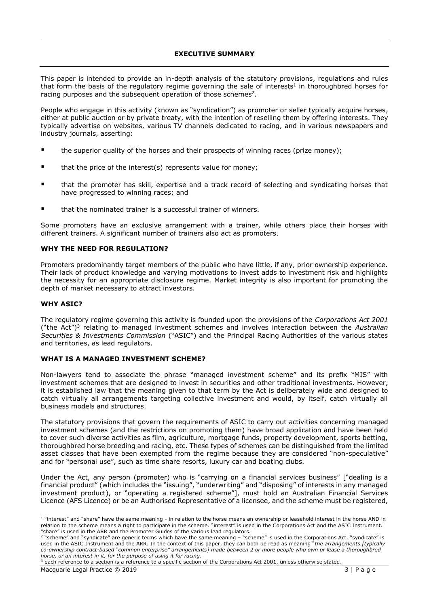# **EXECUTIVE SUMMARY**

This paper is intended to provide an in-depth analysis of the statutory provisions, regulations and rules that form the basis of the regulatory regime governing the sale of interests<sup>1</sup> in thoroughbred horses for racing purposes and the subsequent operation of those schemes<sup>2</sup>.

People who engage in this activity (known as "syndication") as promoter or seller typically acquire horses, either at public auction or by private treaty, with the intention of reselling them by offering interests. They typically advertise on websites, various TV channels dedicated to racing, and in various newspapers and industry journals, asserting:

- the superior quality of the horses and their prospects of winning races (prize money);
- that the price of the interest(s) represents value for money;
- that the promoter has skill, expertise and a track record of selecting and syndicating horses that have progressed to winning races; and
- that the nominated trainer is a successful trainer of winners.

Some promoters have an exclusive arrangement with a trainer, while others place their horses with different trainers. A significant number of trainers also act as promoters.

# **WHY THE NEED FOR REGULATION?**

Promoters predominantly target members of the public who have little, if any, prior ownership experience. Their lack of product knowledge and varying motivations to invest adds to investment risk and highlights the necessity for an appropriate disclosure regime. Market integrity is also important for promoting the depth of market necessary to attract investors.

# **WHY ASIC?**

The regulatory regime governing this activity is founded upon the provisions of the *Corporations Act 2001* ("the Act")<sup>3</sup> relating to managed investment schemes and involves interaction between the *Australian Securities & Investments Commission* ("ASIC") and the Principal Racing Authorities of the various states and territories, as lead regulators.

# **WHAT IS A MANAGED INVESTMENT SCHEME?**

Non-lawyers tend to associate the phrase "managed investment scheme" and its prefix "MIS" with investment schemes that are designed to invest in securities and other traditional investments. However, it is established law that the meaning given to that term by the Act is deliberately wide and designed to catch virtually all arrangements targeting collective investment and would, by itself, catch virtually all business models and structures.

The statutory provisions that govern the requirements of ASIC to carry out activities concerning managed investment schemes (and the restrictions on promoting them) have broad application and have been held to cover such diverse activities as film, agriculture, mortgage funds, property development, sports betting, thoroughbred horse breeding and racing, etc. These types of schemes can be distinguished from the limited asset classes that have been exempted from the regime because they are considered "non-speculative" and for "personal use", such as time share resorts, luxury car and boating clubs.

Under the Act, any person (promoter) who is "carrying on a financial services business" ["dealing is a financial product" (which includes the "issuing", "underwriting" and "disposing" of interests in any managed investment product), or "operating a registered scheme"], must hold an Australian Financial Services Licence (AFS Licence) or be an Authorised Representative of a licensee, and the scheme must be registered,

<sup>1</sup> "interest" and "share" have the same meaning - in relation to the horse means an ownership or leasehold interest in the horse AND in relation to the scheme means a right to participate in the scheme. "interest" is used in the Corporations Act and the ASIC Instrument. "share" is used in the ARR and the Promoter Guides of the various lead regulators.

<sup>&</sup>lt;sup>2</sup> "scheme" and "syndicate" are generic terms which have the same meaning – "scheme" is used in the Corporations Act. "syndicate" is used in the ASIC Instrument and the ARR. In the context of this paper, they can both be read as meaning "*the arrangements [typically co-ownership contract-based "common enterprise" arrangements] made between 2 or more people who own or lease a thoroughbred horse, or an interest in it, for the purpose of using it for racing.* <sup>3</sup> each reference to a section is a reference to a specific section of the Corporations Act 2001, unless otherwise stated.

Macquarie Legal Practice © 2019 3 | P a g e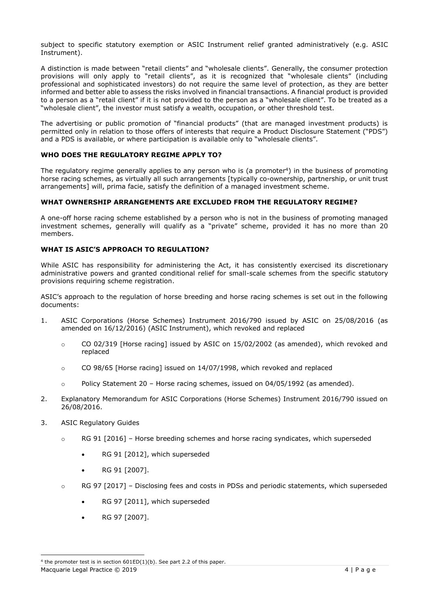subject to specific statutory exemption or ASIC Instrument relief granted administratively (e.g. ASIC Instrument).

A distinction is made between "retail clients" and "wholesale clients". Generally, the consumer protection provisions will only apply to "retail clients", as it is recognized that "wholesale clients" (including professional and sophisticated investors) do not require the same level of protection, as they are better informed and better able to assess the risks involved in financial transactions. A financial product is provided to a person as a "retail client" if it is not provided to the person as a "wholesale client". To be treated as a "wholesale client", the investor must satisfy a wealth, occupation, or other threshold test.

The advertising or public promotion of "financial products" (that are managed investment products) is permitted only in relation to those offers of interests that require a Product Disclosure Statement ("PDS") and a PDS is available, or where participation is available only to "wholesale clients".

# **WHO DOES THE REGULATORY REGIME APPLY TO?**

The regulatory regime generally applies to any person who is (a promoter<sup>4</sup>) in the business of promoting horse racing schemes, as virtually all such arrangements [typically co-ownership, partnership, or unit trust arrangements] will, prima facie, satisfy the definition of a managed investment scheme.

## **WHAT OWNERSHIP ARRANGEMENTS ARE EXCLUDED FROM THE REGULATORY REGIME?**

A one-off horse racing scheme established by a person who is not in the business of promoting managed investment schemes, generally will qualify as a "private" scheme, provided it has no more than 20 members.

# **WHAT IS ASIC'S APPROACH TO REGULATION?**

While ASIC has responsibility for administering the Act, it has consistently exercised its discretionary administrative powers and granted conditional relief for small-scale schemes from the specific statutory provisions requiring scheme registration.

ASIC's approach to the regulation of horse breeding and horse racing schemes is set out in the following documents:

- 1. ASIC Corporations (Horse Schemes) Instrument 2016/790 issued by ASIC on 25/08/2016 (as amended on 16/12/2016) (ASIC Instrument), which revoked and replaced
	- $\degree$  CO 02/319 [Horse racing] issued by ASIC on 15/02/2002 (as amended), which revoked and replaced
	- $\circ$  CO 98/65 [Horse racing] issued on 14/07/1998, which revoked and replaced
	- $\circ$  Policy Statement 20 Horse racing schemes, issued on 04/05/1992 (as amended).
- 2. Explanatory Memorandum for ASIC Corporations (Horse Schemes) Instrument 2016/790 issued on 26/08/2016.
- 3. ASIC Regulatory Guides
	- $\circ$  RG 91 [2016] Horse breeding schemes and horse racing syndicates, which superseded
		- RG 91 [2012], which superseded
		- RG 91 [2007].
	- $\circ$  RG 97 [2017] Disclosing fees and costs in PDSs and periodic statements, which superseded
		- RG 97 [2011], which superseded
		- RG 97 [2007].

Macquarie Legal Practice © 2019 4 | P a g e

<sup>&</sup>lt;sup>4</sup> the promoter test is in section  $601ED(1)(b)$ . See part 2.2 of this paper.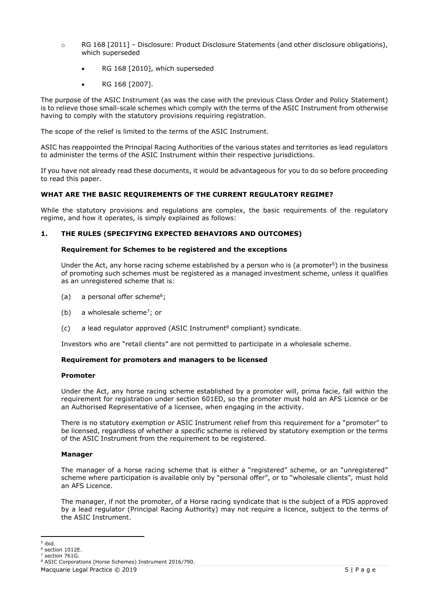- $\circ$  RG 168 [2011] Disclosure: Product Disclosure Statements (and other disclosure obligations), which superseded
	- RG 168 [2010], which superseded
	- RG 168 [2007].

The purpose of the ASIC Instrument (as was the case with the previous Class Order and Policy Statement) is to relieve those small-scale schemes which comply with the terms of the ASIC Instrument from otherwise having to comply with the statutory provisions requiring registration.

The scope of the relief is limited to the terms of the ASIC Instrument.

ASIC has reappointed the Principal Racing Authorities of the various states and territories as lead regulators to administer the terms of the ASIC Instrument within their respective jurisdictions.

If you have not already read these documents, it would be advantageous for you to do so before proceeding to read this paper.

# **WHAT ARE THE BASIC REQUIREMENTS OF THE CURRENT REGULATORY REGIME?**

While the statutory provisions and regulations are complex, the basic requirements of the regulatory regime, and how it operates, is simply explained as follows:

# **1. THE RULES (SPECIFYING EXPECTED BEHAVIORS AND OUTCOMES)**

## **Requirement for Schemes to be registered and the exceptions**

Under the Act, any horse racing scheme established by a person who is (a promoter $5$ ) in the business of promoting such schemes must be registered as a managed investment scheme, unless it qualifies as an unregistered scheme that is:

- (a) a personal offer scheme<sup>6</sup>;
- (b) a wholesale scheme<sup>7</sup>; or
- $(c)$  a lead regulator approved (ASIC Instrument<sup>8</sup> compliant) syndicate.

Investors who are "retail clients" are not permitted to participate in a wholesale scheme.

## **Requirement for promoters and managers to be licensed**

## **Promoter**

Under the Act, any horse racing scheme established by a promoter will, prima facie, fall within the requirement for registration under section 601ED, so the promoter must hold an AFS Licence or be an Authorised Representative of a licensee, when engaging in the activity.

There is no statutory exemption or ASIC Instrument relief from this requirement for a "promoter" to be licensed, regardless of whether a specific scheme is relieved by statutory exemption or the terms of the ASIC Instrument from the requirement to be registered.

## **Manager**

The manager of a horse racing scheme that is either a "registered" scheme, or an "unregistered" scheme where participation is available only by "personal offer", or to "wholesale clients", must hold an AFS Licence.

The manager, if not the promoter, of a Horse racing syndicate that is the subject of a PDS approved by a lead regulator (Principal Racing Authority) may not require a licence, subject to the terms of the ASIC Instrument.

<sup>5</sup> ibid.

 $6$  section  $1012F$ .

section 761G.

<sup>8</sup> ASIC Corporations (Horse Schemes) Instrument 2016/790.

Macquarie Legal Practice © 2019 5 | P a g e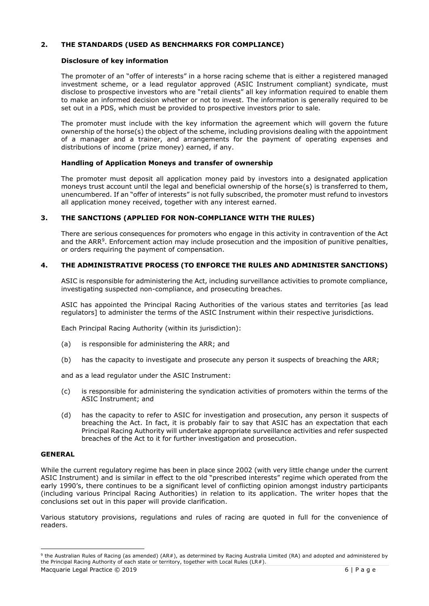# **2. THE STANDARDS (USED AS BENCHMARKS FOR COMPLIANCE)**

#### **Disclosure of key information**

The promoter of an "offer of interests" in a horse racing scheme that is either a registered managed investment scheme, or a lead regulator approved (ASIC Instrument compliant) syndicate, must disclose to prospective investors who are "retail clients" all key information required to enable them to make an informed decision whether or not to invest. The information is generally required to be set out in a PDS, which must be provided to prospective investors prior to sale.

The promoter must include with the key information the agreement which will govern the future ownership of the horse(s) the object of the scheme, including provisions dealing with the appointment of a manager and a trainer, and arrangements for the payment of operating expenses and distributions of income (prize money) earned, if any.

#### **Handling of Application Moneys and transfer of ownership**

The promoter must deposit all application money paid by investors into a designated application moneys trust account until the legal and beneficial ownership of the horse(s) is transferred to them, unencumbered. If an "offer of interests" is not fully subscribed, the promoter must refund to investors all application money received, together with any interest earned.

## **3. THE SANCTIONS (APPLIED FOR NON-COMPLIANCE WITH THE RULES)**

There are serious consequences for promoters who engage in this activity in contravention of the Act and the ARR<sup>9</sup>. Enforcement action may include prosecution and the imposition of punitive penalties, or orders requiring the payment of compensation.

# **4. THE ADMINISTRATIVE PROCESS (TO ENFORCE THE RULES AND ADMINISTER SANCTIONS)**

ASIC is responsible for administering the Act, including surveillance activities to promote compliance, investigating suspected non-compliance, and prosecuting breaches.

ASIC has appointed the Principal Racing Authorities of the various states and territories [as lead regulators] to administer the terms of the ASIC Instrument within their respective jurisdictions.

Each Principal Racing Authority (within its jurisdiction):

- (a) is responsible for administering the ARR; and
- (b) has the capacity to investigate and prosecute any person it suspects of breaching the ARR;

and as a lead regulator under the ASIC Instrument:

- (c) is responsible for administering the syndication activities of promoters within the terms of the ASIC Instrument; and
- (d) has the capacity to refer to ASIC for investigation and prosecution, any person it suspects of breaching the Act. In fact, it is probably fair to say that ASIC has an expectation that each Principal Racing Authority will undertake appropriate surveillance activities and refer suspected breaches of the Act to it for further investigation and prosecution.

#### **GENERAL**

While the current regulatory regime has been in place since 2002 (with very little change under the current ASIC Instrument) and is similar in effect to the old "prescribed interests" regime which operated from the early 1990's, there continues to be a significant level of conflicting opinion amongst industry participants (including various Principal Racing Authorities) in relation to its application. The writer hopes that the conclusions set out in this paper will provide clarification.

Various statutory provisions, regulations and rules of racing are quoted in full for the convenience of readers.

<sup>&</sup>lt;sup>9</sup> the Australian Rules of Racing (as amended) (AR#), as determined by Racing Australia Limited (RA) and adopted and administered by the Principal Racing Authority of each state or territory, together with Local Rules (LR#).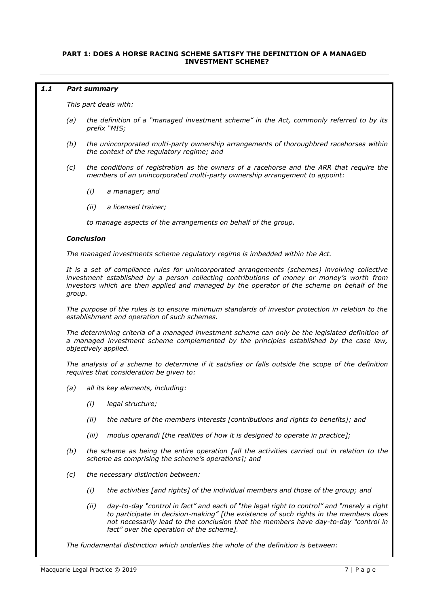## **PART 1: DOES A HORSE RACING SCHEME SATISFY THE DEFINITION OF A MANAGED INVESTMENT SCHEME?**

#### *1.1 Part summary*

*This part deals with:*

- *(a) the definition of a "managed investment scheme" in the Act, commonly referred to by its prefix "MIS;*
- *(b) the unincorporated multi-party ownership arrangements of thoroughbred racehorses within the context of the regulatory regime; and*
- *(c) the conditions of registration as the owners of a racehorse and the ARR that require the members of an unincorporated multi-party ownership arrangement to appoint:*
	- *(i) a manager; and*
	- *(ii) a licensed trainer;*

*to manage aspects of the arrangements on behalf of the group.* 

#### *Conclusion*

*The managed investments scheme regulatory regime is imbedded within the Act.*

*It is a set of compliance rules for unincorporated arrangements (schemes) involving collective investment established by a person collecting contributions of money or money's worth from investors which are then applied and managed by the operator of the scheme on behalf of the group.*

*The purpose of the rules is to ensure minimum standards of investor protection in relation to the establishment and operation of such schemes.*

*The determining criteria of a managed investment scheme can only be the legislated definition of a managed investment scheme complemented by the principles established by the case law, objectively applied.*

*The analysis of a scheme to determine if it satisfies or falls outside the scope of the definition requires that consideration be given to:*

- *(a) all its key elements, including:*
	- *(i) legal structure;*
	- *(ii) the nature of the members interests [contributions and rights to benefits]; and*
	- *(iii) modus operandi [the realities of how it is designed to operate in practice];*
- *(b) the scheme as being the entire operation [all the activities carried out in relation to the scheme as comprising the scheme's operations]; and*
- *(c) the necessary distinction between:*
	- *(i) the activities [and rights] of the individual members and those of the group; and*
	- *(ii) day-to-day "control in fact" and each of "the legal right to control" and "merely a right to participate in decision-making" [the existence of such rights in the members does not necessarily lead to the conclusion that the members have day-to-day "control in fact" over the operation of the scheme].*

*The fundamental distinction which underlies the whole of the definition is between:*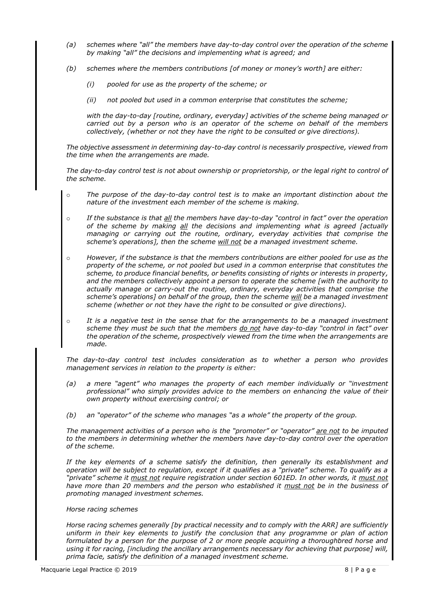- *(a) schemes where "all" the members have day-to-day control over the operation of the scheme by making "all" the decisions and implementing what is agreed; and*
- *(b) schemes where the members contributions [of money or money's worth] are either:*
	- *(i) pooled for use as the property of the scheme; or*
	- *(ii) not pooled but used in a common enterprise that constitutes the scheme;*

*with the day-to-day [routine, ordinary, everyday] activities of the scheme being managed or carried out by a person who is an operator of the scheme on behalf of the members collectively, (whether or not they have the right to be consulted or give directions).*

*The objective assessment in determining day-to-day control is necessarily prospective, viewed from the time when the arrangements are made.*

*The day-to-day control test is not about ownership or proprietorship, or the legal right to control of the scheme.*

- o *The purpose of the day-to-day control test is to make an important distinction about the nature of the investment each member of the scheme is making.*
- o *If the substance is that all the members have day-to-day "control in fact" over the operation of the scheme by making all the decisions and implementing what is agreed [actually managing or carrying out the routine, ordinary, everyday activities that comprise the scheme's operations], then the scheme will not be a managed investment scheme.*
- o *However, if the substance is that the members contributions are either pooled for use as the property of the scheme, or not pooled but used in a common enterprise that constitutes the scheme, to produce financial benefits, or benefits consisting of rights or interests in property, and the members collectively appoint a person to operate the scheme [with the authority to actually manage or carry-out the routine, ordinary, everyday activities that comprise the scheme's operations] on behalf of the group, then the scheme will be a managed investment scheme (whether or not they have the right to be consulted or give directions).*
- o *It is a negative test in the sense that for the arrangements to be a managed investment scheme they must be such that the members do not have day-to-day "control in fact" over the operation of the scheme, prospectively viewed from the time when the arrangements are made.*

*The day-to-day control test includes consideration as to whether a person who provides management services in relation to the property is either:*

- *(a) a mere "agent" who manages the property of each member individually or "investment professional" who simply provides advice to the members on enhancing the value of their own property without exercising control; or*
- *(b) an "operator" of the scheme who manages "as a whole" the property of the group.*

*The management activities of a person who is the "promoter" or "operator" are not to be imputed to the members in determining whether the members have day-to-day control over the operation of the scheme.* 

*If the key elements of a scheme satisfy the definition, then generally its establishment and operation will be subject to regulation, except if it qualifies as a "private" scheme. To qualify as a "private" scheme it must not require registration under section 601ED. In other words, it must not have more than 20 members and the person who established it must not be in the business of promoting managed investment schemes.* 

# *Horse racing schemes*

*Horse racing schemes generally [by practical necessity and to comply with the ARR] are sufficiently uniform in their key elements to justify the conclusion that any programme or plan of action formulated by a person for the purpose of 2 or more people acquiring a thoroughbred horse and using it for racing, [including the ancillary arrangements necessary for achieving that purpose] will, prima facie, satisfy the definition of a managed investment scheme.*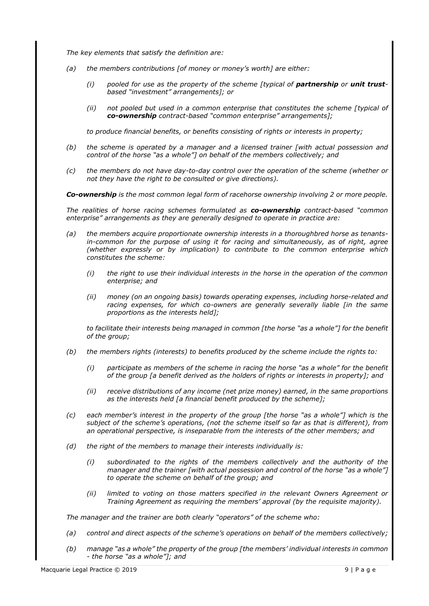*The key elements that satisfy the definition are:*

- *(a) the members contributions [of money or money's worth] are either:*
	- (*i*) pooled for use as the property of the scheme [typical of **partnership** or **unit trust***based "investment" arrangements]; or*
	- *(ii) not pooled but used in a common enterprise that constitutes the scheme [typical of co-ownership contract-based "common enterprise" arrangements];*

*to produce financial benefits, or benefits consisting of rights or interests in property;*

- *(b) the scheme is operated by a manager and a licensed trainer [with actual possession and control of the horse "as a whole"] on behalf of the members collectively; and*
- *(c) the members do not have day-to-day control over the operation of the scheme (whether or not they have the right to be consulted or give directions).*

*Co-ownership is the most common legal form of racehorse ownership involving 2 or more people.*

*The realities of horse racing schemes formulated as co-ownership contract-based "common enterprise" arrangements as they are generally designed to operate in practice are:*

- *(a) the members acquire proportionate ownership interests in a thoroughbred horse as tenantsin-common for the purpose of using it for racing and simultaneously, as of right, agree (whether expressly or by implication) to contribute to the common enterprise which constitutes the scheme:*
	- *(i) the right to use their individual interests in the horse in the operation of the common enterprise; and*
	- *(ii) money (on an ongoing basis) towards operating expenses, including horse-related and racing expenses, for which co-owners are generally severally liable [in the same proportions as the interests held];*

*to facilitate their interests being managed in common [the horse "as a whole"] for the benefit of the group;*

- *(b) the members rights (interests) to benefits produced by the scheme include the rights to:*
	- *(i) participate as members of the scheme in racing the horse "as a whole" for the benefit of the group [a benefit derived as the holders of rights or interests in property]; and*
	- *(ii) receive distributions of any income (net prize money) earned, in the same proportions as the interests held [a financial benefit produced by the scheme];*
- *(c) each member's interest in the property of the group [the horse "as a whole"] which is the subject of the scheme's operations, (not the scheme itself so far as that is different), from an operational perspective, is inseparable from the interests of the other members; and*
- *(d) the right of the members to manage their interests individually is:*
	- *(i) subordinated to the rights of the members collectively and the authority of the manager and the trainer [with actual possession and control of the horse "as a whole"] to operate the scheme on behalf of the group; and*
	- *(ii) limited to voting on those matters specified in the relevant Owners Agreement or Training Agreement as requiring the members' approval (by the requisite majority).*

*The manager and the trainer are both clearly "operators" of the scheme who:*

- *(a) control and direct aspects of the scheme's operations on behalf of the members collectively;*
- *(b) manage "as a whole" the property of the group [the members' individual interests in common - the horse "as a whole"]; and*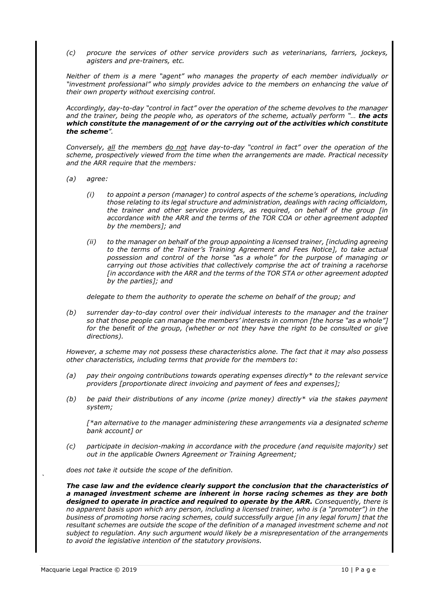*(c) procure the services of other service providers such as veterinarians, farriers, jockeys, agisters and pre-trainers, etc.*

*Neither of them is a mere "agent" who manages the property of each member individually or "investment professional" who simply provides advice to the members on enhancing the value of their own property without exercising control.*

*Accordingly, day-to-day "control in fact" over the operation of the scheme devolves to the manager and the trainer, being the people who, as operators of the scheme, actually perform "… the acts which constitute the management of or the carrying out of the activities which constitute the scheme".*

*Conversely, all the members do not have day-to-day "control in fact" over the operation of the scheme, prospectively viewed from the time when the arrangements are made. Practical necessity and the ARR require that the members:*

- *(a) agree:*
	- *(i) to appoint a person (manager) to control aspects of the scheme's operations, including those relating to its legal structure and administration, dealings with racing officialdom, the trainer and other service providers, as required, on behalf of the group [in accordance with the ARR and the terms of the TOR COA or other agreement adopted by the members]; and*
	- *(ii) to the manager on behalf of the group appointing a licensed trainer, [including agreeing to the terms of the Trainer's Training Agreement and Fees Notice], to take actual possession and control of the horse "as a whole" for the purpose of managing or carrying out those activities that collectively comprise the act of training a racehorse [in accordance with the ARR and the terms of the TOR STA or other agreement adopted by the parties]; and*

*delegate to them the authority to operate the scheme on behalf of the group; and*

*(b) surrender day-to-day control over their individual interests to the manager and the trainer so that those people can manage the members' interests in common [the horse "as a whole"] for the benefit of the group, (whether or not they have the right to be consulted or give directions).*

*However, a scheme may not possess these characteristics alone. The fact that it may also possess other characteristics, including terms that provide for the members to:*

- *(a) pay their ongoing contributions towards operating expenses directly\* to the relevant service providers [proportionate direct invoicing and payment of fees and expenses];*
- *(b) be paid their distributions of any income (prize money) directly\* via the stakes payment system;*

*[\*an alternative to the manager administering these arrangements via a designated scheme bank account] or*

*(c) participate in decision-making in accordance with the procedure (and requisite majority) set out in the applicable Owners Agreement or Training Agreement;*

*does not take it outside the scope of the definition.*

*The case law and the evidence clearly support the conclusion that the characteristics of a managed investment scheme are inherent in horse racing schemes as they are both designed to operate in practice and required to operate by the ARR. Consequently, there is no apparent basis upon which any person, including a licensed trainer, who is (a "promoter") in the business of promoting horse racing schemes, could successfully argue [in any legal forum] that the resultant schemes are outside the scope of the definition of a managed investment scheme and not subject to regulation. Any such argument would likely be a misrepresentation of the arrangements to avoid the legislative intention of the statutory provisions.*

*`*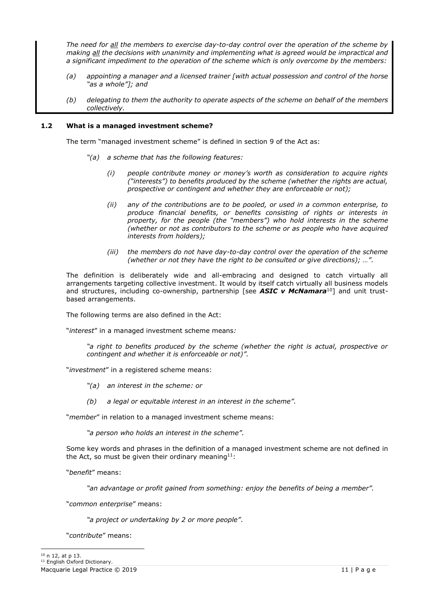*The need for all the members to exercise day-to-day control over the operation of the scheme by making all the decisions with unanimity and implementing what is agreed would be impractical and a significant impediment to the operation of the scheme which is only overcome by the members:*

- *(a) appointing a manager and a licensed trainer [with actual possession and control of the horse "as a whole"]; and*
- *(b) delegating to them the authority to operate aspects of the scheme on behalf of the members collectively.*

## **1.2 What is a managed investment scheme?**

The term "managed investment scheme" is defined in section 9 of the Act as:

- *"(a) a scheme that has the following features:*
	- *(i) people contribute money or money's worth as consideration to acquire rights ("interests") to benefits produced by the scheme (whether the rights are actual, prospective or contingent and whether they are enforceable or not);*
	- *(ii) any of the contributions are to be pooled, or used in a common enterprise, to produce financial benefits, or benefits consisting of rights or interests in property, for the people (the "members") who hold interests in the scheme (whether or not as contributors to the scheme or as people who have acquired interests from holders);*
	- *(iii) the members do not have day-to-day control over the operation of the scheme (whether or not they have the right to be consulted or give directions); …".*

The definition is deliberately wide and all-embracing and designed to catch virtually all arrangements targeting collective investment. It would by itself catch virtually all business models and structures, including co-ownership, partnership [see **ASIC v McNamara**<sup>10</sup>] and unit trustbased arrangements.

The following terms are also defined in the Act:

"*interest*" in a managed investment scheme means*:*

*"a right to benefits produced by the scheme (whether the right is actual, prospective or contingent and whether it is enforceable or not)".*

"*investment*" in a registered scheme means:

- *"(a) an interest in the scheme: or*
- *(b) a legal or equitable interest in an interest in the scheme".*

"*member*" in relation to a managed investment scheme means:

*"a person who holds an interest in the scheme".*

Some key words and phrases in the definition of a managed investment scheme are not defined in the Act, so must be given their ordinary meaning<sup>11</sup>:

"*benefit*" means:

*"an advantage or profit gained from something: enjoy the benefits of being a member".*

"*common enterprise*" means:

*"a project or undertaking by 2 or more people"*.

"*contribute*" means: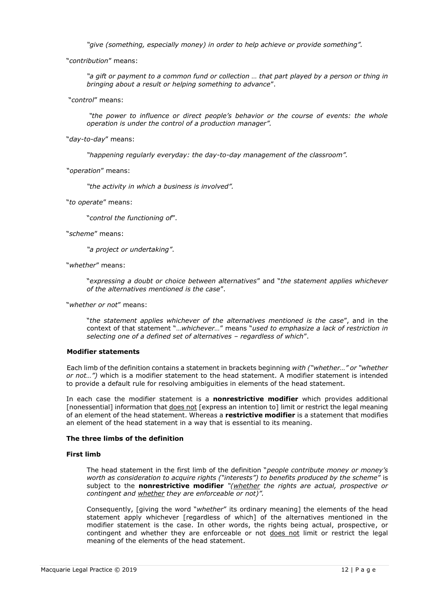*"give (something, especially money) in order to help achieve or provide something".*

"*contribution*" means:

*"a gift or payment to a common fund or collection … that part played by a person or thing in bringing about a result or helping something to advance*".

"*control*" means:

*"the power to influence or direct people's behavior or the course of events: the whole operation is under the control of a production manager".*

"*day-to-day*" means:

*"happening regularly everyday: the day-to-day management of the classroom".*

"*operation*" means:

*"the activity in which a business is involved".*

"*to operate*" means:

"*control the functioning of*".

"*scheme*" means:

*"a project or undertaking"*.

"*whether*" means:

"*expressing a doubt or choice between alternatives*" and "*the statement applies whichever of the alternatives mentioned is the case*".

"*whether or not*" means:

"*the statement applies whichever of the alternatives mentioned is the case*", and in the context of that statement "…*whichever…*" means "*used to emphasize a lack of restriction in selecting one of a defined set of alternatives – regardless of which*".

## **Modifier statements**

Each limb of the definition contains a statement in brackets beginning *with ("whether…" or "whether or not…")* which is a modifier statement to the head statement. A modifier statement is intended to provide a default rule for resolving ambiguities in elements of the head statement.

In each case the modifier statement is a **nonrestrictive modifier** which provides additional [nonessential] information that does not [express an intention to] limit or restrict the legal meaning of an element of the head statement. Whereas a **restrictive modifier** is a statement that modifies an element of the head statement in a way that is essential to its meaning.

#### **The three limbs of the definition**

## **First limb**

The head statement in the first limb of the definition "*people contribute money or money's worth as consideration to acquire rights ("interests") to benefits produced by the scheme*" is subject to the **nonrestrictive modifier** *"(whether the rights are actual, prospective or contingent and whether they are enforceable or not)".*

Consequently, [giving the word "*whether*" its ordinary meaning] the elements of the head statement apply whichever [regardless of which] of the alternatives mentioned in the modifier statement is the case. In other words, the rights being actual, prospective, or contingent and whether they are enforceable or not does not limit or restrict the legal meaning of the elements of the head statement.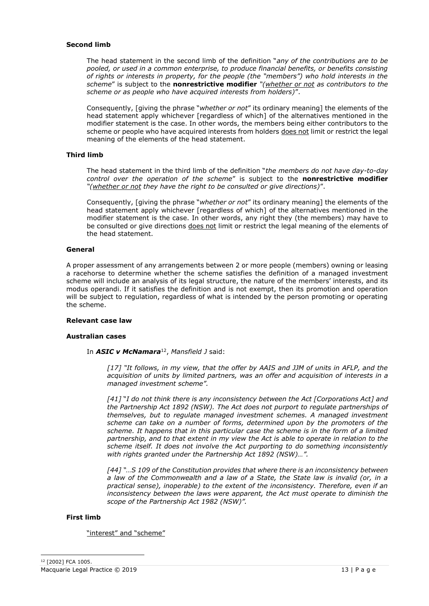## **Second limb**

The head statement in the second limb of the definition "*any of the contributions are to be pooled, or used in a common enterprise, to produce financial benefits, or benefits consisting of rights or interests in property, for the people (the "members") who hold interests in the scheme*" is subject to the **nonrestrictive modifier** *"(whether or not as contributors to the scheme or as people who have acquired interests from holders)*".

Consequently, [giving the phrase "*whether or not*" its ordinary meaning] the elements of the head statement apply whichever [regardless of which] of the alternatives mentioned in the modifier statement is the case. In other words, the members being either contributors to the scheme or people who have acquired interests from holders does not limit or restrict the legal meaning of the elements of the head statement.

# **Third limb**

The head statement in the third limb of the definition "*the members do not have day-to-day control over the operation of the scheme*" is subject to the **nonrestrictive modifier** *"(whether or not they have the right to be consulted or give directions)*".

Consequently, [giving the phrase "*whether or not*" its ordinary meaning] the elements of the head statement apply whichever [regardless of which] of the alternatives mentioned in the modifier statement is the case. In other words, any right they (the members) may have to be consulted or give directions does not limit or restrict the legal meaning of the elements of the head statement.

# **General**

A proper assessment of any arrangements between 2 or more people (members) owning or leasing a racehorse to determine whether the scheme satisfies the definition of a managed investment scheme will include an analysis of its legal structure, the nature of the members' interests, and its modus operandi. If it satisfies the definition and is not exempt, then its promotion and operation will be subject to regulation, regardless of what is intended by the person promoting or operating the scheme.

## **Relevant case law**

#### **Australian cases**

In *ASIC v McNamara*<sup>12</sup> , *Mansfield J* said:

*[17] "It follows, in my view, that the offer by AAIS and JJM of units in AFLP, and the acquisition of units by limited partners, was an offer and acquisition of interests in a managed investment scheme".*

*[41]* "*I do not think there is any inconsistency between the Act [Corporations Act] and the Partnership Act 1892 (NSW). The Act does not purport to regulate partnerships of themselves, but to regulate managed investment schemes. A managed investment scheme can take on a number of forms, determined upon by the promoters of the scheme. It happens that in this particular case the scheme is in the form of a limited partnership, and to that extent in my view the Act is able to operate in relation to the scheme itself. It does not involve the Act purporting to do something inconsistently with rights granted under the Partnership Act 1892 (NSW)…".*

*[44] "…S 109 of the Constitution provides that where there is an inconsistency between a law of the Commonwealth and a law of a State, the State law is invalid (or, in a practical sense), inoperable) to the extent of the inconsistency. Therefore, even if an inconsistency between the laws were apparent, the Act must operate to diminish the scope of the Partnership Act 1982 (NSW)".*

#### **First limb**

"interest" and "scheme"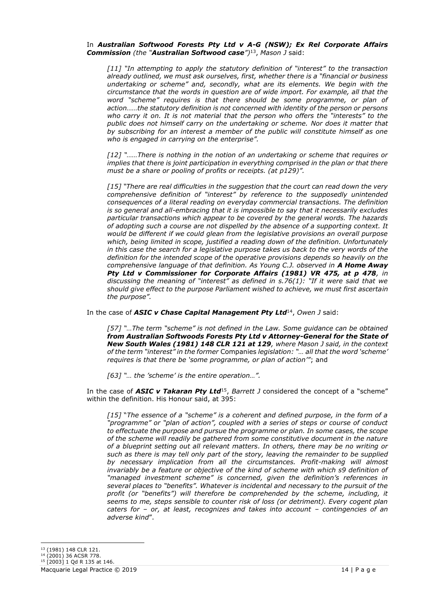#### In *Australian Softwood Forests Pty Ltd v A-G (NSW); Ex Rel Corporate Affairs Commission (the "Australian Softwood case")*<sup>13</sup> , *Mason J* said:

*[11] "In attempting to apply the statutory definition of "interest" to the transaction already outlined, we must ask ourselves, first, whether there is a "financial or business undertaking or scheme" and, secondly, what are its elements. We begin with the circumstance that the words in question are of wide import. For example, all that the*  word "scheme" requires is that there should be some programme, or plan of *action……the statutory definition is not concerned with identity of the person or persons who carry it on. It is not material that the person who offers the "interests" to the public does not himself carry on the undertaking or scheme. Nor does it matter that by subscribing for an interest a member of the public will constitute himself as one who is engaged in carrying on the enterprise".*

*[12] "……There is nothing in the notion of an undertaking or scheme that requires or implies that there is joint participation in everything comprised in the plan or that there must be a share or pooling of profits or receipts. (at p129)".*

*[15] "There are real difficulties in the suggestion that the court can read down the very comprehensive definition of "interest" by reference to the supposedly unintended consequences of a literal reading on everyday commercial transactions. The definition is so general and all-embracing that it is impossible to say that it necessarily excludes particular transactions which appear to be covered by the general words. The hazards of adopting such a course are not dispelled by the absence of a supporting context. It would be different if we could glean from the legislative provisions an overall purpose which, being limited in scope, justified a reading down of the definition. Unfortunately in this case the search for a legislative purpose takes us back to the very words of the definition for the intended scope of the operative provisions depends so heavily on the comprehensive language of that definition. As Young C.J. observed in A Home Away Pty Ltd v Commissioner for Corporate Affairs (1981) VR 475, at p 478, in discussing the meaning of "interest" as defined in s.76(1): "If it were said that we should give effect to the purpose Parliament wished to achieve, we must first ascertain the purpose".*

In the case of *ASIC v Chase Capital Management Pty Ltd*<sup>14</sup> , *Owen J* said:

*[57] "…The term "scheme" is not defined in the Law. Some guidance can be obtained from Australian Softwoods Forests Pty Ltd v Attorney-General for the State of New South Wales (1981) 148 CLR 121 at 129, where Mason J said, in the context of the term "interest" in the former* Companies *legislation: "… all that the word 'scheme' requires is that there be 'some programme, or plan of action'"*; and

*[63] "… the 'scheme' is the entire operation…".*

In the case of *ASIC v Takaran Pty Ltd*<sup>15</sup> , *Barrett J* considered the concept of a "scheme" within the definition. His Honour said, at 395:

*[15]* "*The essence of a "scheme" is a coherent and defined purpose, in the form of a "programme" or "plan of action", coupled with a series of steps or course of conduct to effectuate the purpose and pursue the programme or plan. In some cases, the scope of the scheme will readily be gathered from some constitutive document in the nature of a blueprint setting out all relevant matters. In others, there may be no writing or such as there is may tell only part of the story, leaving the remainder to be supplied by necessary implication from all the circumstances. Profit-making will almost*  invariably be a feature or objective of the kind of scheme with which s9 definition of *"managed investment scheme" is concerned, given the definition's references in several places to "benefits". Whatever is incidental and necessary to the pursuit of the profit (or "benefits") will therefore be comprehended by the scheme, including, it seems to me, steps sensible to counter risk of loss (or detriment). Every cogent plan caters for – or, at least, recognizes and takes into account – contingencies of an adverse kind*".

<sup>13</sup> (1981) 148 CLR 121.

<sup>14</sup> (2001) 36 ACSR 778.  $15$  [2003] 1 Qd R 135 at 146.

Macquarie Legal Practice © 2019 14 | P a g e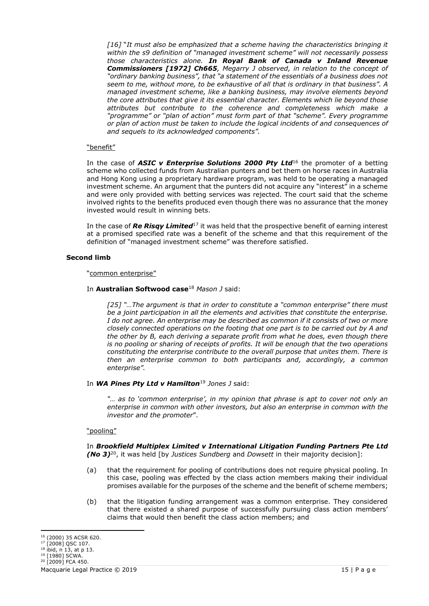*[16]* "*It must also be emphasized that a scheme having the characteristics bringing it within the s9 definition of "managed investment scheme" will not necessarily possess those characteristics alone. In Royal Bank of Canada v Inland Revenue Commissioners [1972] Ch665, Megarry J observed, in relation to the concept of "ordinary banking business", that "a statement of the essentials of a business does not seem to me, without more, to be exhaustive of all that is ordinary in that business". A managed investment scheme, like a banking business, may involve elements beyond the core attributes that give it its essential character. Elements which lie beyond those attributes but contribute to the coherence and completeness which make a "programme" or "plan of action" must form part of that "scheme". Every programme or plan of action must be taken to include the logical incidents of and consequences of and sequels to its acknowledged components".*

#### "benefit"

In the case of *ASIC v Enterprise Solutions 2000 Pty Ltd*<sup>16</sup> the promoter of a betting scheme who collected funds from Australian punters and bet them on horse races in Australia and Hong Kong using a proprietary hardware program, was held to be operating a managed investment scheme. An argument that the punters did not acquire any "interest" in a scheme and were only provided with betting services was rejected. The court said that the scheme involved rights to the benefits produced even though there was no assurance that the money invested would result in winning bets.

In the case of *Re Risqy Limited*<sup>17</sup> it was held that the prospective benefit of earning interest at a promised specified rate was a benefit of the scheme and that this requirement of the definition of "managed investment scheme" was therefore satisfied.

# **Second limb**

#### "common enterprise"

## In **Australian Softwood case**<sup>18</sup> *Mason J* said:

*[25] "…The argument is that in order to constitute a "common enterprise" there must be a joint participation in all the elements and activities that constitute the enterprise. I do not agree. An enterprise may be described as common if it consists of two or more closely connected operations on the footing that one part is to be carried out by A and the other by B, each deriving a separate profit from what he does, even though there is no pooling or sharing of receipts of profits. It will be enough that the two operations constituting the enterprise contribute to the overall purpose that unites them. There is then an enterprise common to both participants and, accordingly, a common enterprise".*

## In *WA Pines Pty Ltd v Hamilton*<sup>19</sup> *Jones J* said:

*"… as to 'common enterprise', in my opinion that phrase is apt to cover not only an enterprise in common with other investors, but also an enterprise in common with the investor and the promoter*".

## "pooling"

In *Brookfield Multiplex Limited v International Litigation Funding Partners Pte Ltd (No 3)*<sup>20</sup> , it was held [by *Justices Sundberg* and *Dowsett* in their majority decision]:

- (a) that the requirement for pooling of contributions does not require physical pooling. In this case, pooling was effected by the class action members making their individual promises available for the purposes of the scheme and the benefit of scheme members;
- (b) that the litigation funding arrangement was a common enterprise. They considered that there existed a shared purpose of successfully pursuing class action members' claims that would then benefit the class action members; and

<sup>16</sup> (2000) 35 ACSR 620.

<sup>&</sup>lt;sup>17</sup> [2008] QSC 107.

 $18$  ibid, n 13, at p 13.

<sup>19</sup> [1980] SCWA.  $20$  [2009] FCA 450.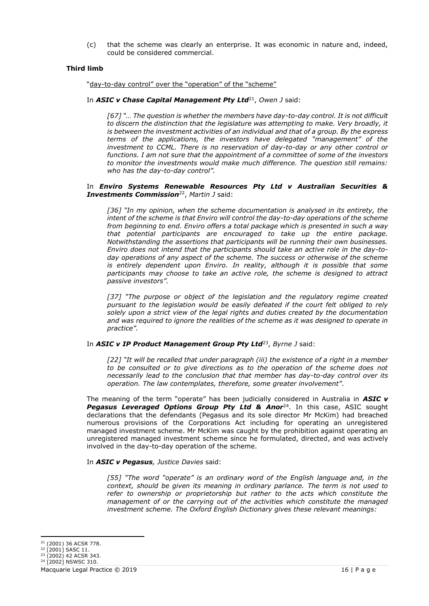(c) that the scheme was clearly an enterprise. It was economic in nature and, indeed, could be considered commercial.

# **Third limb**

"day-to-day control" over the "operation" of the "scheme"

#### In *ASIC v Chase Capital Management Pty Ltd*<sup>21</sup> , *Owen J* said:

 *[67] "… The question is whether the members have day-to-day control. It is not difficult to discern the distinction that the legislature was attempting to make. Very broadly, it is between the investment activities of an individual and that of a group. By the express terms of the applications, the investors have delegated "management" of the*  investment to CCML. There is no reservation of day-to-day or any other control or *functions. I am not sure that the appointment of a committee of some of the investors to monitor the investments would make much difference. The question still remains: who has the day-to-day control".*

#### In *Enviro Systems Renewable Resources Pty Ltd v Australian Securities & Investments Commission*<sup>22</sup> , *Martin J* said:

*[36] "In my opinion, when the scheme documentation is analysed in its entirety, the intent of the scheme is that Enviro will control the day-to-day operations of the scheme from beginning to end. Enviro offers a total package which is presented in such a way that potential participants are encouraged to take up the entire package. Notwithstanding the assertions that participants will be running their own businesses. Enviro does not intend that the participants should take an active role in the day-to*day operations of any aspect of the scheme. The success or otherwise of the scheme *is entirely dependent upon Enviro. In reality, although it is possible that some participants may choose to take an active role, the scheme is designed to attract passive investors".* 

*[37] "The purpose or object of the legislation and the regulatory regime created pursuant to the legislation would be easily defeated if the court felt obliged to rely solely upon a strict view of the legal rights and duties created by the documentation and was required to ignore the realities of the scheme as it was designed to operate in practice".*

## In *ASIC v IP Product Management Group Pty Ltd*<sup>23</sup> , *Byrne J* said:

*[22] "It will be recalled that under paragraph (iii) the existence of a right in a member to be consulted or to give directions as to the operation of the scheme does not necessarily lead to the conclusion that that member has day-to-day control over its operation. The law contemplates, therefore, some greater involvement".*

The meaning of the term "operate" has been judicially considered in Australia in *ASIC v*  **Pegasus Leveraged Options Group Pty Ltd & Anor<sup>24</sup>.** In this case, ASIC sought declarations that the defendants (Pegasus and its sole director Mr McKim) had breached numerous provisions of the Corporations Act including for operating an unregistered managed investment scheme. Mr McKim was caught by the prohibition against operating an unregistered managed investment scheme since he formulated, directed, and was actively involved in the day-to-day operation of the scheme.

#### In *ASIC v Pegasus, Justice Davies* said:

*[55] "The word "operate" is an ordinary word of the English language and, in the context, should be given its meaning in ordinary parlance. The term is not used to*  refer to ownership or proprietorship but rather to the acts which constitute the *management of or the carrying out of the activities which constitute the managed investment scheme. The Oxford English Dictionary gives these relevant meanings:* 

<sup>21</sup> (2001) 36 ACSR 778.

<sup>&</sup>lt;sup>22</sup> [2001] SASC 11.

<sup>23</sup> (2002) 42 ACSR 343.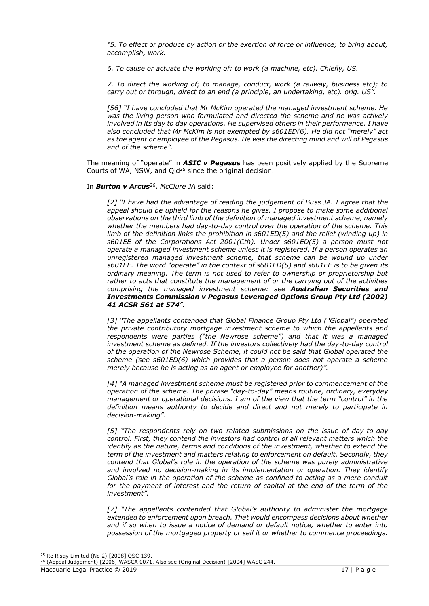*"5. To effect or produce by action or the exertion of force or influence; to bring about, accomplish, work.* 

*6. To cause or actuate the working of; to work (a machine, etc). Chiefly, US.* 

*7. To direct the working of; to manage, conduct, work (a railway, business etc); to carry out or through, direct to an end (a principle, an undertaking, etc). orig. US".* 

*[56] "I have concluded that Mr McKim operated the managed investment scheme. He was the living person who formulated and directed the scheme and he was actively involved in its day to day operations. He supervised others in their performance. I have also concluded that Mr McKim is not exempted by s601ED(6). He did not "merely" act as the agent or employee of the Pegasus. He was the directing mind and will of Pegasus and of the scheme".*

The meaning of "operate" in *ASIC v Pegasus* has been positively applied by the Supreme Courts of WA, NSW, and  $Q$ Id<sup>25</sup> since the original decision.

## In *Burton v Arcus*<sup>26</sup> , *McClure JA* said:

*[2] "I have had the advantage of reading the judgement of Buss JA. I agree that the*  appeal should be upheld for the reasons he gives. I propose to make some additional *observations on the third limb of the definition of managed investment scheme, namely whether the members had day-to-day control over the operation of the scheme. This limb of the definition links the prohibition in s601ED(5) and the relief (winding up) in s601EE of the Corporations Act 2001(Cth). Under s601ED(5) a person must not operate a managed investment scheme unless it is registered. If a person operates an unregistered managed investment scheme, that scheme can be wound up under s601EE. The word "operate" in the context of s601ED(5) and s601EE is to be given its ordinary meaning. The term is not used to refer to ownership or proprietorship but rather to acts that constitute the management of or the carrying out of the activities comprising the managed investment scheme: see Australian Securities and Investments Commission v Pegasus Leveraged Options Group Pty Ltd (2002) 41 ACSR 561 at 574".*

*[3] "The appellants contended that Global Finance Group Pty Ltd ("Global") operated the private contributory mortgage investment scheme to which the appellants and respondents were parties ("the Newrose scheme") and that it was a managed*  investment scheme as defined. If the investors collectively had the day-to-day control *of the operation of the Newrose Scheme, it could not be said that Global operated the scheme (see s601ED(6) which provides that a person does not operate a scheme merely because he is acting as an agent or employee for another)".*

*[4] "A managed investment scheme must be registered prior to commencement of the operation of the scheme. The phrase "day-to-day" means routine, ordinary, everyday management or operational decisions. I am of the view that the term "control" in the definition means authority to decide and direct and not merely to participate in decision-making".*

*[5] "The respondents rely on two related submissions on the issue of day-to-day control. First, they contend the investors had control of all relevant matters which the identify as the nature, terms and conditions of the investment, whether to extend the term of the investment and matters relating to enforcement on default. Secondly, they contend that Global's role in the operation of the scheme was purely administrative and involved no decision-making in its implementation or operation. They identify Global's role in the operation of the scheme as confined to acting as a mere conduit*  for the payment of interest and the return of capital at the end of the term of the *investment".*

*[7] "The appellants contended that Global's authority to administer the mortgage extended to enforcement upon breach. That would encompass decisions about whether and if so when to issue a notice of demand or default notice, whether to enter into possession of the mortgaged property or sell it or whether to commence proceedings.* 

Macquarie Legal Practice © 2019 17 | P a g e

<sup>25</sup> Re Risqy Limited (No 2) [2008] QSC 139.

<sup>&</sup>lt;sup>26</sup> (Appeal Judgement) [2006] WASCA 0071. Also see (Original Decision) [2004] WASC 244.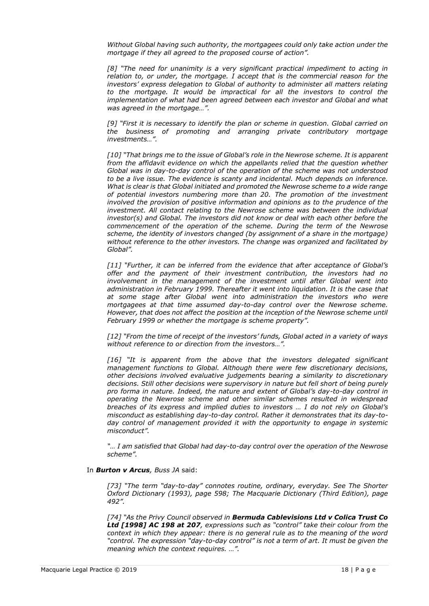*Without Global having such authority, the mortgagees could only take action under the mortgage if they all agreed to the proposed course of action".*

*[8] "The need for unanimity is a very significant practical impediment to acting in relation to, or under, the mortgage. I accept that is the commercial reason for the*  investors' express delegation to Global of authority to administer all matters relating to the mortgage. It would be impractical for all the investors to control the *implementation of what had been agreed between each investor and Global and what was agreed in the mortgage…".*

*[9] "First it is necessary to identify the plan or scheme in question. Global carried on the business of promoting and arranging private contributory mortgage investments…".*

*[10] "That brings me to the issue of Global's role in the Newrose scheme. It is apparent from the affidavit evidence on which the appellants relied that the question whether Global was in day-to-day control of the operation of the scheme was not understood to be a live issue. The evidence is scanty and incidental. Much depends on inference. What is clear is that Global initiated and promoted the Newrose scheme to a wide range of potential investors numbering more than 20. The promotion of the investment involved the provision of positive information and opinions as to the prudence of the* investment. All contact relating to the Newrose scheme was between the individual *investor(s) and Global. The investors did not know or deal with each other before the commencement of the operation of the scheme. During the term of the Newrose scheme, the identity of investors changed (by assignment of a share in the mortgage) without reference to the other investors. The change was organized and facilitated by Global".*

*[11] "Further, it can be inferred from the evidence that after acceptance of Global's offer and the payment of their investment contribution, the investors had no involvement in the management of the investment until after Global went into administration in February 1999. Thereafter it went into liquidation. It is the case that at some stage after Global went into administration the investors who were mortgagees at that time assumed day-to-day control over the Newrose scheme. However, that does not affect the position at the inception of the Newrose scheme until February 1999 or whether the mortgage is scheme property".*

*[12] "From the time of receipt of the investors' funds, Global acted in a variety of ways without reference to or direction from the investors…".*

*[16] "It is apparent from the above that the investors delegated significant management functions to Global. Although there were few discretionary decisions, other decisions involved evaluative judgements bearing a similarity to discretionary decisions. Still other decisions were supervisory in nature but fell short of being purely pro forma in nature. Indeed, the nature and extent of Global's day-to-day control in operating the Newrose scheme and other similar schemes resulted in widespread breaches of its express and implied duties to investors … I do not rely on Global's misconduct as establishing day-to-day control. Rather it demonstrates that its day-to*day control of management provided it with the opportunity to engage in systemic *misconduct".* 

*"… I am satisfied that Global had day-to-day control over the operation of the Newrose scheme".*

## In *Burton v Arcus, Buss JA* said:

*[73] "The term "day-to-day" connotes routine, ordinary, everyday. See The Shorter Oxford Dictionary (1993), page 598; The Macquarie Dictionary (Third Edition), page 492".*

*[74] "As the Privy Council observed in Bermuda Cablevisions Ltd v Colica Trust Co Ltd [1998] AC 198 at 207, expressions such as "control" take their colour from the context in which they appear: there is no general rule as to the meaning of the word "control. The expression "day-to-day control" is not a term of art. It must be given the meaning which the context requires. …".*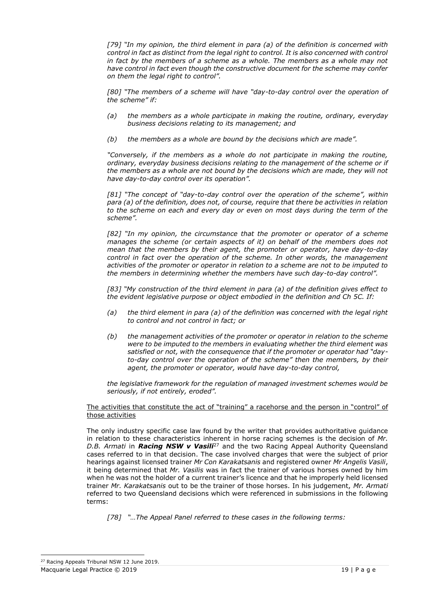*[79] "In my opinion, the third element in para (a) of the definition is concerned with control in fact as distinct from the legal right to control. It is also concerned with control*  in fact by the members of a scheme as a whole. The members as a whole may not *have control in fact even though the constructive document for the scheme may confer on them the legal right to control".*

*[80] "The members of a scheme will have "day-to-day control over the operation of the scheme" if:*

- *(a) the members as a whole participate in making the routine, ordinary, everyday business decisions relating to its management; and*
- *(b) the members as a whole are bound by the decisions which are made".*

*"Conversely, if the members as a whole do not participate in making the routine, ordinary, everyday business decisions relating to the management of the scheme or if the members as a whole are not bound by the decisions which are made, they will not have day-to-day control over its operation".*

*[81] "The concept of "day-to-day control over the operation of the scheme", within para (a) of the definition, does not, of course, require that there be activities in relation to the scheme on each and every day or even on most days during the term of the scheme".* 

*[82] "In my opinion, the circumstance that the promoter or operator of a scheme manages the scheme (or certain aspects of it) on behalf of the members does not mean that the members by their agent, the promoter or operator, have day-to-day control in fact over the operation of the scheme. In other words, the management activities of the promoter or operator in relation to a scheme are not to be imputed to the members in determining whether the members have such day-to-day control".*

*[83] "My construction of the third element in para (a) of the definition gives effect to the evident legislative purpose or object embodied in the definition and Ch 5C. If:*

- *(a) the third element in para (a) of the definition was concerned with the legal right to control and not control in fact; or*
- *(b) the management activities of the promoter or operator in relation to the scheme were to be imputed to the members in evaluating whether the third element was satisfied or not, with the consequence that if the promoter or operator had "dayto-day control over the operation of the scheme" then the members, by their agent, the promoter or operator, would have day-to-day control,*

*the legislative framework for the regulation of managed investment schemes would be seriously, if not entirely, eroded".*

#### The activities that constitute the act of "training" a racehorse and the person in "control" of those activities

The only industry specific case law found by the writer that provides authoritative guidance in relation to these characteristics inherent in horse racing schemes is the decision of *Mr. D.B. Armati* in *Racing NSW v Vasili*<sup>27</sup> and the two Racing Appeal Authority Queensland cases referred to in that decision. The case involved charges that were the subject of prior hearings against licensed trainer *Mr Con Karakatsanis* and registered owner *Mr Angelis Vasili*, it being determined that *Mr. Vasilis* was in fact the trainer of various horses owned by him when he was not the holder of a current trainer's licence and that he improperly held licensed trainer *Mr. Karakatsanis* out to be the trainer of those horses. In his judgement, *Mr. Armati* referred to two Queensland decisions which were referenced in submissions in the following terms:

*[78] "…The Appeal Panel referred to these cases in the following terms:*

Macquarie Legal Practice © 2019 19 | P a g e <sup>27</sup> Racing Appeals Tribunal NSW 12 June 2019.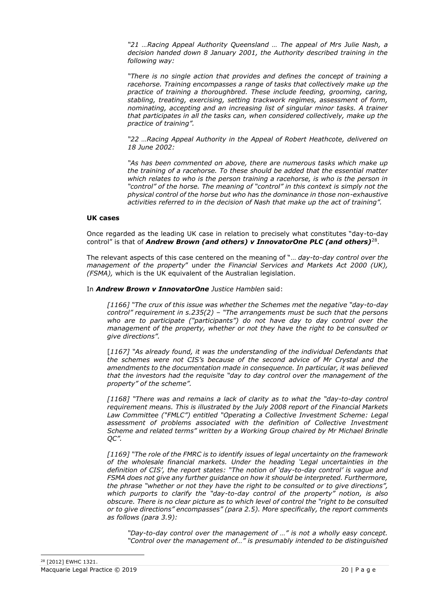*"21 …Racing Appeal Authority Queensland … The appeal of Mrs Julie Nash, a decision handed down 8 January 2001, the Authority described training in the following way:*

*"There is no single action that provides and defines the concept of training a racehorse. Training encompasses a range of tasks that collectively make up the practice of training a thoroughbred. These include feeding, grooming, caring, stabling, treating, exercising, setting trackwork regimes, assessment of form, nominating, accepting and an increasing list of singular minor tasks. A trainer that participates in all the tasks can, when considered collectively, make up the practice of training".*

*"22 …Racing Appeal Authority in the Appeal of Robert Heathcote, delivered on 18 June 2002:*

*"As has been commented on above, there are numerous tasks which make up the training of a racehorse. To these should be added that the essential matter which relates to who is the person training a racehorse, is who is the person in "control" of the horse. The meaning of "control" in this context is simply not the physical control of the horse but who has the dominance in those non-exhaustive activities referred to in the decision of Nash that make up the act of training".*

## **UK cases**

Once regarded as the leading UK case in relation to precisely what constitutes "day-to-day control" is that of *Andrew Brown (and others) v InnovatorOne PLC (and others)*<sup>28</sup> .

The relevant aspects of this case centered on the meaning of "… *day-to-day control over the management of the property*" under *the Financial Services and Markets Act 2000 (UK), (FSMA),* which is the UK equivalent of the Australian legislation.

#### In *Andrew Brown v InnovatorOne Justice Hamblen* said:

*[1166] "The crux of this issue was whether the Schemes met the negative "day-to-day control" requirement in s.235(2) – "The arrangements must be such that the persons who are to participate ("participants") do not have day to day control over the management of the property, whether or not they have the right to be consulted or give directions".*

[*1167] "As already found, it was the understanding of the individual Defendants that the schemes were not CIS's because of the second advice of Mr Crystal and the amendments to the documentation made in consequence. In particular, it was believed that the investors had the requisite "day to day control over the management of the property" of the scheme".*

*[1168] "There was and remains a lack of clarity as to what the "day-to-day control requirement means. This is illustrated by the July 2008 report of the Financial Markets Law Committee ("FMLC") entitled "Operating a Collective Investment Scheme: Legal assessment of problems associated with the definition of Collective Investment Scheme and related terms" written by a Working Group chaired by Mr Michael Brindle QC".*

*[1169] "The role of the FMRC is to identify issues of legal uncertainty on the framework of the wholesale financial markets. Under the heading 'Legal uncertainties in the definition of CIS', the report states: "The notion of 'day-to-day control' is vague and FSMA does not give any further guidance on how it should be interpreted. Furthermore, the phrase "whether or not they have the right to be consulted or to give directions", which purports to clarify the "day-to-day control of the property" notion, is also obscure. There is no clear picture as to which level of control the "right to be consulted or to give directions" encompasses" (para 2.5). More specifically, the report comments as follows (para 3.9):*

*"Day-to-day control over the management of …" is not a wholly easy concept. "Control over the management of…" is presumably intended to be distinguished*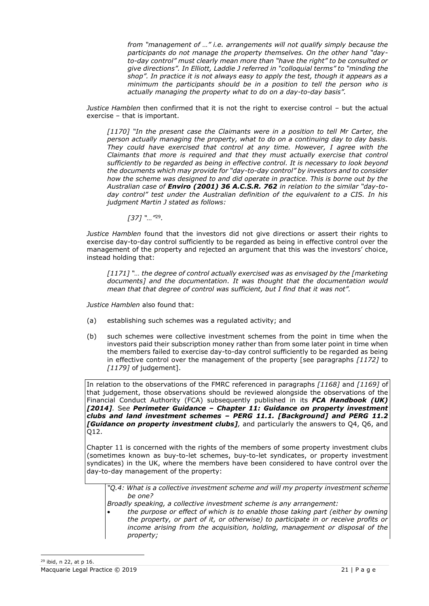*from "management of …" i.e. arrangements will not qualify simply because the participants do not manage the property themselves. On the other hand "dayto-day control" must clearly mean more than "have the right" to be consulted or give directions". In Elliott, Laddie J referred in "colloquial terms" to "minding the shop". In practice it is not always easy to apply the test, though it appears as a minimum the participants should be in a position to tell the person who is actually managing the property what to do on a day-to-day basis".*

*Justice Hamblen* then confirmed that it is not the right to exercise control – but the actual exercise – that is important.

*[1170] "In the present case the Claimants were in a position to tell Mr Carter, the person actually managing the property, what to do on a continuing day to day basis. They could have exercised that control at any time. However, I agree with the Claimants that more is required and that they must actually exercise that control sufficiently to be regarded as being in effective control. It is necessary to look beyond the documents which may provide for "day-to-day control" by investors and to consider how the scheme was designed to and did operate in practice. This is borne out by the Australian case of Enviro (2001) 36 A.C.S.R. 762 in relation to the similar "day-today control" test under the Australian definition of the equivalent to a CIS. In his judgment Martin J stated as follows:*

*[37] "…"* 29 *.*

*Justice Hamblen* found that the investors did not give directions or assert their rights to exercise day-to-day control sufficiently to be regarded as being in effective control over the management of the property and rejected an argument that this was the investors' choice, instead holding that:

*[1171] "… the degree of control actually exercised was as envisaged by the [marketing documents] and the documentation. It was thought that the documentation would mean that that degree of control was sufficient, but I find that it was not".*

*Justice Hamblen* also found that:

- (a) establishing such schemes was a regulated activity; and
- (b) such schemes were collective investment schemes from the point in time when the investors paid their subscription money rather than from some later point in time when the members failed to exercise day-to-day control sufficiently to be regarded as being in effective control over the management of the property [see paragraphs *[1172]* to *[1179]* of judgement].

In relation to the observations of the FMRC referenced in paragraphs *[1168]* and *[1169]* of that judgement, those observations should be reviewed alongside the observations of the Financial Conduct Authority (FCA) subsequently published in its *FCA Handbook (UK) [2014].* Se*e Perimeter Guidance – Chapter 11: Guidance on property investment clubs and land investment schemes – PERG 11.1. [Background] and PERG 11.2 [Guidance on property investment clubs],* and particularly the answers to Q4, Q6, and Q12.

Chapter 11 is concerned with the rights of the members of some property investment clubs (sometimes known as buy-to-let schemes, buy-to-let syndicates, or property investment syndicates) in the UK, where the members have been considered to have control over the day-to-day management of the property:

*"Q.4: What is a collective investment scheme and will my property investment scheme be one?*

- *Broadly speaking, a collective investment scheme is any arrangement:*
	- *the purpose or effect of which is to enable those taking part (either by owning the property, or part of it, or otherwise) to participate in or receive profits or income arising from the acquisition, holding, management or disposal of the property;*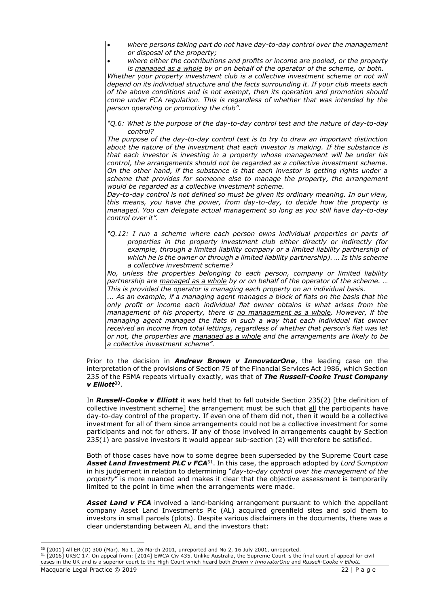- *where persons taking part do not have day-to-day control over the management or disposal of the property;*
- *where either the contributions and profits or income are pooled, or the property is managed as a whole by or on behalf of the operator of the scheme, or both.*

*Whether your property investment club is a collective investment scheme or not will depend on its individual structure and the facts surrounding it. If your club meets each of the above conditions and is not exempt, then its operation and promotion should come under FCA regulation. This is regardless of whether that was intended by the person operating or promoting the club".*

*"Q.6: What is the purpose of the day-to-day control test and the nature of day-to-day control?*

*The purpose of the day-to-day control test is to try to draw an important distinction about the nature of the investment that each investor is making. If the substance is that each investor is investing in a property whose management will be under his control, the arrangements should not be regarded as a collective investment scheme. On the other hand, if the substance is that each investor is getting rights under a scheme that provides for someone else to manage the property, the arrangement would be regarded as a collective investment scheme.*

*Day-to-day control is not defined so must be given its ordinary meaning. In our view, this means, you have the power, from day-to-day, to decide how the property is managed. You can delegate actual management so long as you still have day-to-day control over it".*

"Q.12: I run a scheme where each person owns individual properties or parts of *properties in the property investment club either directly or indirectly (for example, through a limited liability company or a limited liability partnership of which he is the owner or through a limited liability partnership). … Is this scheme a collective investment scheme?* 

*No, unless the properties belonging to each person, company or limited liability partnership are managed as a whole by or on behalf of the operator of the scheme. … This is provided the operator is managing each property on an individual basis.*

*... As an example, if a managing agent manages a block of flats on the basis that the only profit or income each individual flat owner obtains is what arises from the management of his property, there is no management as a whole. However, if the managing agent managed the flats in such a way that each individual flat owner received an income from total lettings, regardless of whether that person's flat was let or not, the properties are managed as a whole and the arrangements are likely to be a collective investment scheme".*

Prior to the decision in *Andrew Brown v InnovatorOne*, the leading case on the interpretation of the provisions of Section 75 of the Financial Services Act 1986, which Section 235 of the FSMA repeats virtually exactly, was that of *The Russell-Cooke Trust Company v Elliott*<sup>30</sup> .

In *Russell-Cooke v Elliott* it was held that to fall outside Section 235(2) [the definition of collective investment scheme] the arrangement must be such that all the participants have day-to-day control of the property. If even one of them did not, then it would be a collective investment for all of them since arrangements could not be a collective investment for some participants and not for others. If any of those involved in arrangements caught by Section 235(1) are passive investors it would appear sub-section (2) will therefore be satisfied.

Both of those cases have now to some degree been superseded by the Supreme Court case *Asset Land Investment PLC v FCA*<sup>31</sup>. In this case, the approach adopted by *Lord Sumption*  in his judgement in relation to determining "*day-to-day control over the management of the property*" is more nuanced and makes it clear that the objective assessment is temporarily limited to the point in time when the arrangements were made.

**Asset Land v FCA** involved a land-banking arrangement pursuant to which the appellant company Asset Land Investments Plc (AL) acquired greenfield sites and sold them to investors in small parcels (plots). Despite various disclaimers in the documents, there was a clear understanding between AL and the investors that:

 $30$  [2001] All ER (D) 300 (Mar). No 1, 26 March 2001, unreported and No 2, 16 July 2001, unreported.

<sup>31 [2016]</sup> UKSC 17. On appeal from: [2014] EWCA Civ 435. Unlike Australia, the Supreme Court is the final court of appeal for civil cases in the UK and is a superior court to the High Court which heard both *Brown v InnovatorOne* and *Russell-Cooke v Elliott.*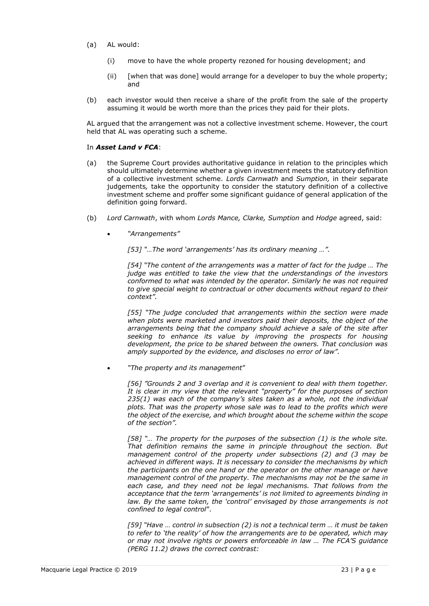- (a) AL would:
	- (i) move to have the whole property rezoned for housing development; and
	- (ii) [when that was done] would arrange for a developer to buy the whole property; and
- (b) each investor would then receive a share of the profit from the sale of the property assuming it would be worth more than the prices they paid for their plots.

AL argued that the arrangement was not a collective investment scheme. However, the court held that AL was operating such a scheme.

#### In *Asset Land v FCA*:

- (a) the Supreme Court provides authoritative guidance in relation to the principles which should ultimately determine whether a given investment meets the statutory definition of a collective investment scheme. *Lords Carnwath* and *Sumption,* in their separate judgements*,* take the opportunity to consider the statutory definition of a collective investment scheme and proffer some significant guidance of general application of the definition going forward.
- (b) *Lord Carnwath*, with whom *Lords Mance, Clarke, Sumption* and *Hodge* agreed, said:
	- *"Arrangements"*

*[53] "…The word 'arrangements' has its ordinary meaning …".*

*[54] "The content of the arrangements was a matter of fact for the judge … The judge was entitled to take the view that the understandings of the investors conformed to what was intended by the operator. Similarly he was not required to give special weight to contractual or other documents without regard to their context".*

*[55] "The judge concluded that arrangements within the section were made when plots were marketed and investors paid their deposits, the object of the arrangements being that the company should achieve a sale of the site after seeking to enhance its value by improving the prospects for housing development, the price to be shared between the owners. That conclusion was amply supported by the evidence, and discloses no error of law".*

• *"The property and its management*"

*[56] "Grounds 2 and 3 overlap and it is convenient to deal with them together. It is clear in my view that the relevant "property" for the purposes of section 235(1) was each of the company's sites taken as a whole, not the individual plots. That was the property whose sale was to lead to the profits which were the object of the exercise, and which brought about the scheme within the scope of the section".*

*[58] "… The property for the purposes of the subsection (1) is the whole site. That definition remains the same in principle throughout the section. But management control of the property under subsections (2) and (3 may be achieved in different ways. It is necessary to consider the mechanisms by which the participants on the one hand or the operator on the other manage or have management control of the property. The mechanisms may not be the same in each case, and they need not be legal mechanisms. That follows from the acceptance that the term 'arrangements' is not limited to agreements binding in law. By the same token, the 'control' envisaged by those arrangements is not confined to legal control*".

*[59] "Have … control in subsection (2) is not a technical term … it must be taken to refer to 'the reality' of how the arrangements are to be operated, which may or may not involve rights or powers enforceable in law … The FCA'S guidance (PERG 11.2) draws the correct contrast:*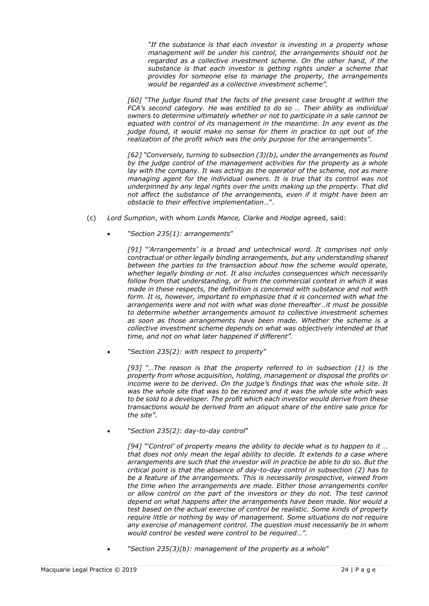*"If the substance is that each investor is investing in a property whose management will be under his control, the arrangements should not be regarded as a collective investment scheme. On the other hand, if the substance is that each investor is getting rights under a scheme that provides for someone else to manage the property, the arrangements would be regarded as a collective investment scheme".* 

*[60] "The judge found that the facts of the present case brought it within the FCA's second category. He was entitled to do so … Their ability as individual owners to determine ultimately whether or not to participate in a sale cannot be equated with control of its management in the meantime. In any event as the judge found, it would make no sense for them in practice to opt out of the realization of the profit which was the only purpose for the arrangements".*

*[62] "Conversely, turning to subsection (3)(b), under the arrangements as found by the judge control of the management activities for the property as a whole lay with the company. It was acting as the operator of the scheme, not as mere managing agent for the individual owners. It is true that its control was not underpinned by any legal rights over the units making up the property. That did not affect the substance of the arrangements, even if it might have been an obstacle to their effective implementation…*".

- (c) *Lord Sumption*, with whom *Lords Mance, Clarke* and *Hodge* agreed, said:
	- *"Section 235(1): arrangements*"

*[91] "'Arrangements' is a broad and untechnical word. It comprises not only contractual or other legally binding arrangements, but any understanding shared between the parties to the transaction about how the scheme would operate, whether legally binding or not. It also includes consequences which necessarily follow from that understanding, or from the commercial context in which it was made in these respects, the definition is concerned with substance and not with form. It is, however, important to emphasize that it is concerned with what the arrangements were and not with what was done thereafter…it must be possible to determine whether arrangements amount to collective investment schemes as soon as those arrangements have been made. Whether the scheme is a collective investment scheme depends on what was objectively intended at that time, and not on what later happened if different".*

• *"Section 235(2): with respect to property*"

*[93] "…The reason is that the property referred to in subsection (1) is the property from whose acquisition, holding, management or disposal the profits or income were to be derived. On the judge's findings that was the whole site. It was the whole site that was to be rezoned and it was the whole site which was to be sold to a developer. The profit which each investor would derive from these transactions would be derived from an aliquot share of the entire sale price for the site".*

• *"Section 235(2): day-to-day control*"

*[94] "'Control' of property means the ability to decide what is to happen to it … that does not only mean the legal ability to decide. It extends to a case where arrangements are such that the investor will in practice be able to do so. But the critical point is that the absence of day-to-day control in subsection (2) has to be a feature of the arrangements. This is necessarily prospective, viewed from the time when the arrangements are made. Either those arrangements confer or allow control on the part of the investors or they do not. The test cannot depend on what happens after the arrangements have been made. Nor would a test based on the actual exercise of control be realistic. Some kinds of property require little or nothing by way of management. Some situations do not require any exercise of management control. The question must necessarily be in whom would control be vested were control to be required…".*

• *"Section 235(3)(b): management of the property as a whole*"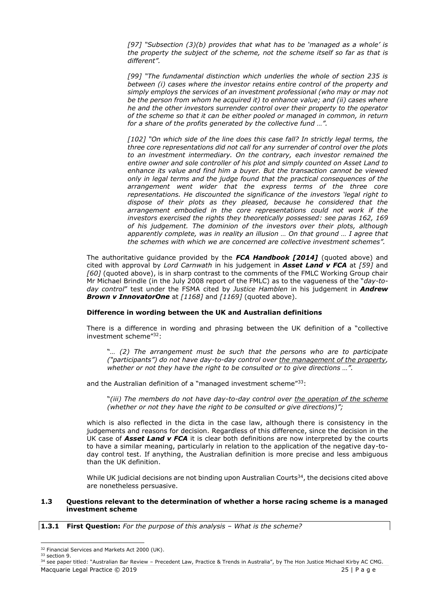*[97] "Subsection (3)(b) provides that what has to be 'managed as a whole' is the property the subject of the scheme, not the scheme itself so far as that is different".*

*[99] "The fundamental distinction which underlies the whole of section 235 is between (i) cases where the investor retains entire control of the property and simply employs the services of an investment professional (who may or may not be the person from whom he acquired it) to enhance value; and (ii) cases where he and the other investors surrender control over their property to the operator of the scheme so that it can be either pooled or managed in common, in return for a share of the profits generated by the collective fund …".*

*[102] "On which side of the line does this case fall? In strictly legal terms, the three core representations did not call for any surrender of control over the plots to an investment intermediary. On the contrary, each investor remained the entire owner and sole controller of his plot and simply counted on Asset Land to enhance its value and find him a buyer. But the transaction cannot be viewed only in legal terms and the judge found that the practical consequences of the arrangement went wider that the express terms of the three core representations. He discounted the significance of the investors 'legal right to dispose of their plots as they pleased, because he considered that the arrangement embodied in the core representations could not work if the investors exercised the rights they theoretically possessed: see paras 162, 169 of his judgement. The dominion of the investors over their plots, although apparently complete, was in reality an illusion … On that ground … I agree that the schemes with which we are concerned are collective investment schemes".*

The authoritative guidance provided by the *FCA Handbook [2014]* (quoted above) and cited with approval by *Lord Carnwath* in his judgement in *Asset Land v FCA* at *[59]* and *[60]* (quoted above), is in sharp contrast to the comments of the FMLC Working Group chair Mr Michael Brindle (in the July 2008 report of the FMLC) as to the vagueness of the "*day-today control*" test under the FSMA cited by *Justice Hamblen* in his judgement in *Andrew Brown v InnovatorOne* at *[1168]* and *[1169]* (quoted above).

## **Difference in wording between the UK and Australian definitions**

There is a difference in wording and phrasing between the UK definition of a "collective investment scheme"<sup>32</sup>:

"*… (2) The arrangement must be such that the persons who are to participate ("participants") do not have day-to-day control over the management of the property,*  whether or not they have the right to be consulted or to give directions ...".

and the Australian definition of a "managed investment scheme"<sup>33</sup>:

"*(iii) The members do not have day-to-day control over the operation of the scheme (whether or not they have the right to be consulted or give directions)";*

which is also reflected in the dicta in the case law, although there is consistency in the judgements and reasons for decision. Regardless of this difference, since the decision in the UK case of *Asset Land v FCA* it is clear both definitions are now interpreted by the courts to have a similar meaning, particularly in relation to the application of the negative day-today control test. If anything, the Australian definition is more precise and less ambiguous than the UK definition.

While UK judicial decisions are not binding upon Australian Courts $34$ , the decisions cited above are nonetheless persuasive.

## **1.3 Questions relevant to the determination of whether a horse racing scheme is a managed investment scheme**

**1.3.1 First Question:** *For the purpose of this analysis – What is the scheme?*

<sup>&</sup>lt;sup>32</sup> Financial Services and Markets Act 2000 (UK). <sup>33</sup> section 9.

Macquarie Legal Practice © 2019 25 | P a g e <sup>34</sup> see paper titled: "Australian Bar Review - Precedent Law, Practice & Trends in Australia", by The Hon Justice Michael Kirby AC CMG.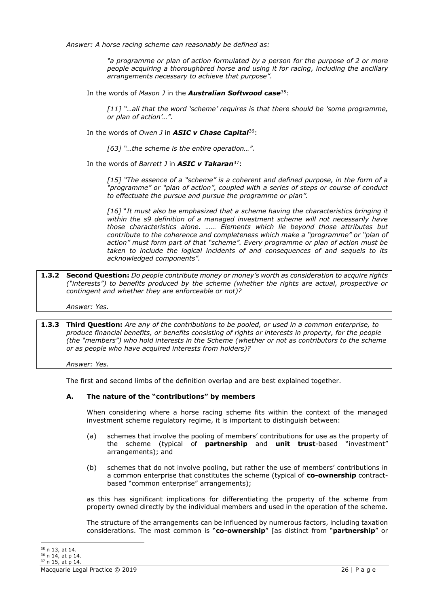*Answer: A horse racing scheme can reasonably be defined as:*

*"a programme or plan of action formulated by a person for the purpose of 2 or more people acquiring a thoroughbred horse and using it for racing, including the ancillary arrangements necessary to achieve that purpose".*

In the words of *Mason J* in the *Australian Softwood case*<sup>35</sup>:

*[11] "…all that the word 'scheme' requires is that there should be 'some programme, or plan of action'…".*

In the words of *Owen J* in *ASIC v Chase Capital*<sup>36</sup>:

*[63] "…the scheme is the entire operation…".*

In the words of *Barrett J* in *ASIC v Takaran*<sup>37</sup>:

*[15] "The essence of a "scheme" is a coherent and defined purpose, in the form of a "programme" or "plan of action", coupled with a series of steps or course of conduct to effectuate the pursue and pursue the programme or plan".*

*[16]* "*It must also be emphasized that a scheme having the characteristics bringing it within the s9 definition of a managed investment scheme will not necessarily have those characteristics alone. …… Elements which lie beyond those attributes but contribute to the coherence and completeness which make a "programme" or "plan of action" must form part of that "scheme". Every programme or plan of action must be taken to include the logical incidents of and consequences of and sequels to its acknowledged components".* 

**1.3.2 Second Question:** *Do people contribute money or money's worth as consideration to acquire rights ("interests") to benefits produced by the scheme (whether the rights are actual, prospective or contingent and whether they are enforceable or not)?*

*Answer: Yes.*

**1.3.3 Third Question:** *Are any of the contributions to be pooled, or used in a common enterprise, to produce financial benefits, or benefits consisting of rights or interests in property, for the people (the "members") who hold interests in the Scheme (whether or not as contributors to the scheme or as people who have acquired interests from holders)?*

*Answer: Yes.*

The first and second limbs of the definition overlap and are best explained together.

## **A. The nature of the "contributions" by members**

When considering where a horse racing scheme fits within the context of the managed investment scheme regulatory regime, it is important to distinguish between:

- (a) schemes that involve the pooling of members' contributions for use as the property of the scheme (typical of **partnership** and **unit trust**-based "investment" arrangements); and
- (b) schemes that do not involve pooling, but rather the use of members' contributions in a common enterprise that constitutes the scheme (typical of **co-ownership** contractbased "common enterprise" arrangements);

as this has significant implications for differentiating the property of the scheme from property owned directly by the individual members and used in the operation of the scheme.

The structure of the arrangements can be influenced by numerous factors, including taxation considerations. The most common is "**co-ownership**" [as distinct from "**partnership**" or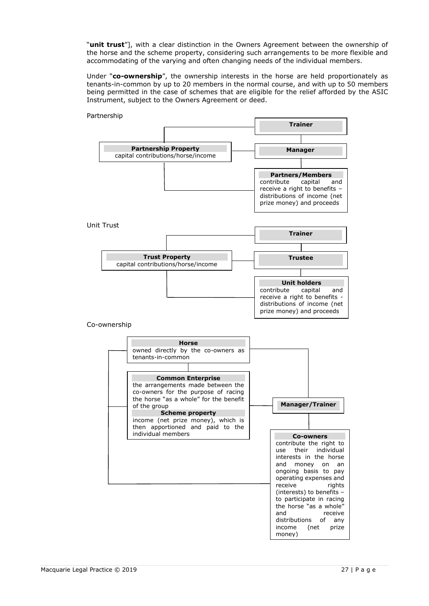"**unit trust**"], with a clear distinction in the Owners Agreement between the ownership of the horse and the scheme property, considering such arrangements to be more flexible and accommodating of the varying and often changing needs of the individual members.

Under "**co-ownership**", the ownership interests in the horse are held proportionately as tenants-in-common by up to 20 members in the normal course, and with up to 50 members being permitted in the case of schemes that are eligible for the relief afforded by the ASIC Instrument, subject to the Owners Agreement or deed.

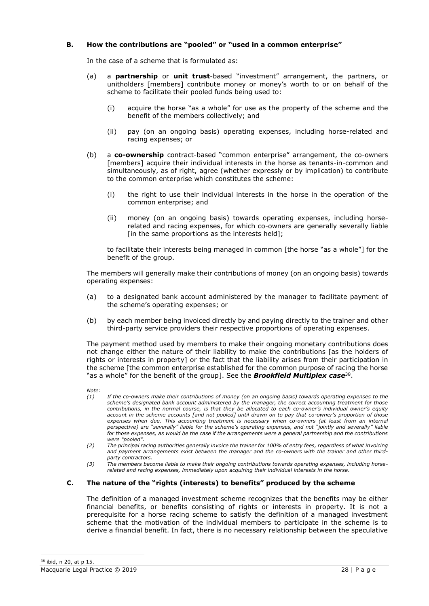# **B. How the contributions are "pooled" or "used in a common enterprise"**

In the case of a scheme that is formulated as:

- (a) a **partnership** or **unit trust**-based "investment" arrangement, the partners, or unitholders [members] contribute money or money's worth to or on behalf of the scheme to facilitate their pooled funds being used to:
	- (i) acquire the horse "as a whole" for use as the property of the scheme and the benefit of the members collectively; and
	- (ii) pay (on an ongoing basis) operating expenses, including horse-related and racing expenses; or
- (b) a **co-ownership** contract-based "common enterprise" arrangement, the co-owners [members] acquire their individual interests in the horse as tenants-in-common and simultaneously, as of right, agree (whether expressly or by implication) to contribute to the common enterprise which constitutes the scheme:
	- (i) the right to use their individual interests in the horse in the operation of the common enterprise; and
	- (ii) money (on an ongoing basis) towards operating expenses, including horserelated and racing expenses, for which co-owners are generally severally liable [in the same proportions as the interests held];

to facilitate their interests being managed in common [the horse "as a whole"] for the benefit of the group.

The members will generally make their contributions of money (on an ongoing basis) towards operating expenses:

- (a) to a designated bank account administered by the manager to facilitate payment of the scheme's operating expenses; or
- (b) by each member being invoiced directly by and paying directly to the trainer and other third-party service providers their respective proportions of operating expenses.

The payment method used by members to make their ongoing monetary contributions does not change either the nature of their liability to make the contributions [as the holders of rights or interests in property] or the fact that the liability arises from their participation in the scheme [the common enterprise established for the common purpose of racing the horse "as a whole" for the benefit of the group]. See the *Brookfield Multiplex case*<sup>38</sup> .

- *Note:*
- *(1) If the co-owners make their contributions of money (on an ongoing basis) towards operating expenses to the scheme's designated bank account administered by the manager, the correct accounting treatment for those contributions, in the normal course, is that they be allocated to each co-owner's individual owner's equity account in the scheme accounts [and not pooled] until drawn on to pay that co-owner's proportion of those expenses when due. This accounting treatment is necessary when co-owners (at least from an internal perspective) are "severally" liable for the scheme's operating expenses, and not "jointly and severally" liable for those expenses, as would be the case if the arrangements were a general partnership and the contributions were "pooled".*
- *(2) The principal racing authorities generally invoice the trainer for 100% of entry fees, regardless of what invoicing and payment arrangements exist between the manager and the co-owners with the trainer and other thirdparty contractors.*
- *(3) The members become liable to make their ongoing contributions towards operating expenses, including horserelated and racing expenses, immediately upon acquiring their individual interests in the horse.*

# **C. The nature of the "rights (interests) to benefits" produced by the scheme**

The definition of a managed investment scheme recognizes that the benefits may be either financial benefits, or benefits consisting of rights or interests in property. It is not a prerequisite for a horse racing scheme to satisfy the definition of a managed investment scheme that the motivation of the individual members to participate in the scheme is to derive a financial benefit. In fact, there is no necessary relationship between the speculative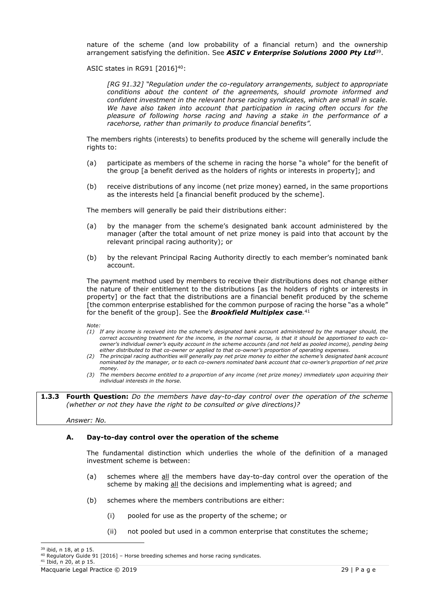nature of the scheme (and low probability of a financial return) and the ownership arrangement satisfying the definition. See *ASIC v Enterprise Solutions 2000 Pty Ltd*<sup>39</sup> .

ASIC states in RG91 [2016]<sup>40</sup>:

*[RG 91.32] "Regulation under the co-regulatory arrangements, subject to appropriate conditions about the content of the agreements, should promote informed and confident investment in the relevant horse racing syndicates, which are small in scale. We have also taken into account that participation in racing often occurs for the pleasure of following horse racing and having a stake in the performance of a racehorse, rather than primarily to produce financial benefits".*

The members rights (interests) to benefits produced by the scheme will generally include the rights to:

- (a) participate as members of the scheme in racing the horse "a whole" for the benefit of the group [a benefit derived as the holders of rights or interests in property]; and
- (b) receive distributions of any income (net prize money) earned, in the same proportions as the interests held [a financial benefit produced by the scheme].

The members will generally be paid their distributions either:

- (a) by the manager from the scheme's designated bank account administered by the manager (after the total amount of net prize money is paid into that account by the relevant principal racing authority); or
- (b) by the relevant Principal Racing Authority directly to each member's nominated bank account.

The payment method used by members to receive their distributions does not change either the nature of their entitlement to the distributions [as the holders of rights or interests in property] or the fact that the distributions are a financial benefit produced by the scheme [the common enterprise established for the common purpose of racing the horse "as a whole" for the benefit of the group]. See the *Brookfield Multiplex case.* 41

*Note:* 

- *(1) If any income is received into the scheme's designated bank account administered by the manager should, the correct accounting treatment for the income, in the normal course, is that it should be apportioned to each coowner's individual owner's equity account in the scheme accounts (and not held as pooled income), pending being either distributed to that co-owner or applied to that co-owner's proportion of operating expenses.*
- *(2) The principal racing authorities will generally pay net prize money to either the scheme's designated bank account nominated by the manager, or to each co-owners nominated bank account that co-owner's proportion of net prize money.*
- *(3) The members become entitled to a proportion of any income (net prize money) immediately upon acquiring their individual interests in the horse.*

**1.3.3 Fourth Question:** *Do the members have day-to-day control over the operation of the scheme (whether or not they have the right to be consulted or give directions)?*

*Answer: No.*

## **A. Day-to-day control over the operation of the scheme**

The fundamental distinction which underlies the whole of the definition of a managed investment scheme is between:

- (a) schemes where  $all$  the members have day-to-day control over the operation of the scheme by making all the decisions and implementing what is agreed; and
- (b) schemes where the members contributions are either:
	- (i) pooled for use as the property of the scheme; or
	- (ii) not pooled but used in a common enterprise that constitutes the scheme;

 $39$  ibid, n 18, at n 15.

<sup>40</sup> Regulatory Guide 91 [2016] – Horse breeding schemes and horse racing syndicates.

<sup>41</sup> Ibid, n 20, at p 15.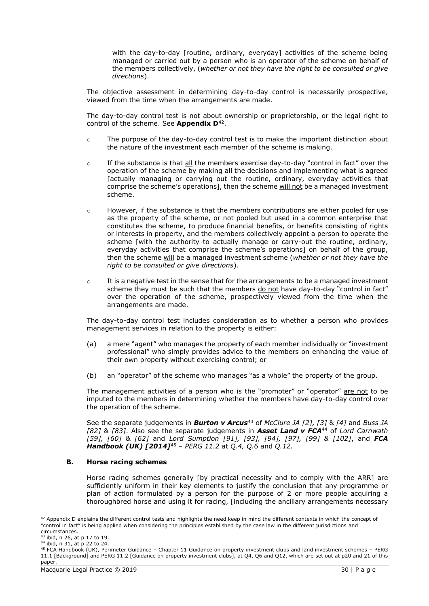with the day-to-day [routine, ordinary, everyday] activities of the scheme being managed or carried out by a person who is an operator of the scheme on behalf of the members collectively, (*whether or not they have the right to be consulted or give directions*).

The objective assessment in determining day-to-day control is necessarily prospective, viewed from the time when the arrangements are made.

The day-to-day control test is not about ownership or proprietorship, or the legal right to control of the scheme. See **Appendix D**<sup>42</sup> .

- o The purpose of the day-to-day control test is to make the important distinction about the nature of the investment each member of the scheme is making.
- $\circ$  If the substance is that  $all$  the members exercise day-to-day "control in fact" over the operation of the scheme by making all the decisions and implementing what is agreed [actually managing or carrying out the routine, ordinary, everyday activities that comprise the scheme's operations], then the scheme will not be a managed investment scheme.
- o However, if the substance is that the members contributions are either pooled for use as the property of the scheme, or not pooled but used in a common enterprise that constitutes the scheme, to produce financial benefits, or benefits consisting of rights or interests in property, and the members collectively appoint a person to operate the scheme [with the authority to actually manage or carry-out the routine, ordinary, everyday activities that comprise the scheme's operations] on behalf of the group, then the scheme will be a managed investment scheme (*whether or not they have the right to be consulted or give directions*).
- $\circ$  It is a negative test in the sense that for the arrangements to be a managed investment scheme they must be such that the members do not have day-to-day "control in fact" over the operation of the scheme, prospectively viewed from the time when the arrangements are made.

The day-to-day control test includes consideration as to whether a person who provides management services in relation to the property is either:

- (a) a mere "agent" who manages the property of each member individually or "investment professional" who simply provides advice to the members on enhancing the value of their own property without exercising control; or
- (b) an "operator" of the scheme who manages "as a whole" the property of the group.

The management activities of a person who is the "promoter" or "operator" are not to be imputed to the members in determining whether the members have day-to-day control over the operation of the scheme.

See the separate judgements in *Burton v Arcus*<sup>43</sup> of *McClure JA [2], [3]* & *[4]* and *Buss JA [82]* & *[83]*. Also see the separate judgements in *Asset Land v FCA*<sup>44</sup> of *Lord Carnwath [59], [60]* & *[62]* and *Lord Sumption [91], [93], [94], [97], [99] & [102]*, and *FCA Handbook (UK) [2014]*<sup>45</sup> *– PERG 11.2* at *Q.4, Q.6* and *Q.12.*

## **B. Horse racing schemes**

Horse racing schemes generally [by practical necessity and to comply with the ARR] are sufficiently uniform in their key elements to justify the conclusion that any programme or plan of action formulated by a person for the purpose of 2 or more people acquiring a thoroughbred horse and using it for racing, [including the ancillary arrangements necessary

<sup>42</sup> Appendix D explains the different control tests and highlights the need keep in mind the different contexts in which the concept of "control in fact" is being applied when considering the principles established by the case law in the different jurisdictions and

circumstances.

<sup>43</sup> ibid, n 26, at p 17 to 19.

<sup>44</sup> ibid, n 31, at p 22 to 24.

<sup>45</sup> FCA Handbook (UK), Perimeter Guidance – Chapter 11 Guidance on property investment clubs and land investment schemes – PERG 11.1 [Background] and PERG 11.2 [Guidance on property investment clubs], at Q4, Q6 and Q12, which are set out at p20 and 21 of this paper.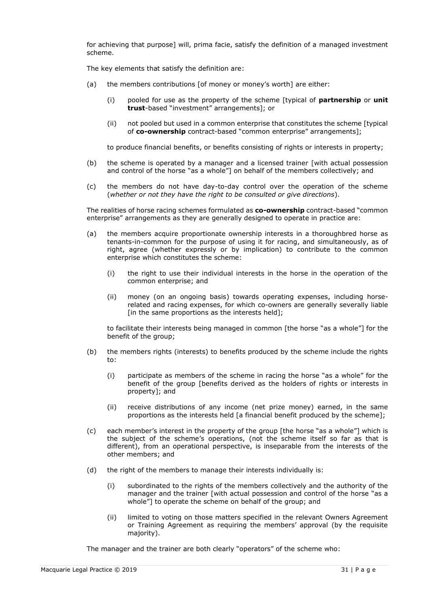for achieving that purpose] will, prima facie, satisfy the definition of a managed investment scheme.

The key elements that satisfy the definition are:

- (a) the members contributions [of money or money's worth] are either:
	- (i) pooled for use as the property of the scheme [typical of **partnership** or **unit trust**-based "investment" arrangements]; or
	- (ii) not pooled but used in a common enterprise that constitutes the scheme [typical of **co-ownership** contract-based "common enterprise" arrangements];

to produce financial benefits, or benefits consisting of rights or interests in property;

- (b) the scheme is operated by a manager and a licensed trainer [with actual possession and control of the horse "as a whole"] on behalf of the members collectively; and
- (c) the members do not have day-to-day control over the operation of the scheme (*whether or not they have the right to be consulted or give directions*).

The realities of horse racing schemes formulated as **co-ownership** contract-based "common enterprise" arrangements as they are generally designed to operate in practice are:

- (a) the members acquire proportionate ownership interests in a thoroughbred horse as tenants-in-common for the purpose of using it for racing, and simultaneously, as of right, agree (whether expressly or by implication) to contribute to the common enterprise which constitutes the scheme:
	- (i) the right to use their individual interests in the horse in the operation of the common enterprise; and
	- (ii) money (on an ongoing basis) towards operating expenses, including horserelated and racing expenses, for which co-owners are generally severally liable [in the same proportions as the interests held];

to facilitate their interests being managed in common [the horse "as a whole"] for the benefit of the group;

- (b) the members rights (interests) to benefits produced by the scheme include the rights to:
	- (i) participate as members of the scheme in racing the horse "as a whole" for the benefit of the group [benefits derived as the holders of rights or interests in property]; and
	- (ii) receive distributions of any income (net prize money) earned, in the same proportions as the interests held [a financial benefit produced by the scheme];
- (c) each member's interest in the property of the group [the horse "as a whole"] which is the subject of the scheme's operations, (not the scheme itself so far as that is different), from an operational perspective, is inseparable from the interests of the other members; and
- (d) the right of the members to manage their interests individually is:
	- (i) subordinated to the rights of the members collectively and the authority of the manager and the trainer [with actual possession and control of the horse "as a whole"] to operate the scheme on behalf of the group; and
	- (ii) limited to voting on those matters specified in the relevant Owners Agreement or Training Agreement as requiring the members' approval (by the requisite majority).

The manager and the trainer are both clearly "operators" of the scheme who: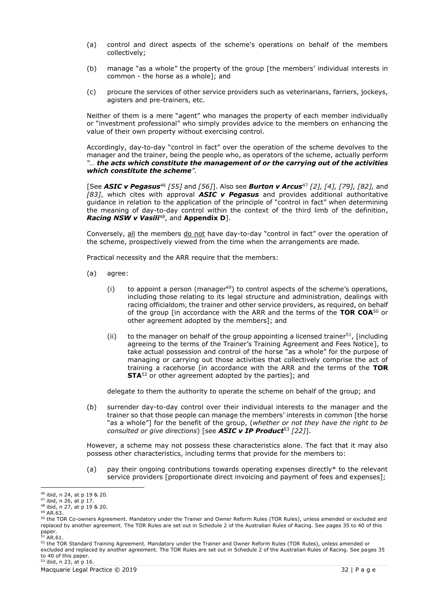- (a) control and direct aspects of the scheme's operations on behalf of the members collectively;
- (b) manage "as a whole" the property of the group [the members' individual interests in common - the horse as a whole]; and
- (c) procure the services of other service providers such as veterinarians, farriers, jockeys, agisters and pre-trainers, etc.

Neither of them is a mere "agent" who manages the property of each member individually or "investment professional" who simply provides advice to the members on enhancing the value of their own property without exercising control.

Accordingly, day-to-day "control in fact" over the operation of the scheme devolves to the manager and the trainer, being the people who, as operators of the scheme, actually perform *"… the acts which constitute the management of or the carrying out of the activities which constitute the scheme".*

[See *ASIC v Pegasus*<sup>46</sup> *[55]* and *[56]*]. Also see *Burton v Arcus*<sup>47</sup> *[2], [4], [79], [82],* and *[83]*, which cites with approval *ASIC v Pegasus* and provides additional authoritative guidance in relation to the application of the principle of "control in fact" when determining the meaning of day-to-day control within the context of the third limb of the definition, *Racing NSW v Vasili*<sup>48</sup> , and **Appendix D**].

Conversely, all the members do not have day-to-day "control in fact" over the operation of the scheme, prospectively viewed from the time when the arrangements are made*.*

Practical necessity and the ARR require that the members:

- (a) agree:
	- (i) to appoint a person (manager<sup>49</sup>) to control aspects of the scheme's operations, including those relating to its legal structure and administration, dealings with racing officialdom, the trainer and other service providers, as required, on behalf of the group [in accordance with the ARR and the terms of the **TOR COA**<sup>50</sup> or other agreement adopted by the members]; and
	- (ii) to the manager on behalf of the group appointing a licensed trainer<sup>51</sup>, [including agreeing to the terms of the Trainer's Training Agreement and Fees Notice], to take actual possession and control of the horse "as a whole" for the purpose of managing or carrying out those activities that collectively comprise the act of training a racehorse [in accordance with the ARR and the terms of the **TOR STA**<sup>52</sup> or other agreement adopted by the parties]; and

delegate to them the authority to operate the scheme on behalf of the group; and

(b) surrender day-to-day control over their individual interests to the manager and the trainer so that those people can manage the members' interests in common [the horse "as a whole"] for the benefit of the group, (*whether or not they have the right to be consulted or give directions*) [see *ASIC v IP Product*<sup>53</sup> *[22]*].

However, a scheme may not possess these characteristics alone. The fact that it may also possess other characteristics, including terms that provide for the members to:

(a) pay their ongoing contributions towards operating expenses directly\* to the relevant service providers [proportionate direct invoicing and payment of fees and expenses];

paper.<br><sup>51</sup> AR.61.

<sup>46</sup> ibid, n 24, at p 19 & 20.

<sup>47</sup> ibid, n 26, at p 17.

<sup>48</sup> ibid, n 27, at p 19 & 20.

<sup>49</sup> AR.63.

<sup>50</sup> the TOR Co-owners Agreement. Mandatory under the Trainer and Owner Reform Rules (TOR Rules), unless amended or excluded and replaced by another agreement. The TOR Rules are set out in Schedule 2 of the Australian Rules of Racing. See pages 35 to 40 of this

<sup>52</sup> the TOR Standard Training Agreement. Mandatory under the Trainer and Owner Reform Rules (TOR Rules), unless amended or excluded and replaced by another agreement. The TOR Rules are set out in Schedule 2 of the Australian Rules of Racing. See pages 35 to 40 of this paper.

<sup>53</sup> ibid, n 23, at p 16.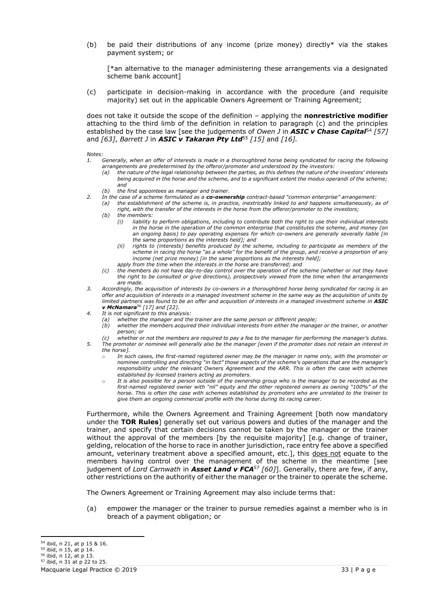(b) be paid their distributions of any income (prize money) directly\* via the stakes payment system; or

[\*an alternative to the manager administering these arrangements via a designated scheme bank account]

(c) participate in decision-making in accordance with the procedure (and requisite majority) set out in the applicable Owners Agreement or Training Agreement;

does not take it outside the scope of the definition – applying the **nonrestrictive modifier** attaching to the third limb of the definition in relation to paragraph (c) and the principles established by the case law [see the judgements of *Owen J* in *ASIC v Chase Capital*<sup>54</sup> *[57]*  and *[63]*, *Barrett J* in *ASIC v Takaran Pty Ltd*<sup>55</sup> *[15]* and *[16].*

*Notes:* 

- *1. Generally, when an offer of interests is made in a thoroughbred horse being syndicated for racing the following arrangements are predetermined by the offeror/promoter and understood by the investors:*
	- *(a) the nature of the legal relationship between the parties, as this defines the nature of the investors' interests being acquired in the horse and the scheme, and to a significant extent the modus operandi of the scheme; and*
- *(b) the first appointees as manager and trainer.*
- *2. In the case of a scheme formulated as a co-ownership contract-based "common enterprise" arrangement:*
	- *(a) the establishment of the scheme is, in practice, inextricably linked to and happens simultaneously, as of right, with the transfer of the interests in the horse from the offeror/promoter to the investors;*
	- *(b) the members:*
		- *(i) liability to perform obligations, including to contribute both the right to use their individual interests in the horse in the operation of the common enterprise that constitutes the scheme, and money (on an ongoing basis) to pay operating expenses for which co-owners are generally severally liable [in the same proportions as the interests held]; and*
		- *(ii) rights to (interests) benefits produced by the scheme, including to participate as members of the scheme in racing the horse "as a whole" for the benefit of the group, and receive a proportion of any income (net prize money) [in the same proportions as the interests held];*
		- *apply from the time when the interests in the horse are transferred; and*
	- *(c) the members do not have day-to-day control over the operation of the scheme (whether or not they have the right to be consulted or give directions), prospectively viewed from the time when the arrangements are made.*
- *3. Accordingly, the acquisition of interests by co-owners in a thoroughbred horse being syndicated for racing is an offer and acquisition of interests in a managed investment scheme in the same way as the acquisition of units by limited partners was found to be an offer and acquisition of interests in a managed investment scheme in ASIC v McNamara*<sup>56</sup> *[17] and [22].*
- *4. It is not significant to this analysis:*
	- *(a) whether the manager and the trainer are the same person or different people;*
	- *(b) whether the members acquired their individual interests from either the manager or the trainer, or another person; or*
- *(c) whether or not the members are required to pay a fee to the manager for performing the manager's duties. 5. The promoter or nominee will generally also be the manager [even if the promoter does not retain an interest in the horse].* 
	- o *In such cases, the first-named registered owner may be the manager in name only, with the promoter or nominee controlling and directing "in fact" those aspects of the scheme's operations that are the manager's responsibility under the relevant Owners Agreement and the ARR. This is often the case with schemes established by licensed trainers acting as promoters.*
	- o *It is also possible for a person outside of the ownership group who is the manager to be recorded as the first-named registered owner with "nil" equity and the other registered owners as owning "100%" of the horse. This is often the case with schemes established by promoters who are unrelated to the trainer to give them an ongoing commercial profile with the horse during its racing career.*

Furthermore, while the Owners Agreement and Training Agreement [both now mandatory under the **TOR Rules**] generally set out various powers and duties of the manager and the trainer, and specify that certain decisions cannot be taken by the manager or the trainer without the approval of the members [by the requisite majority] [e.g. change of trainer, gelding, relocation of the horse to race in another jurisdiction, race entry fee above a specified amount, veterinary treatment above a specified amount, etc.], this does not equate to the members having control over the management of the scheme in the meantime [see judgement of *Lord Carnwath* in *Asset Land v FCA*<sup>57</sup> *[60]*]. Generally, there are few, if any, other restrictions on the authority of either the manager or the trainer to operate the scheme.

The Owners Agreement or Training Agreement may also include terms that:

(a) empower the manager or the trainer to pursue remedies against a member who is in breach of a payment obligation; or

<sup>54</sup> ibid, n 21, at p 15 & 16.

<sup>55</sup> ibid, n 15, at p 14.

<sup>56</sup> ibid, n 12, at p 13.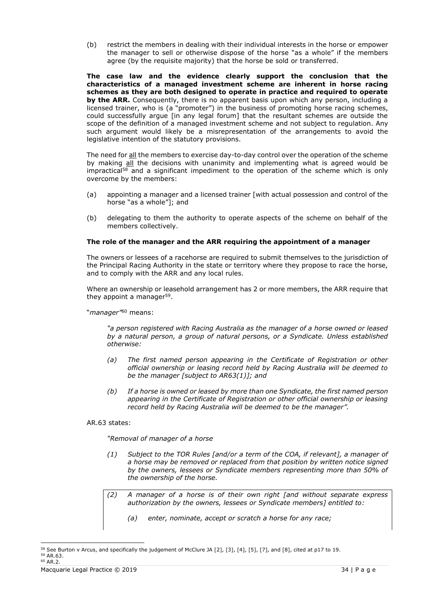(b) restrict the members in dealing with their individual interests in the horse or empower the manager to sell or otherwise dispose of the horse "as a whole" if the members agree (by the requisite majority) that the horse be sold or transferred.

**The case law and the evidence clearly support the conclusion that the characteristics of a managed investment scheme are inherent in horse racing schemes as they are both designed to operate in practice and required to operate by the ARR.** Consequently, there is no apparent basis upon which any person, including a licensed trainer, who is (a "promoter") in the business of promoting horse racing schemes, could successfully argue [in any legal forum] that the resultant schemes are outside the scope of the definition of a managed investment scheme and not subject to regulation. Any such argument would likely be a misrepresentation of the arrangements to avoid the legislative intention of the statutory provisions.

The need for all the members to exercise day-to-day control over the operation of the scheme by making all the decisions with unanimity and implementing what is agreed would be impractical<sup>58</sup> and a significant impediment to the operation of the scheme which is only overcome by the members:

- (a) appointing a manager and a licensed trainer [with actual possession and control of the horse "as a whole"]; and
- (b) delegating to them the authority to operate aspects of the scheme on behalf of the members collectively.

### **The role of the manager and the ARR requiring the appointment of a manager**

The owners or lessees of a racehorse are required to submit themselves to the jurisdiction of the Principal Racing Authority in the state or territory where they propose to race the horse, and to comply with the ARR and any local rules.

Where an ownership or leasehold arrangement has 2 or more members, the ARR require that they appoint a manager<sup>59</sup>.

"*manager"* <sup>60</sup> means:

*"a person registered with Racing Australia as the manager of a horse owned or leased by a natural person, a group of natural persons, or a Syndicate. Unless established otherwise:*

- *(a) The first named person appearing in the Certificate of Registration or other official ownership or leasing record held by Racing Australia will be deemed to be the manager [subject to AR63(1)]; and*
- *(b) If a horse is owned or leased by more than one Syndicate, the first named person appearing in the Certificate of Registration or other official ownership or leasing record held by Racing Australia will be deemed to be the manager".*

### AR.63 states:

*"Removal of manager of a horse*

- *(1) Subject to the TOR Rules [and/or a term of the COA, if relevant], a manager of a horse may be removed or replaced from that position by written notice signed by the owners, lessees or Syndicate members representing more than 50% of the ownership of the horse.*
- *(2) A manager of a horse is of their own right [and without separate express authorization by the owners, lessees or Syndicate members] entitled to:*
	- *(a) enter, nominate, accept or scratch a horse for any race;*

<sup>58</sup> See Burton v Arcus, and specifically the judgement of McClure JA [2], [3], [4], [5], [7], and [8], cited at p17 to 19. <sup>59</sup> AR.63. <sup>60</sup> AR.2.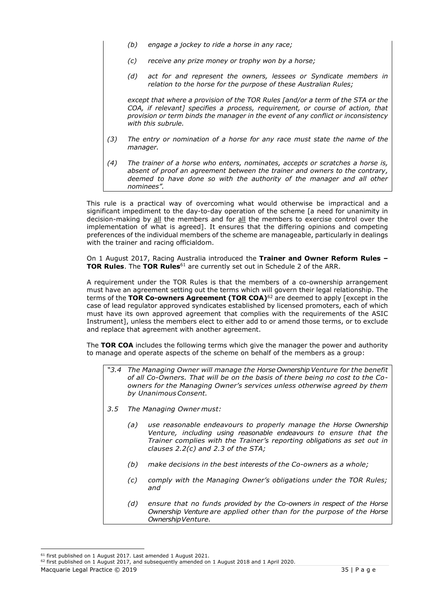- *(b) engage a jockey to ride a horse in any race;*
- *(c) receive any prize money or trophy won by a horse;*
- *(d) act for and represent the owners, lessees or Syndicate members in relation to the horse for the purpose of these Australian Rules;*

*except that where a provision of the TOR Rules [and/or a term of the STA or the COA, if relevant] specifies a process, requirement, or course of action, that provision or term binds the manager in the event of any conflict or inconsistency with this subrule.*

- *(3) The entry or nomination of a horse for any race must state the name of the manager.*
- *(4) The trainer of a horse who enters, nominates, accepts or scratches a horse is, absent of proof an agreement between the trainer and owners to the contrary, deemed to have done so with the authority of the manager and all other nominees".*

This rule is a practical way of overcoming what would otherwise be impractical and a significant impediment to the day-to-day operation of the scheme [a need for unanimity in decision-making by all the members and for all the members to exercise control over the implementation of what is agreed]. It ensures that the differing opinions and competing preferences of the individual members of the scheme are manageable, particularly in dealings with the trainer and racing officialdom.

On 1 August 2017, Racing Australia introduced the **Trainer and Owner Reform Rules – TOR Rules**. The **TOR Rules**<sup>61</sup> are currently set out in Schedule 2 of the ARR.

A requirement under the TOR Rules is that the members of a co-ownership arrangement must have an agreement setting out the terms which will govern their legal relationship. The terms of the **TOR Co-owners Agreement (TOR COA)**<sup>62</sup> are deemed to apply [except in the case of lead regulator approved syndicates established by licensed promoters, each of which must have its own approved agreement that complies with the requirements of the ASIC Instrument], unless the members elect to either add to or amend those terms, or to exclude and replace that agreement with another agreement.

The **TOR COA** includes the following terms which give the manager the power and authority to manage and operate aspects of the scheme on behalf of the members as a group:

- *"3.4 The Managing Owner will manage the Horse OwnershipVenture for the benefit of all Co-Owners. That will be on the basis of there being no cost to the Coowners for the Managing Owner's services unless otherwise agreed by them by UnanimousConsent.*
- *3.5 The Managing Owner must:*
	- *(a) use reasonable endeavours to properly manage the Horse Ownership Venture, including using reasonable endeavours to ensure that the Trainer complies with the Trainer's reporting obligations as set out in clauses 2.2(c) and 2.3 of the STA;*
	- *(b) make decisions in the best interests of the Co-owners as a whole;*
	- *(c) comply with the Managing Owner's obligations under the TOR Rules; and*
	- *(d) ensure that no funds provided by the Co-owners in respect of the Horse Ownership Venture are applied other than for the purpose of the Horse OwnershipVenture.*

<sup>61</sup> first published on 1 August 2017. Last amended 1 August 2021.

<sup>&</sup>lt;sup>62</sup> first published on 1 August 2017, and subsequently amended on 1 August 2018 and 1 April 2020.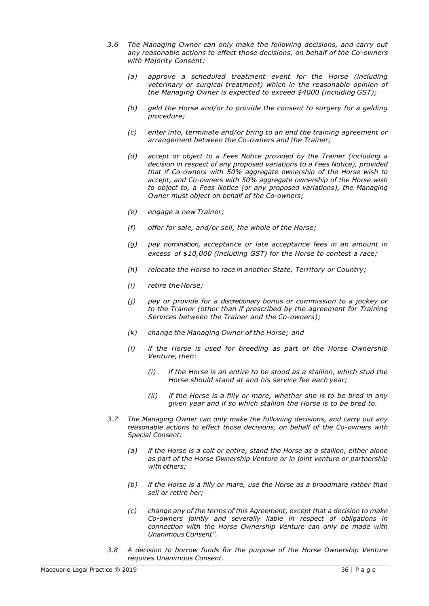- *3.6 The Managing Owner can only make the following decisions, and carry out any reasonable actions to effect those decisions, on behalf of the Co-owners with Majority Consent:*
	- *(a) approve a scheduled treatment event for the Horse (including veterinary or surgical treatment) which in the reasonable opinion of the Managing Owner is expected to exceed \$4000 (including GST);*
	- *(b) geld the Horse and/or to provide the consent to surgery for a gelding procedure;*
	- *(c) enter into, terminate and/or bring to an end the training agreement or arrangement between the Co-owners and the Trainer;*
	- *(d) accept or object to a Fees Notice provided by the Trainer (including a decision in respect of any proposed variations to a Fees Notice), provided that if Co-owners with 50% aggregate ownership of the Horse wish to accept, and Co-owners with 50% aggregate ownership of the Horse wish to object to, a Fees Notice (or any proposed variations), the Managing Owner must object on behalf of the Co-owners;*
	- *(e) engage a new Trainer;*
	- *(f) offer for sale, and/or sell, the whole of the Horse;*
	- *(g) pay nomination, acceptance or late acceptance fees in an amount in excess of \$10,000 (including GST) for the Horse to contest a race;*
	- *(h) relocate the Horse to race in another State, Territory or Country;*
	- *(i) retire the Horse;*
	- *(j) pay or provide for a discretionary bonus or commission to a jockey or to the Trainer (other than if prescribed by the agreement for Training Services between the Trainer and the Co-owners);*
	- *(k) change the Managing Owner of the Horse; and*
	- *(l) if the Horse is used for breeding as part of the Horse Ownership Venture, then:*
		- *(i) if the Horse is an entire to be stood as a stallion, which stud the Horse should stand at and his service fee each year;*
		- *(ii) if the Horse is a filly or mare, whether she is to be bred in any given year and if so which stallion the Horse is to be bred to.*
- *3.7 The Managing Owner can only make the following decisions, and carry out any reasonable actions to effect those decisions, on behalf of the Co-owners with Special Consent:*
	- *(a) if the Horse is a colt or entire, stand the Horse as a stallion, either alone as part of the Horse Ownership Venture or in joint venture or partnership with others;*
	- *(b) if the Horse is a filly or mare, use the Horse as a broodmare rather than sell or retire her;*
	- *(c) change any of the terms of this Agreement, except that a decision to make Co-owners jointly and severally liable in respect of obligations in connection with the Horse Ownership Venture can only be made with Unanimous Consent".*
- *3.8 A decision to borrow funds for the purpose of the Horse Ownership Venture requires Unanimous Consent.*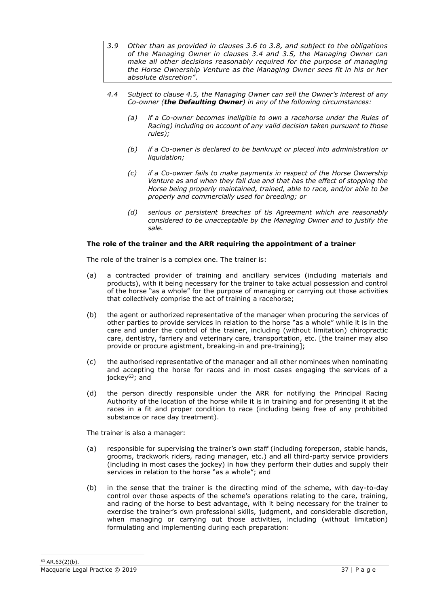- *3.9 Other than as provided in clauses 3.6 to 3.8, and subject to the obligations of the Managing Owner in clauses 3.4 and 3.5, the Managing Owner can make all other decisions reasonably required for the purpose of managing the Horse Ownership Venture as the Managing Owner sees fit in his or her absolute discretion"*.
- *4.4 Subject to clause 4.5, the Managing Owner can sell the Owner's interest of any Co-owner (the Defaulting Owner) in any of the following circumstances:*
	- *(a) if a Co-owner becomes ineligible to own a racehorse under the Rules of Racing) including on account of any valid decision taken pursuant to those rules);*
	- *(b) if a Co-owner is declared to be bankrupt or placed into administration or liquidation;*
	- *(c) if a Co-owner fails to make payments in respect of the Horse Ownership Venture as and when they fall due and that has the effect of stopping the Horse being properly maintained, trained, able to race, and/or able to be properly and commercially used for breeding; or*
	- *(d) serious or persistent breaches of tis Agreement which are reasonably considered to be unacceptable by the Managing Owner and to justify the sale.*

# **The role of the trainer and the ARR requiring the appointment of a trainer**

The role of the trainer is a complex one. The trainer is:

- (a) a contracted provider of training and ancillary services (including materials and products), with it being necessary for the trainer to take actual possession and control of the horse "as a whole" for the purpose of managing or carrying out those activities that collectively comprise the act of training a racehorse;
- (b) the agent or authorized representative of the manager when procuring the services of other parties to provide services in relation to the horse "as a whole" while it is in the care and under the control of the trainer, including (without limitation) chiropractic care, dentistry, farriery and veterinary care, transportation, etc. [the trainer may also provide or procure agistment, breaking-in and pre-training];
- (c) the authorised representative of the manager and all other nominees when nominating and accepting the horse for races and in most cases engaging the services of a jockey<sup>63</sup>; and
- (d) the person directly responsible under the ARR for notifying the Principal Racing Authority of the location of the horse while it is in training and for presenting it at the races in a fit and proper condition to race (including being free of any prohibited substance or race day treatment).

The trainer is also a manager:

- (a) responsible for supervising the trainer's own staff (including foreperson, stable hands, grooms, trackwork riders, racing manager, etc.) and all third-party service providers (including in most cases the jockey) in how they perform their duties and supply their services in relation to the horse "as a whole"; and
- (b) in the sense that the trainer is the directing mind of the scheme, with day-to-day control over those aspects of the scheme's operations relating to the care, training, and racing of the horse to best advantage, with it being necessary for the trainer to exercise the trainer's own professional skills, judgment, and considerable discretion, when managing or carrying out those activities, including (without limitation) formulating and implementing during each preparation: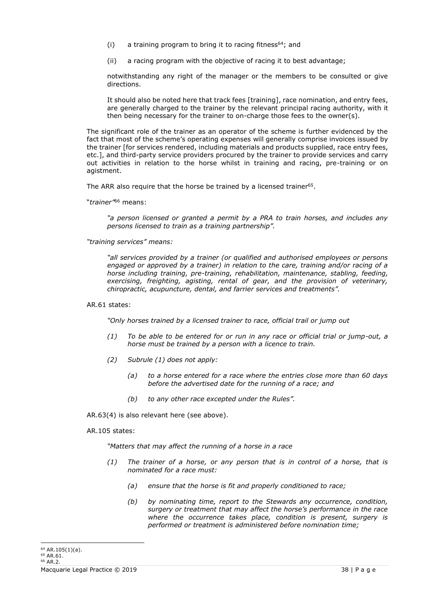- (i) a training program to bring it to racing fitness<sup>64</sup>; and
- (ii) a racing program with the objective of racing it to best advantage;

notwithstanding any right of the manager or the members to be consulted or give directions.

It should also be noted here that track fees [training], race nomination, and entry fees, are generally charged to the trainer by the relevant principal racing authority, with it then being necessary for the trainer to on-charge those fees to the owner(s).

The significant role of the trainer as an operator of the scheme is further evidenced by the fact that most of the scheme's operating expenses will generally comprise invoices issued by the trainer [for services rendered, including materials and products supplied, race entry fees, etc.], and third-party service providers procured by the trainer to provide services and carry out activities in relation to the horse whilst in training and racing, pre-training or on agistment.

The ARR also require that the horse be trained by a licensed trainer<sup>65</sup>.

"*trainer"* <sup>66</sup> means:

*"a person licensed or granted a permit by a PRA to train horses, and includes any persons licensed to train as a training partnership".*

*"training services" means:*

*"all services provided by a trainer (or qualified and authorised employees or persons engaged or approved by a trainer) in relation to the care, training and/or racing of a horse including training, pre-training, rehabilitation, maintenance, stabling, feeding, exercising, freighting, agisting, rental of gear, and the provision of veterinary, chiropractic, acupuncture, dental, and farrier services and treatments".*

#### AR.61 states:

*"Only horses trained by a licensed trainer to race, official trail or jump out*

- *(1) To be able to be entered for or run in any race or official trial or jump-out, a horse must be trained by a person with a licence to train.*
- *(2) Subrule (1) does not apply:*
	- *(a) to a horse entered for a race where the entries close more than 60 days before the advertised date for the running of a race; and*
	- *(b) to any other race excepted under the Rules".*

AR.63(4) is also relevant here (see above).

AR.105 states:

*"Matters that may affect the running of a horse in a race*

- *(1) The trainer of a horse, or any person that is in control of a horse, that is nominated for a race must:*
	- *(a) ensure that the horse is fit and properly conditioned to race;*
	- *(b) by nominating time, report to the Stewards any occurrence, condition, surgery or treatment that may affect the horse's performance in the race where the occurrence takes place, condition is present, surgery is performed or treatment is administered before nomination time;*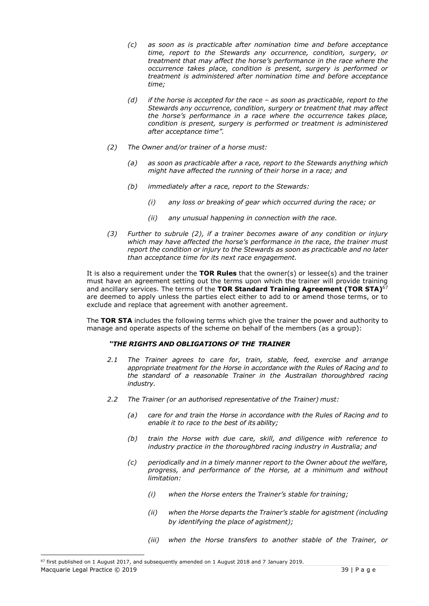- *(c) as soon as is practicable after nomination time and before acceptance time, report to the Stewards any occurrence, condition, surgery, or treatment that may affect the horse's performance in the race where the occurrence takes place, condition is present, surgery is performed or treatment is administered after nomination time and before acceptance time;*
- *(d) if the horse is accepted for the race – as soon as practicable, report to the Stewards any occurrence, condition, surgery or treatment that may affect the horse's performance in a race where the occurrence takes place, condition is present, surgery is performed or treatment is administered after acceptance time".*
- *(2) The Owner and/or trainer of a horse must:*
	- *(a) as soon as practicable after a race, report to the Stewards anything which might have affected the running of their horse in a race; and*
	- *(b) immediately after a race, report to the Stewards:*
		- *(i) any loss or breaking of gear which occurred during the race; or*
		- *(ii) any unusual happening in connection with the race.*
- *(3) Further to subrule (2), if a trainer becomes aware of any condition or injury which may have affected the horse's performance in the race, the trainer must report the condition or injury to the Stewards as soon as practicable and no later than acceptance time for its next race engagement.*

It is also a requirement under the **TOR Rules** that the owner(s) or lessee(s) and the trainer must have an agreement setting out the terms upon which the trainer will provide training and ancillary services. The terms of the **TOR Standard Training Agreement (TOR STA)**<sup>67</sup> are deemed to apply unless the parties elect either to add to or amend those terms, or to exclude and replace that agreement with another agreement.

The **TOR STA** includes the following terms which give the trainer the power and authority to manage and operate aspects of the scheme on behalf of the members (as a group):

# *"THE RIGHTS AND OBLIGATIONS OF THE TRAINER*

- *2.1 The Trainer agrees to care for, train, stable, feed, exercise and arrange appropriate treatment for the Horse in accordance with the Rules of Racing and to the standard of a reasonable Trainer in the Australian thoroughbred racing industry.*
- *2.2 The Trainer (or an authorised representative of the Trainer) must:*
	- *(a) care for and train the Horse in accordance with the Rules of Racing and to enable it to race to the best of its ability;*
	- *(b) train the Horse with due care, skill, and diligence with reference to industry practice in the thoroughbred racing industry in Australia; and*
	- *(c) periodically and in a timely manner report to the Owner about the welfare, progress, and performance of the Horse, at a minimum and without limitation:*
		- *(i) when the Horse enters the Trainer's stable for training;*
		- *(ii) when the Horse departs the Trainer's stable for agistment (including by identifying the place of agistment);*
		- *(iii) when the Horse transfers to another stable of the Trainer, or*

Macquarie Legal Practice © 2019 39 | P a g e

<sup>&</sup>lt;sup>67</sup> first published on 1 August 2017, and subsequently amended on 1 August 2018 and 7 January 2019.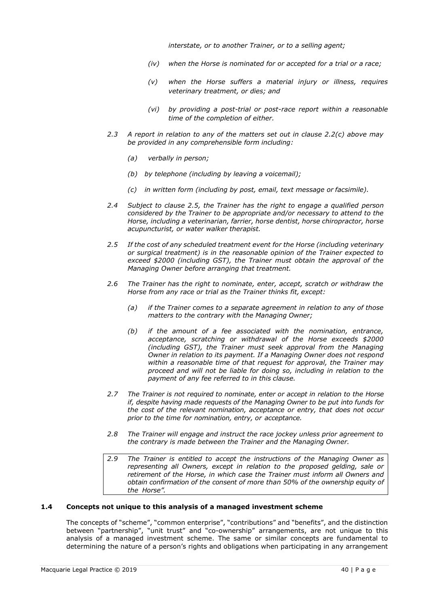*interstate, or to another Trainer, or to a selling agent;*

- *(iv) when the Horse is nominated for or accepted for a trial or a race;*
- *(v) when the Horse suffers a material injury or illness, requires veterinary treatment, or dies; and*
- *(vi) by providing a post-trial or post-race report within a reasonable time of the completion of either.*
- *2.3 A report in relation to any of the matters set out in clause 2.2(c) above may be provided in any comprehensible form including:*
	- *(a) verbally in person;*
	- *(b) by telephone (including by leaving a voicemail);*
	- *(c) in written form (including by post, email, text message or facsimile).*
- *2.4 Subject to clause 2.5, the Trainer has the right to engage a qualified person considered by the Trainer to be appropriate and/or necessary to attend to the Horse, including a veterinarian, farrier, horse dentist, horse chiropractor, horse acupuncturist, or water walker therapist.*
- *2.5 If the cost of any scheduled treatment event for the Horse (including veterinary or surgical treatment) is in the reasonable opinion of the Trainer expected to exceed \$2000 (including GST), the Trainer must obtain the approval of the Managing Owner before arranging that treatment.*
- *2.6 The Trainer has the right to nominate, enter, accept, scratch or withdraw the Horse from any race or trial as the Trainer thinks fit, except:*
	- *(a) if the Trainer comes to a separate agreement in relation to any of those matters to the contrary with the Managing Owner;*
	- *(b) if the amount of a fee associated with the nomination, entrance, acceptance, scratching or withdrawal of the Horse exceeds \$2000 (including GST), the Trainer must seek approval from the Managing Owner in relation to its payment. If a Managing Owner does not respond within a reasonable time of that request for approval, the Trainer may proceed and will not be liable for doing so, including in relation to the payment of any fee referred to in this clause.*
- *2.7 The Trainer is not required to nominate, enter or accept in relation to the Horse if, despite having made requests of the Managing Owner to be put into funds for the cost of the relevant nomination, acceptance or entry, that does not occur prior to the time for nomination, entry, or acceptance.*
- *2.8 The Trainer will engage and instruct the race jockey unless prior agreement to the contrary is made between the Trainer and the Managing Owner.*
- *2.9 The Trainer is entitled to accept the instructions of the Managing Owner as representing all Owners, except in relation to the proposed gelding, sale or retirement of the Horse, in which case the Trainer must inform all Owners and obtain confirmation of the consent of more than 50% of the ownership equity of the Horse".*

# **1.4 Concepts not unique to this analysis of a managed investment scheme**

The concepts of "scheme", "common enterprise", "contributions" and "benefits", and the distinction between "partnership", "unit trust" and "co-ownership" arrangements, are not unique to this analysis of a managed investment scheme. The same or similar concepts are fundamental to determining the nature of a person's rights and obligations when participating in any arrangement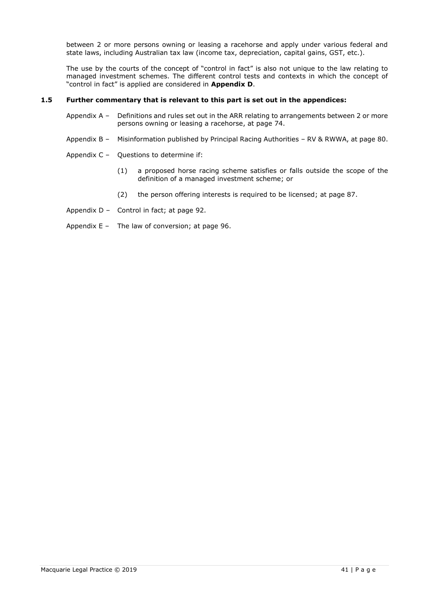between 2 or more persons owning or leasing a racehorse and apply under various federal and state laws, including Australian tax law (income tax, depreciation, capital gains, GST, etc.).

The use by the courts of the concept of "control in fact" is also not unique to the law relating to managed investment schemes. The different control tests and contexts in which the concept of "control in fact" is applied are considered in **Appendix D**.

# **1.5 Further commentary that is relevant to this part is set out in the appendices:**

- Appendix A Definitions and rules set out in the ARR relating to arrangements between 2 or more persons owning or leasing a racehorse, at page 74.
- Appendix B Misinformation published by Principal Racing Authorities RV & RWWA, at page 80.
- Appendix C Questions to determine if:
	- (1) a proposed horse racing scheme satisfies or falls outside the scope of the definition of a managed investment scheme; or
	- (2) the person offering interests is required to be licensed; at page 87.
- Appendix D Control in fact; at page 92.
- Appendix E The law of conversion; at page 96.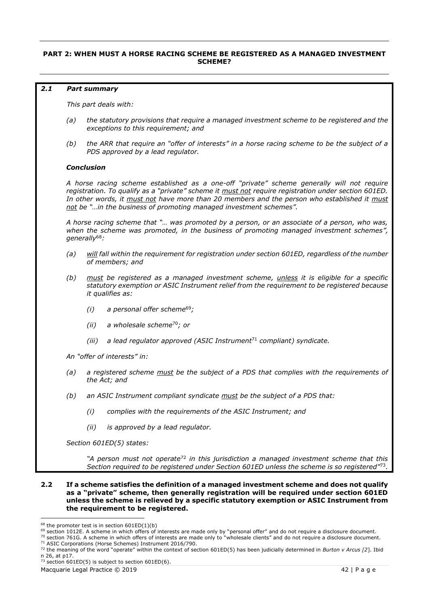# **PART 2: WHEN MUST A HORSE RACING SCHEME BE REGISTERED AS A MANAGED INVESTMENT SCHEME?**

#### *2.1 Part summary*

*This part deals with:*

- *(a) the statutory provisions that require a managed investment scheme to be registered and the exceptions to this requirement; and*
- *(b) the ARR that require an "offer of interests" in a horse racing scheme to be the subject of a PDS approved by a lead regulator.*

#### *Conclusion*

*A horse racing scheme established as a one-off "private" scheme generally will not require registration. To qualify as a "private" scheme it must not require registration under section 601ED. In other words, it must not have more than 20 members and the person who established it must not be "…in the business of promoting managed investment schemes".*

*A horse racing scheme that "… was promoted by a person, or an associate of a person, who was, when the scheme was promoted, in the business of promoting managed investment schemes", generally*<sup>68</sup>*:*

- *(a) will fall within the requirement for registration under section 601ED, regardless of the number of members; and*
- *(b) must be registered as a managed investment scheme, unless it is eligible for a specific statutory exemption or ASIC Instrument relief from the requirement to be registered because it qualifies as:*
	- *(i) a personal offer scheme*<sup>69</sup>*;*
	- *(ii) a wholesale scheme*<sup>70</sup>*; or*
	- *(iii) a lead regulator approved (ASIC Instrument*<sup>71</sup> *compliant) syndicate.*

*An "offer of interests" in:*

- *(a) a registered scheme must be the subject of a PDS that complies with the requirements of the Act; and*
- *(b) an ASIC Instrument compliant syndicate must be the subject of a PDS that:*
	- *(i) complies with the requirements of the ASIC Instrument; and*
	- *(ii) is approved by a lead regulator.*

*Section 601ED(5) states:*

*"A person must not operate*<sup>72</sup> *in this jurisdiction a managed investment scheme that this Section required to be registered under Section 601ED unless the scheme is so registered"*<sup>73</sup> *.*

#### **2.2 If a scheme satisfies the definition of a managed investment scheme and does not qualify as a "private" scheme, then generally registration will be required under section 601ED unless the scheme is relieved by a specific statutory exemption or ASIC Instrument from the requirement to be registered.**

 $68$  the promoter test is in section  $601ED(1)(b)$ 

 $69$  section 1012E. A scheme in which offers of interests are made only by "personal offer" and do not require a disclosure document.

 $70$  section 761G. A scheme in which offers of interests are made only to "wholesale clients" and do not require a disclosure document.

<sup>71</sup> ASIC Corporations (Horse Schemes) Instrument 2016/790.

<sup>72</sup> the meaning of the word "operate" within the context of section 601ED(5) has been judicially determined in *Burton v Arcus [2*]. Ibid n 26, at p17.

 $73$  section 601ED(5) is subject to section 601ED(6).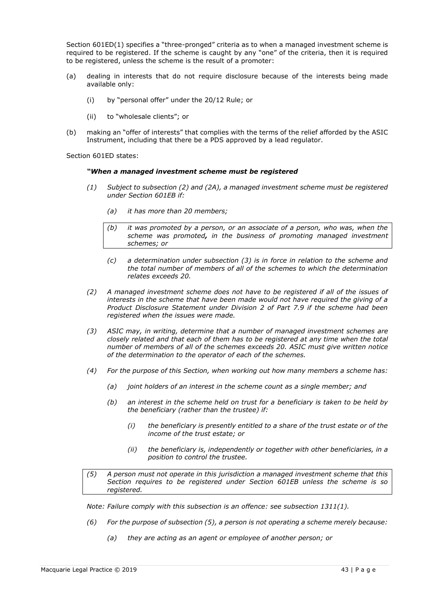Section 601ED(1) specifies a "three-pronged" criteria as to when a managed investment scheme is required to be registered. If the scheme is caught by any "one" of the criteria, then it is required to be registered, unless the scheme is the result of a promoter:

- (a) dealing in interests that do not require disclosure because of the interests being made available only:
	- (i) by "personal offer" under the 20/12 Rule; or
	- (ii) to "wholesale clients"; or
- (b) making an "offer of interests" that complies with the terms of the relief afforded by the ASIC Instrument, including that there be a PDS approved by a lead regulator.

Section 601ED states:

#### *"When a managed investment scheme must be registered*

- *(1) Subject to subsection (2) and (2A), a managed investment scheme must be registered under Section 601EB if:*
	- *(a) it has more than 20 members;*
	- *(b) it was promoted by a person, or an associate of a person, who was, when the scheme was promoted, in the business of promoting managed investment schemes; or*
	- *(c) a determination under subsection (3) is in force in relation to the scheme and the total number of members of all of the schemes to which the determination relates exceeds 20.*
- *(2) A managed investment scheme does not have to be registered if all of the issues of interests in the scheme that have been made would not have required the giving of a Product Disclosure Statement under Division 2 of Part 7.9 if the scheme had been registered when the issues were made.*
- *(3) ASIC may, in writing, determine that a number of managed investment schemes are closely related and that each of them has to be registered at any time when the total number of members of all of the schemes exceeds 20. ASIC must give written notice of the determination to the operator of each of the schemes.*
- *(4) For the purpose of this Section, when working out how many members a scheme has:*
	- *(a) joint holders of an interest in the scheme count as a single member; and*
	- *(b) an interest in the scheme held on trust for a beneficiary is taken to be held by the beneficiary (rather than the trustee) if:*
		- *(i) the beneficiary is presently entitled to a share of the trust estate or of the income of the trust estate; or*
		- *(ii) the beneficiary is, independently or together with other beneficiaries, in a position to control the trustee.*
- *(5) A person must not operate in this jurisdiction a managed investment scheme that this Section requires to be registered under Section 601EB unless the scheme is so registered.*

*Note: Failure comply with this subsection is an offence: see subsection 1311(1).*

- *(6) For the purpose of subsection (5), a person is not operating a scheme merely because:*
	- *(a) they are acting as an agent or employee of another person; or*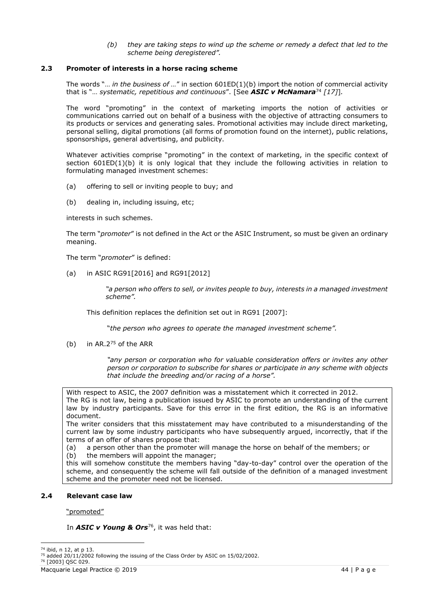*(b) they are taking steps to wind up the scheme or remedy a defect that led to the scheme being deregistered".*

# **2.3 Promoter of interests in a horse racing scheme**

The words "… *in the business of …*" in section 601ED(1)(b) import the notion of commercial activity that is "… *systematic, repetitious and continuous*". [See *ASIC v McNamara*<sup>74</sup> *[17]*]*.*

The word "promoting" in the context of marketing imports the notion of activities or communications carried out on behalf of a business with the objective of attracting consumers to its products or services and generating sales. Promotional activities may include direct marketing, personal selling, digital promotions (all forms of promotion found on the internet), public relations, sponsorships, general advertising, and publicity.

Whatever activities comprise "promoting" in the context of marketing, in the specific context of section  $601ED(1)(b)$  it is only logical that they include the following activities in relation to formulating managed investment schemes:

- (a) offering to sell or inviting people to buy; and
- (b) dealing in, including issuing, etc;

interests in such schemes.

The term "*promoter*" is not defined in the Act or the ASIC Instrument, so must be given an ordinary meaning.

The term "*promoter*" is defined:

(a) in ASIC RG91[2016] and RG91[2012]

*"a person who offers to sell, or invites people to buy, interests in a managed investment scheme".*

This definition replaces the definition set out in RG91 [2007]:

"*the person who agrees to operate the managed investment scheme".*

(b) in  $AR.2^{75}$  of the ARR

*"any person or corporation who for valuable consideration offers or invites any other person or corporation to subscribe for shares or participate in any scheme with objects that include the breeding and/or racing of a horse".*

With respect to ASIC, the 2007 definition was a misstatement which it corrected in 2012. The RG is not law, being a publication issued by ASIC to promote an understanding of the current law by industry participants. Save for this error in the first edition, the RG is an informative document.

The writer considers that this misstatement may have contributed to a misunderstanding of the current law by some industry participants who have subsequently argued, incorrectly, that if the terms of an offer of shares propose that:

- (a) a person other than the promoter will manage the horse on behalf of the members; or
- (b) the members will appoint the manager;

this will somehow constitute the members having "day-to-day" control over the operation of the scheme, and consequently the scheme will fall outside of the definition of a managed investment scheme and the promoter need not be licensed.

# **2.4 Relevant case law**

"promoted"

In **ASIC v Young & Ors**<sup>76</sup>, it was held that:

<sup>74</sup> ibid, n 12, at p 13.

<sup>&</sup>lt;sup>75</sup> added 20/11/2002 following the issuing of the Class Order by ASIC on 15/02/2002.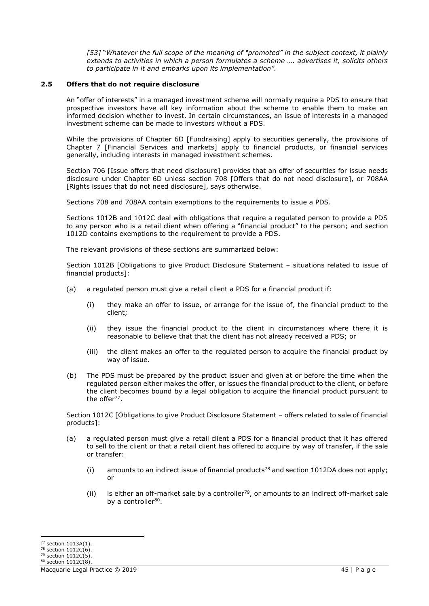*[53]* "*Whatever the full scope of the meaning of "promoted" in the subject context, it plainly extends to activities in which a person formulates a scheme …. advertises it, solicits others to participate in it and embarks upon its implementation".*

# **2.5 Offers that do not require disclosure**

An "offer of interests" in a managed investment scheme will normally require a PDS to ensure that prospective investors have all key information about the scheme to enable them to make an informed decision whether to invest. In certain circumstances, an issue of interests in a managed investment scheme can be made to investors without a PDS.

While the provisions of Chapter 6D [Fundraising] apply to securities generally, the provisions of Chapter 7 [Financial Services and markets] apply to financial products, or financial services generally, including interests in managed investment schemes.

Section 706 [Issue offers that need disclosure] provides that an offer of securities for issue needs disclosure under Chapter 6D unless section 708 [Offers that do not need disclosure], or 708AA [Rights issues that do not need disclosure], says otherwise.

Sections 708 and 708AA contain exemptions to the requirements to issue a PDS.

Sections 1012B and 1012C deal with obligations that require a regulated person to provide a PDS to any person who is a retail client when offering a "financial product" to the person; and section 1012D contains exemptions to the requirement to provide a PDS.

The relevant provisions of these sections are summarized below:

Section 1012B [Obligations to give Product Disclosure Statement – situations related to issue of financial products]:

- (a) a regulated person must give a retail client a PDS for a financial product if:
	- (i) they make an offer to issue, or arrange for the issue of, the financial product to the client;
	- (ii) they issue the financial product to the client in circumstances where there it is reasonable to believe that that the client has not already received a PDS; or
	- (iii) the client makes an offer to the regulated person to acquire the financial product by way of issue.
- (b) The PDS must be prepared by the product issuer and given at or before the time when the regulated person either makes the offer, or issues the financial product to the client, or before the client becomes bound by a legal obligation to acquire the financial product pursuant to the offer<sup>77</sup>.

Section 1012C [Obligations to give Product Disclosure Statement – offers related to sale of financial products]:

- (a) a regulated person must give a retail client a PDS for a financial product that it has offered to sell to the client or that a retail client has offered to acquire by way of transfer, if the sale or transfer:
	- (i) amounts to an indirect issue of financial products<sup>78</sup> and section 1012DA does not apply; or
	- (ii) is either an off-market sale by a controller<sup>79</sup>, or amounts to an indirect off-market sale by a controller<sup>80</sup>.

<sup>77</sup> section 1013A(1).

 $78$  section  $1012C(6)$ . <sup>79</sup> section 1012C(5).

 $80$  section  $1012C(8)$ .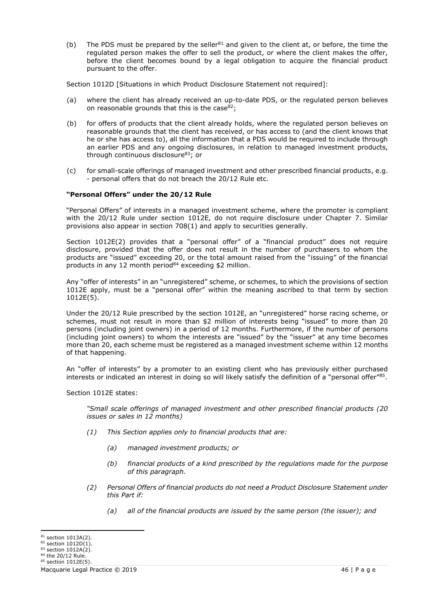(b) The PDS must be prepared by the seller<sup>81</sup> and given to the client at, or before, the time the regulated person makes the offer to sell the product, or where the client makes the offer, before the client becomes bound by a legal obligation to acquire the financial product pursuant to the offer.

Section 1012D [Situations in which Product Disclosure Statement not required]:

- (a) where the client has already received an up-to-date PDS, or the regulated person believes on reasonable grounds that this is the case  $82$ ;
- (b) for offers of products that the client already holds, where the regulated person believes on reasonable grounds that the client has received, or has access to (and the client knows that he or she has access to), all the information that a PDS would be required to include through an earlier PDS and any ongoing disclosures, in relation to managed investment products, through continuous disclosure<sup>83</sup>; or
- (c) for small-scale offerings of managed investment and other prescribed financial products, e.g. - personal offers that do not breach the 20/12 Rule etc.

### **"Personal Offers" under the 20/12 Rule**

"Personal Offers" of interests in a managed investment scheme, where the promoter is compliant with the 20/12 Rule under section 1012E, do not require disclosure under Chapter 7. Similar provisions also appear in section 708(1) and apply to securities generally.

Section 1012E(2) provides that a "personal offer" of a "financial product" does not require disclosure, provided that the offer does not result in the number of purchasers to whom the products are "issued" exceeding 20, or the total amount raised from the "issuing" of the financial products in any 12 month period<sup>84</sup> exceeding \$2 million.

Any "offer of interests" in an "unregistered" scheme, or schemes, to which the provisions of section 1012E apply, must be a "personal offer" within the meaning ascribed to that term by section 1012E(5).

Under the 20/12 Rule prescribed by the section 1012E, an "unregistered" horse racing scheme, or schemes, must not result in more than \$2 million of interests being "issued" to more than 20 persons (including joint owners) in a period of 12 months. Furthermore, if the number of persons (including joint owners) to whom the interests are "issued" by the "issuer" at any time becomes more than 20, each scheme must be registered as a managed investment scheme within 12 months of that happening.

An "offer of interests" by a promoter to an existing client who has previously either purchased interests or indicated an interest in doing so will likely satisfy the definition of a "personal offer" $^{85}\cdot$ 

Section 1012E states:

*"Small scale offerings of managed investment and other prescribed financial products (20 issues or sales in 12 months)*

- *(1) This Section applies only to financial products that are:*
	- *(a) managed investment products; or*
	- *(b) financial products of a kind prescribed by the regulations made for the purpose of this paragraph.*
- *(2) Personal Offers of financial products do not need a Product Disclosure Statement under this Part if:*
	- *(a) all of the financial products are issued by the same person (the issuer); and*

<sup>81</sup> section 1013A(2).

 $82$  section  $1012D(1)$ .

 $83$  section 1012A(2). <sup>84</sup> the 20/12 Rule.

 $85$  section 1012E(5).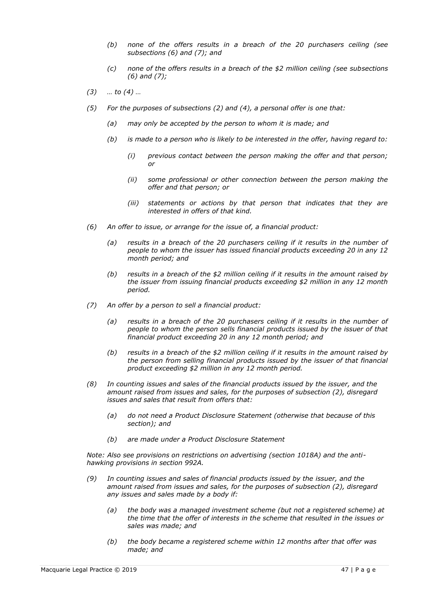- *(b) none of the offers results in a breach of the 20 purchasers ceiling (see subsections (6) and (7); and*
- *(c) none of the offers results in a breach of the \$2 million ceiling (see subsections (6) and (7);*
- *(3) … to (4) …*
- *(5) For the purposes of subsections (2) and (4), a personal offer is one that:*
	- *(a) may only be accepted by the person to whom it is made; and*
	- *(b) is made to a person who is likely to be interested in the offer, having regard to:*
		- *(i) previous contact between the person making the offer and that person; or*
		- *(ii) some professional or other connection between the person making the offer and that person; or*
		- *(iii) statements or actions by that person that indicates that they are interested in offers of that kind.*
- *(6) An offer to issue, or arrange for the issue of, a financial product:*
	- *(a) results in a breach of the 20 purchasers ceiling if it results in the number of people to whom the issuer has issued financial products exceeding 20 in any 12 month period; and*
	- *(b) results in a breach of the \$2 million ceiling if it results in the amount raised by the issuer from issuing financial products exceeding \$2 million in any 12 month period.*
- *(7) An offer by a person to sell a financial product:*
	- *(a) results in a breach of the 20 purchasers ceiling if it results in the number of people to whom the person sells financial products issued by the issuer of that financial product exceeding 20 in any 12 month period; and*
	- *(b) results in a breach of the \$2 million ceiling if it results in the amount raised by the person from selling financial products issued by the issuer of that financial product exceeding \$2 million in any 12 month period.*
- *(8) In counting issues and sales of the financial products issued by the issuer, and the amount raised from issues and sales, for the purposes of subsection (2), disregard issues and sales that result from offers that:*
	- *(a) do not need a Product Disclosure Statement (otherwise that because of this section); and*
	- *(b) are made under a Product Disclosure Statement*

*Note: Also see provisions on restrictions on advertising (section 1018A) and the antihawking provisions in section 992A.*

- *(9) In counting issues and sales of financial products issued by the issuer, and the amount raised from issues and sales, for the purposes of subsection (2), disregard any issues and sales made by a body if:*
	- *(a) the body was a managed investment scheme (but not a registered scheme) at the time that the offer of interests in the scheme that resulted in the issues or sales was made; and*
	- *(b) the body became a registered scheme within 12 months after that offer was made; and*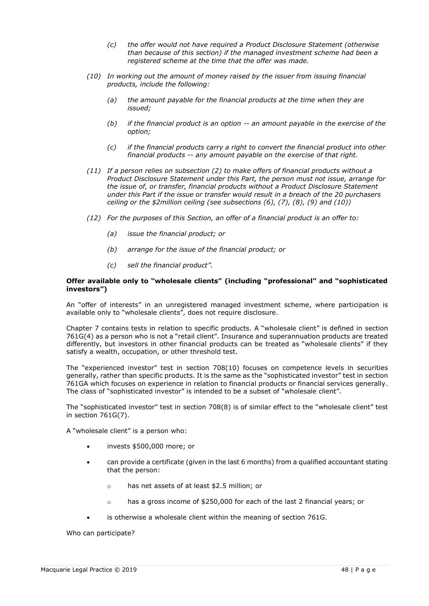- *(c) the offer would not have required a Product Disclosure Statement (otherwise than because of this section) if the managed investment scheme had been a registered scheme at the time that the offer was made.*
- *(10) In working out the amount of money raised by the issuer from issuing financial products, include the following:*
	- *(a) the amount payable for the financial products at the time when they are issued;*
	- *(b) if the financial product is an option -- an amount payable in the exercise of the option;*
	- *(c) if the financial products carry a right to convert the financial product into other financial products -- any amount payable on the exercise of that right.*
- *(11) If a person relies on subsection (2) to make offers of financial products without a Product Disclosure Statement under this Part, the person must not issue, arrange for the issue of, or transfer, financial products without a Product Disclosure Statement under this Part if the issue or transfer would result in a breach of the 20 purchasers ceiling or the \$2million ceiling (see subsections (6), (7), (8), (9) and (10))*
- *(12) For the purposes of this Section, an offer of a financial product is an offer to:*
	- *(a) issue the financial product; or*
	- *(b) arrange for the issue of the financial product; or*
	- *(c) sell the financial product".*

#### **Offer available only to "wholesale clients" (including "professional" and "sophisticated investors")**

An "offer of interests" in an unregistered managed investment scheme, where participation is available only to "wholesale clients", does not require disclosure.

Chapter 7 contains tests in relation to specific products. A "wholesale client" is defined in section 761G(4) as a person who is not a "retail client". Insurance and superannuation products are treated differently, but investors in other financial products can be treated as "wholesale clients" if they satisfy a wealth, occupation, or other threshold test.

The "experienced investor" test in section 708(10) focuses on competence levels in securities generally, rather than specific products. It is the same as the "sophisticated investor" test in section 761GA which focuses on experience in relation to financial products or financial services generally. The class of "sophisticated investor" is intended to be a subset of "wholesale client".

The "sophisticated investor" test in section 708(8) is of similar effect to the "wholesale client" test in section 761G(7).

A "wholesale client" is a person who:

- invests \$500,000 more; or
- can provide a certificate (given in the last 6 months) from a qualified accountant stating that the person:
	- o has net assets of at least \$2.5 million; or
	- o has a gross income of \$250,000 for each of the last 2 financial years; or
- is otherwise a wholesale client within the meaning of section 761G.

Who can participate?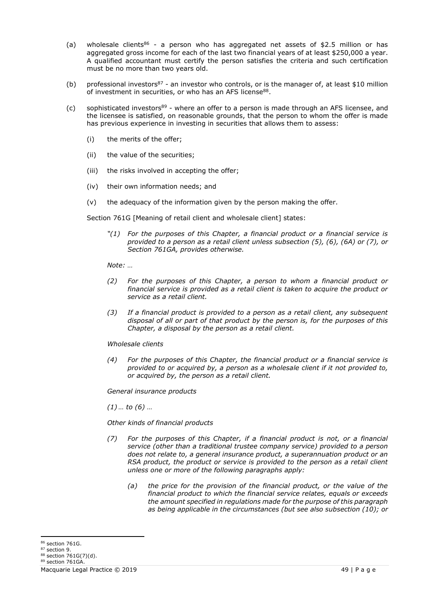- (a) wholesale clients<sup>86</sup> a person who has aggregated net assets of \$2.5 million or has aggregated gross income for each of the last two financial years of at least \$250,000 a year. A qualified accountant must certify the person satisfies the criteria and such certification must be no more than two years old.
- (b) professional investors<sup>87</sup> an investor who controls, or is the manager of, at least \$10 million of investment in securities, or who has an AFS license<sup>88</sup>.
- (c) sophisticated investors<sup>89</sup> where an offer to a person is made through an AFS licensee, and the licensee is satisfied, on reasonable grounds, that the person to whom the offer is made has previous experience in investing in securities that allows them to assess:
	- (i) the merits of the offer;
	- (ii) the value of the securities;
	- (iii) the risks involved in accepting the offer;
	- (iv) their own information needs; and
	- (v) the adequacy of the information given by the person making the offer.

Section 761G [Meaning of retail client and wholesale client] states:

*"(1) For the purposes of this Chapter, a financial product or a financial service is provided to a person as a retail client unless subsection (5), (6), (6A) or (7), or Section 761GA, provides otherwise.*

*Note: …*

- *(2) For the purposes of this Chapter, a person to whom a financial product or financial service is provided as a retail client is taken to acquire the product or service as a retail client.*
- *(3) If a financial product is provided to a person as a retail client, any subsequent disposal of all or part of that product by the person is, for the purposes of this Chapter, a disposal by the person as a retail client.*

# *Wholesale clients*

*(4) For the purposes of this Chapter, the financial product or a financial service is provided to or acquired by, a person as a wholesale client if it not provided to, or acquired by, the person as a retail client.*

*General insurance products*

*(1) … to (6) …*

*Other kinds of financial products*

- *(7) For the purposes of this Chapter, if a financial product is not, or a financial service (other than a traditional trustee company service) provided to a person does not relate to, a general insurance product, a superannuation product or an RSA product, the product or service is provided to the person as a retail client unless one or more of the following paragraphs apply:*
	- *(a) the price for the provision of the financial product, or the value of the financial product to which the financial service relates, equals or exceeds the amount specified in regulations made for the purpose of this paragraph as being applicable in the circumstances (but see also subsection (10); or*

<sup>86</sup> section 761G.

<sup>87</sup> section 9.

<sup>88</sup> section 761G(7)(d).

<sup>89</sup> section 761GA.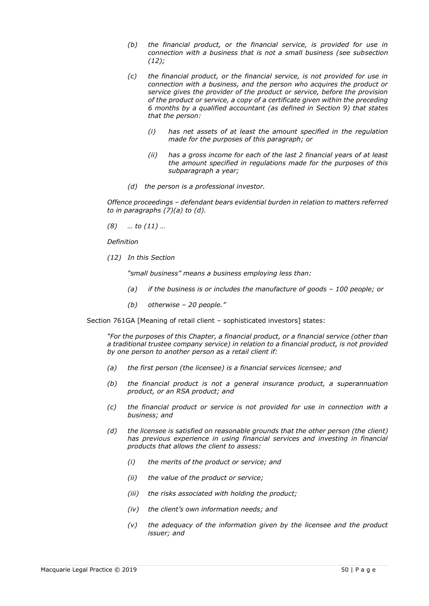- *(b) the financial product, or the financial service, is provided for use in connection with a business that is not a small business (see subsection (12);*
- *(c) the financial product, or the financial service, is not provided for use in connection with a business, and the person who acquires the product or service gives the provider of the product or service, before the provision of the product or service, a copy of a certificate given within the preceding 6 months by a qualified accountant (as defined in Section 9) that states that the person:*
	- *(i) has net assets of at least the amount specified in the regulation made for the purposes of this paragraph; or*
	- *(ii) has a gross income for each of the last 2 financial years of at least the amount specified in regulations made for the purposes of this subparagraph a year;*
- *(d) the person is a professional investor.*

*Offence proceedings – defendant bears evidential burden in relation to matters referred to in paragraphs (7)(a) to (d).*

*(8) … to (11) …*

*Definition*

*(12) In this Section*

*"small business" means a business employing less than:*

- *(a) if the business is or includes the manufacture of goods – 100 people; or*
- *(b) otherwise – 20 people."*

Section 761GA [Meaning of retail client – sophisticated investors] states:

*"For the purposes of this Chapter, a financial product, or a financial service (other than a traditional trustee company service) in relation to a financial product, is not provided by one person to another person as a retail client if:*

- *(a) the first person (the licensee) is a financial services licensee; and*
- *(b) the financial product is not a general insurance product, a superannuation product, or an RSA product; and*
- *(c) the financial product or service is not provided for use in connection with a business; and*
- *(d) the licensee is satisfied on reasonable grounds that the other person (the client) has previous experience in using financial services and investing in financial products that allows the client to assess:*
	- *(i) the merits of the product or service; and*
	- *(ii) the value of the product or service;*
	- *(iii) the risks associated with holding the product;*
	- *(iv) the client's own information needs; and*
	- *(v) the adequacy of the information given by the licensee and the product issuer; and*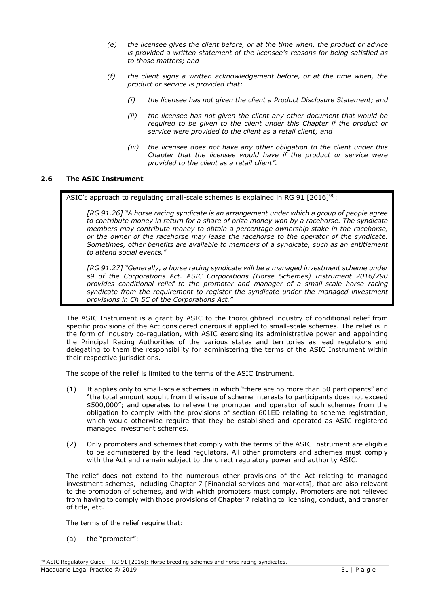- *(e) the licensee gives the client before, or at the time when, the product or advice is provided a written statement of the licensee's reasons for being satisfied as to those matters; and*
- *(f) the client signs a written acknowledgement before, or at the time when, the product or service is provided that:*
	- *(i) the licensee has not given the client a Product Disclosure Statement; and*
	- *(ii) the licensee has not given the client any other document that would be required to be given to the client under this Chapter if the product or service were provided to the client as a retail client; and*
	- *(iii) the licensee does not have any other obligation to the client under this Chapter that the licensee would have if the product or service were provided to the client as a retail client".*

# **2.6 The ASIC Instrument**

ASIC's approach to regulating small-scale schemes is explained in RG 91  $[2016]^{90}$ :

*[RG 91.26] "A horse racing syndicate is an arrangement under which a group of people agree to contribute money in return for a share of prize money won by a racehorse. The syndicate members may contribute money to obtain a percentage ownership stake in the racehorse, or the owner of the racehorse may lease the racehorse to the operator of the syndicate. Sometimes, other benefits are available to members of a syndicate, such as an entitlement to attend social events."*

*[RG 91.27] "Generally, a horse racing syndicate will be a managed investment scheme under s9 of the Corporations Act. ASIC Corporations (Horse Schemes) Instrument 2016/790 provides conditional relief to the promoter and manager of a small-scale horse racing syndicate from the requirement to register the syndicate under the managed investment provisions in Ch 5C of the Corporations Act."*

The ASIC Instrument is a grant by ASIC to the thoroughbred industry of conditional relief from specific provisions of the Act considered onerous if applied to small-scale schemes. The relief is in the form of industry co-regulation, with ASIC exercising its administrative power and appointing the Principal Racing Authorities of the various states and territories as lead regulators and delegating to them the responsibility for administering the terms of the ASIC Instrument within their respective jurisdictions.

The scope of the relief is limited to the terms of the ASIC Instrument.

- (1) It applies only to small-scale schemes in which "there are no more than 50 participants" and "the total amount sought from the issue of scheme interests to participants does not exceed \$500,000"; and operates to relieve the promoter and operator of such schemes from the obligation to comply with the provisions of section 601ED relating to scheme registration, which would otherwise require that they be established and operated as ASIC registered managed investment schemes.
- (2) Only promoters and schemes that comply with the terms of the ASIC Instrument are eligible to be administered by the lead regulators. All other promoters and schemes must comply with the Act and remain subject to the direct regulatory power and authority ASIC.

The relief does not extend to the numerous other provisions of the Act relating to managed investment schemes, including Chapter 7 [Financial services and markets], that are also relevant to the promotion of schemes, and with which promoters must comply. Promoters are not relieved from having to comply with those provisions of Chapter 7 relating to licensing, conduct, and transfer of title, etc.

The terms of the relief require that:

(a) the "promoter":

Macquarie Legal Practice © 2019 51 | P a g e 90 ASIC Regulatory Guide - RG 91 [2016]: Horse breeding schemes and horse racing syndicates.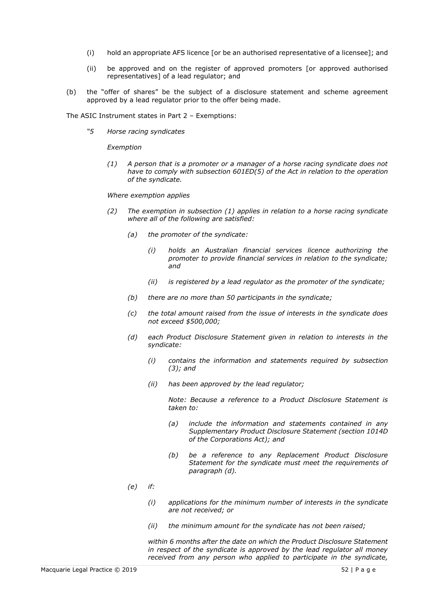- (i) hold an appropriate AFS licence [or be an authorised representative of a licensee]; and
- (ii) be approved and on the register of approved promoters [or approved authorised representatives] of a lead regulator; and
- (b) the "offer of shares" be the subject of a disclosure statement and scheme agreement approved by a lead regulator prior to the offer being made.

The ASIC Instrument states in Part 2 – Exemptions:

*"5 Horse racing syndicates*

*Exemption*

*(1) A person that is a promoter or a manager of a horse racing syndicate does not have to comply with subsection 601ED(5) of the Act in relation to the operation of the syndicate.*

*Where exemption applies*

- *(2) The exemption in subsection (1) applies in relation to a horse racing syndicate where all of the following are satisfied:*
	- *(a) the promoter of the syndicate:*
		- *(i) holds an Australian financial services licence authorizing the promoter to provide financial services in relation to the syndicate; and*
		- *(ii) is registered by a lead regulator as the promoter of the syndicate;*
	- *(b) there are no more than 50 participants in the syndicate;*
	- *(c) the total amount raised from the issue of interests in the syndicate does not exceed \$500,000;*
	- *(d) each Product Disclosure Statement given in relation to interests in the syndicate:*
		- *(i) contains the information and statements required by subsection (3); and*
		- *(ii) has been approved by the lead regulator;*

*Note: Because a reference to a Product Disclosure Statement is taken to:*

- *(a) include the information and statements contained in any Supplementary Product Disclosure Statement (section 1014D of the Corporations Act); and*
- *(b) be a reference to any Replacement Product Disclosure Statement for the syndicate must meet the requirements of paragraph (d).*
- *(e) if:*
	- *(i) applications for the minimum number of interests in the syndicate are not received; or*
	- *(ii) the minimum amount for the syndicate has not been raised;*

*within 6 months after the date on which the Product Disclosure Statement in respect of the syndicate is approved by the lead regulator all money received from any person who applied to participate in the syndicate,*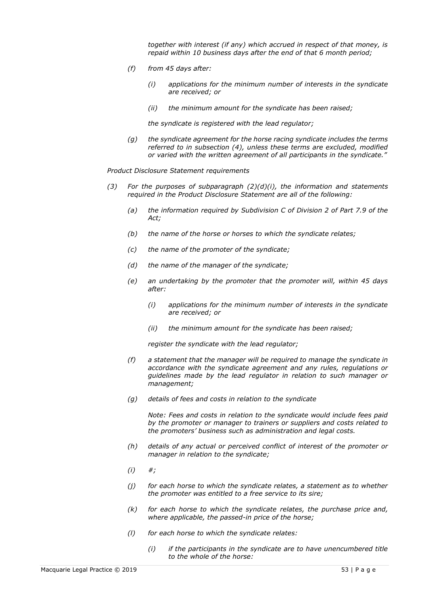*together with interest (if any) which accrued in respect of that money, is repaid within 10 business days after the end of that 6 month period;*

- *(f) from 45 days after:*
	- *(i) applications for the minimum number of interests in the syndicate are received; or*
	- *(ii) the minimum amount for the syndicate has been raised;*

*the syndicate is registered with the lead regulator;*

*(g) the syndicate agreement for the horse racing syndicate includes the terms referred to in subsection (4), unless these terms are excluded, modified or varied with the written agreement of all participants in the syndicate."*

*Product Disclosure Statement requirements*

- *(3) For the purposes of subparagraph (2)(d)(i), the information and statements required in the Product Disclosure Statement are all of the following:*
	- *(a) the information required by Subdivision C of Division 2 of Part 7.9 of the Act;*
	- *(b) the name of the horse or horses to which the syndicate relates;*
	- *(c) the name of the promoter of the syndicate;*
	- *(d) the name of the manager of the syndicate;*
	- *(e) an undertaking by the promoter that the promoter will, within 45 days after:*
		- *(i) applications for the minimum number of interests in the syndicate are received; or*
		- *(ii) the minimum amount for the syndicate has been raised;*

*register the syndicate with the lead regulator;*

- *(f) a statement that the manager will be required to manage the syndicate in accordance with the syndicate agreement and any rules, regulations or guidelines made by the lead regulator in relation to such manager or management;*
- *(g) details of fees and costs in relation to the syndicate*

*Note: Fees and costs in relation to the syndicate would include fees paid by the promoter or manager to trainers or suppliers and costs related to the promoters' business such as administration and legal costs.*

- *(h) details of any actual or perceived conflict of interest of the promoter or manager in relation to the syndicate;*
- *(i) #;*
- *(j) for each horse to which the syndicate relates, a statement as to whether the promoter was entitled to a free service to its sire;*
- *(k) for each horse to which the syndicate relates, the purchase price and, where applicable, the passed-in price of the horse;*
- *(l) for each horse to which the syndicate relates:*
	- *(i) if the participants in the syndicate are to have unencumbered title to the whole of the horse:*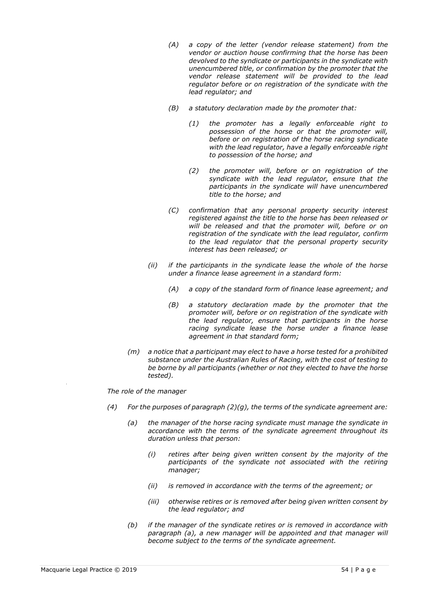- *(A) a copy of the letter (vendor release statement) from the vendor or auction house confirming that the horse has been devolved to the syndicate or participants in the syndicate with unencumbered title, or confirmation by the promoter that the vendor release statement will be provided to the lead regulator before or on registration of the syndicate with the lead regulator; and*
- *(B) a statutory declaration made by the promoter that:*
	- *(1) the promoter has a legally enforceable right to possession of the horse or that the promoter will, before or on registration of the horse racing syndicate with the lead regulator, have a legally enforceable right to possession of the horse; and*
	- *(2) the promoter will, before or on registration of the syndicate with the lead regulator, ensure that the participants in the syndicate will have unencumbered title to the horse; and*
- *(C) confirmation that any personal property security interest registered against the title to the horse has been released or will be released and that the promoter will, before or on registration of the syndicate with the lead regulator, confirm to the lead regulator that the personal property security interest has been released; or*
- *(ii) if the participants in the syndicate lease the whole of the horse under a finance lease agreement in a standard form:*
	- *(A) a copy of the standard form of finance lease agreement; and*
	- *(B) a statutory declaration made by the promoter that the promoter will, before or on registration of the syndicate with the lead regulator, ensure that participants in the horse racing syndicate lease the horse under a finance lease agreement in that standard form;*
- *(m) a notice that a participant may elect to have a horse tested for a prohibited substance under the Australian Rules of Racing, with the cost of testing to be borne by all participants (whether or not they elected to have the horse tested).*

*The role of the manager*

- *(4) For the purposes of paragraph (2)(g), the terms of the syndicate agreement are:*
	- *(a) the manager of the horse racing syndicate must manage the syndicate in accordance with the terms of the syndicate agreement throughout its duration unless that person:*
		- *(i) retires after being given written consent by the majority of the participants of the syndicate not associated with the retiring manager;*
		- *(ii) is removed in accordance with the terms of the agreement; or*
		- *(iii) otherwise retires or is removed after being given written consent by the lead regulator; and*
	- *(b) if the manager of the syndicate retires or is removed in accordance with paragraph (a), a new manager will be appointed and that manager will become subject to the terms of the syndicate agreement.*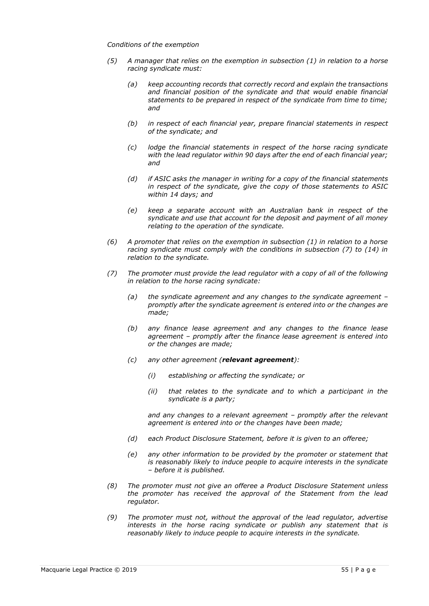#### *Conditions of the exemption*

- *(5) A manager that relies on the exemption in subsection (1) in relation to a horse racing syndicate must:*
	- *(a) keep accounting records that correctly record and explain the transactions and financial position of the syndicate and that would enable financial statements to be prepared in respect of the syndicate from time to time; and*
	- *(b) in respect of each financial year, prepare financial statements in respect of the syndicate; and*
	- *(c) lodge the financial statements in respect of the horse racing syndicate with the lead regulator within 90 days after the end of each financial year; and*
	- *(d) if ASIC asks the manager in writing for a copy of the financial statements in respect of the syndicate, give the copy of those statements to ASIC within 14 days; and*
	- *(e) keep a separate account with an Australian bank in respect of the syndicate and use that account for the deposit and payment of all money relating to the operation of the syndicate.*
- *(6) A promoter that relies on the exemption in subsection (1) in relation to a horse racing syndicate must comply with the conditions in subsection (7) to (14) in relation to the syndicate.*
- *(7) The promoter must provide the lead regulator with a copy of all of the following in relation to the horse racing syndicate:*
	- *(a) the syndicate agreement and any changes to the syndicate agreement – promptly after the syndicate agreement is entered into or the changes are made;*
	- *(b) any finance lease agreement and any changes to the finance lease agreement – promptly after the finance lease agreement is entered into or the changes are made;*
	- *(c) any other agreement (relevant agreement):*
		- *(i) establishing or affecting the syndicate; or*
		- *(ii) that relates to the syndicate and to which a participant in the syndicate is a party;*

*and any changes to a relevant agreement – promptly after the relevant agreement is entered into or the changes have been made;*

- *(d) each Product Disclosure Statement, before it is given to an offeree;*
- *(e) any other information to be provided by the promoter or statement that is reasonably likely to induce people to acquire interests in the syndicate – before it is published.*
- *(8) The promoter must not give an offeree a Product Disclosure Statement unless the promoter has received the approval of the Statement from the lead regulator.*
- *(9) The promoter must not, without the approval of the lead regulator, advertise interests in the horse racing syndicate or publish any statement that is reasonably likely to induce people to acquire interests in the syndicate.*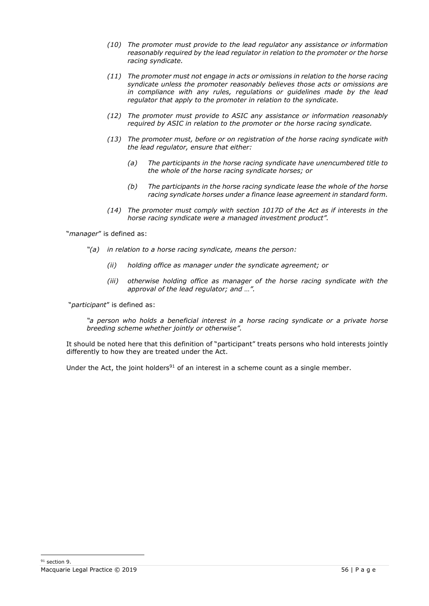- *(10) The promoter must provide to the lead regulator any assistance or information reasonably required by the lead regulator in relation to the promoter or the horse racing syndicate.*
- *(11) The promoter must not engage in acts or omissions in relation to the horse racing syndicate unless the promoter reasonably believes those acts or omissions are in compliance with any rules, regulations or guidelines made by the lead regulator that apply to the promoter in relation to the syndicate.*
- *(12) The promoter must provide to ASIC any assistance or information reasonably required by ASIC in relation to the promoter or the horse racing syndicate.*
- *(13) The promoter must, before or on registration of the horse racing syndicate with the lead regulator, ensure that either:*
	- *(a) The participants in the horse racing syndicate have unencumbered title to the whole of the horse racing syndicate horses; or*
	- *(b) The participants in the horse racing syndicate lease the whole of the horse racing syndicate horses under a finance lease agreement in standard form.*
- *(14) The promoter must comply with section 1017D of the Act as if interests in the horse racing syndicate were a managed investment product".*

"*manager*" is defined as:

- *"(a) in relation to a horse racing syndicate, means the person:*
	- *(ii) holding office as manager under the syndicate agreement; or*
	- *(iii) otherwise holding office as manager of the horse racing syndicate with the approval of the lead regulator; and …".*

"*participant*" is defined as:

*"a person who holds a beneficial interest in a horse racing syndicate or a private horse breeding scheme whether jointly or otherwise".*

It should be noted here that this definition of "participant" treats persons who hold interests jointly differently to how they are treated under the Act.

Under the Act, the joint holders<sup>91</sup> of an interest in a scheme count as a single member.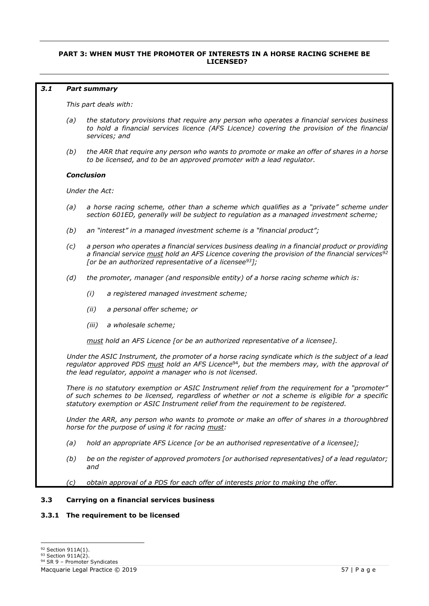# **PART 3: WHEN MUST THE PROMOTER OF INTERESTS IN A HORSE RACING SCHEME BE LICENSED?**

#### *3.1 Part summary*

*This part deals with:*

- *(a) the statutory provisions that require any person who operates a financial services business to hold a financial services licence (AFS Licence) covering the provision of the financial services; and*
- *(b) the ARR that require any person who wants to promote or make an offer of shares in a horse to be licensed, and to be an approved promoter with a lead regulator.*

#### *Conclusion*

*Under the Act:*

- *(a) a horse racing scheme, other than a scheme which qualifies as a "private" scheme under section 601ED, generally will be subject to regulation as a managed investment scheme;*
- *(b) an "interest" in a managed investment scheme is a "financial product";*
- *(c) a person who operates a financial services business dealing in a financial product or providing a financial service must hold an AFS Licence covering the provision of the financial services<sup>92</sup> [or be an authorized representative of a licensee<sup>93</sup>];*
- *(d) the promoter, manager (and responsible entity) of a horse racing scheme which is:*
	- *(i) a registered managed investment scheme;*
	- *(ii) a personal offer scheme; or*
	- *(iii) a wholesale scheme;*

*must hold an AFS Licence [or be an authorized representative of a licensee].*

*Under the ASIC Instrument, the promoter of a horse racing syndicate which is the subject of a lead regulator approved PDS must hold an AFS Licence*<sup>94</sup>*, but the members may, with the approval of the lead regulator, appoint a manager who is not licensed.*

*There is no statutory exemption or ASIC Instrument relief from the requirement for a "promoter" of such schemes to be licensed, regardless of whether or not a scheme is eligible for a specific statutory exemption or ASIC Instrument relief from the requirement to be registered.*

*Under the ARR, any person who wants to promote or make an offer of shares in a thoroughbred horse for the purpose of using it for racing must:*

- *(a) hold an appropriate AFS Licence [or be an authorised representative of a licensee];*
- *(b) be on the register of approved promoters [or authorised representatives] of a lead regulator; and*
- *(c) obtain approval of a PDS for each offer of interests prior to making the offer.*

### **3.3 Carrying on a financial services business**

# **3.3.1 The requirement to be licensed**

<sup>92</sup> Section 911A(1).

<sup>93</sup> Section 911A(2).

<sup>94</sup> SR 9 - Promoter Syndicates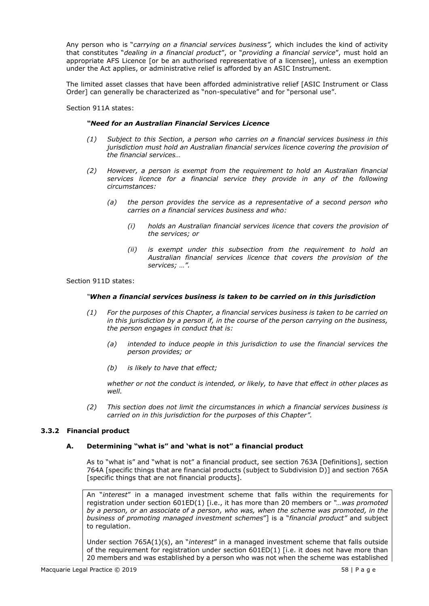Any person who is "*carrying on a financial services business",* which includes the kind of activity that constitutes "*dealing in a financial product*", or "*providing a financial service*", must hold an appropriate AFS Licence [or be an authorised representative of a licensee], unless an exemption under the Act applies, or administrative relief is afforded by an ASIC Instrument.

The limited asset classes that have been afforded administrative relief [ASIC Instrument or Class Order] can generally be characterized as "non-speculative" and for "personal use".

Section 911A states:

#### *"Need for an Australian Financial Services Licence*

- *(1) Subject to this Section, a person who carries on a financial services business in this jurisdiction must hold an Australian financial services licence covering the provision of the financial services…*
- *(2) However, a person is exempt from the requirement to hold an Australian financial services licence for a financial service they provide in any of the following circumstances:*
	- *(a) the person provides the service as a representative of a second person who carries on a financial services business and who:*
		- *(i) holds an Australian financial services licence that covers the provision of the services; or*
		- *(ii) is exempt under this subsection from the requirement to hold an Australian financial services licence that covers the provision of the services; …".*

#### Section 911D states:

#### *"When a financial services business is taken to be carried on in this jurisdiction*

- *(1) For the purposes of this Chapter, a financial services business is taken to be carried on in this jurisdiction by a person if, in the course of the person carrying on the business, the person engages in conduct that is:*
	- *(a) intended to induce people in this jurisdiction to use the financial services the person provides; or*
	- *(b) is likely to have that effect;*

*whether or not the conduct is intended, or likely, to have that effect in other places as well.*

*(2) This section does not limit the circumstances in which a financial services business is carried on in this jurisdiction for the purposes of this Chapter".*

### **3.3.2 Financial product**

### **A. Determining "what is" and 'what is not" a financial product**

As to "what is" and "what is not" a financial product, see section 763A [Definitions], section 764A [specific things that are financial products (subject to Subdivision D)] and section 765A [specific things that are not financial products].

An "*interest*" in a managed investment scheme that falls within the requirements for registration under section 601ED(1) [i.e., it has more than 20 members or *"…was promoted by a person, or an associate of a person, who was, when the scheme was promoted, in the business of promoting managed investment schemes*"] is a "*financial product"* and subject to regulation.

Under section 765A(1)(s), an "*interest*" in a managed investment scheme that falls outside of the requirement for registration under section 601ED(1) [i.e. it does not have more than 20 members and was established by a person who was not when the scheme was established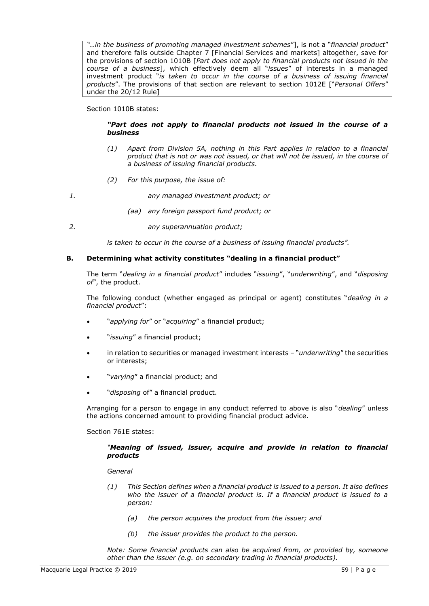*"…in the business of promoting managed investment schemes*"], is not a "*financial product*" and therefore falls outside Chapter 7 [Financial Services and markets] altogether, save for the provisions of section 1010B [*Part does not apply to financial products not issued in the course of a business*], which effectively deem all "*issues*" of interests in a managed investment product "*is taken to occur in the course of a business of issuing financial products*". The provisions of that section are relevant to section 1012E ["*Personal Offers*" under the 20/12 Rule]

#### Section 1010B states:

### *"Part does not apply to financial products not issued in the course of a business*

- *(1) Apart from Division 5A, nothing in this Part applies in relation to a financial product that is not or was not issued, or that will not be issued, in the course of a business of issuing financial products.*
- *(2) For this purpose, the issue of:*

*1. any managed investment product; or*

- *(aa) any foreign passport fund product; or*
- *2. any superannuation product;*

*is taken to occur in the course of a business of issuing financial products".*

### **B. Determining what activity constitutes "dealing in a financial product"**

The term "*dealing in a financial product*" includes "*issuing*", "*underwriting*", and "*disposing of*", the product.

The following conduct (whether engaged as principal or agent) constitutes "*dealing in a financial product*":

- "*applying for*" or "*acquiring*" a financial product;
- "*issuing*" a financial product;
- in relation to securities or managed investment interests "*underwriting*" the securities or interests;
- "*varying*" a financial product; and
- "*disposing* of" a financial product.

Arranging for a person to engage in any conduct referred to above is also "*dealing*" unless the actions concerned amount to providing financial product advice.

Section 761E states:

### *"Meaning of issued, issuer, acquire and provide in relation to financial products*

*General*

- *(1) This Section defines when a financial product is issued to a person. It also defines who the issuer of a financial product is. If a financial product is issued to a person:*
	- *(a) the person acquires the product from the issuer; and*
	- *(b) the issuer provides the product to the person.*

*Note: Some financial products can also be acquired from, or provided by, someone other than the issuer (e.g. on secondary trading in financial products).*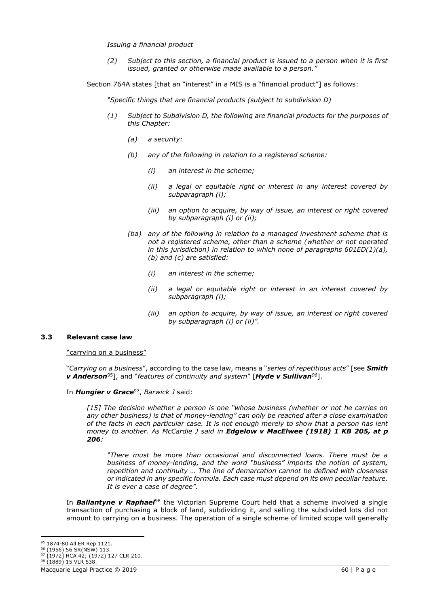*Issuing a financial product* 

*(2) Subject to this section, a financial product is issued to a person when it is first issued, granted or otherwise made available to a person."*

Section 764A states [that an "interest" in a MIS is a "financial product"] as follows:

*"Specific things that are financial products (subject to subdivision D)*

- *(1) Subject to Subdivision D, the following are financial products for the purposes of this Chapter:*
	- *(a) a security:*
	- *(b) any of the following in relation to a registered scheme:*
		- *(i) an interest in the scheme;*
		- *(ii) a legal or equitable right or interest in any interest covered by subparagraph (i);*
		- *(iii) an option to acquire, by way of issue, an interest or right covered by subparagraph (i) or (ii);*
	- *(ba) any of the following in relation to a managed investment scheme that is not a registered scheme, other than a scheme (whether or not operated in this jurisdiction) in relation to which none of paragraphs 601ED(1)(a), (b) and (c) are satisfied:*
		- *(i) an interest in the scheme;*
		- *(ii) a legal or equitable right or interest in an interest covered by subparagraph (i);*
		- *(iii) an option to acquire, by way of issue, an interest or right covered by subparagraph (i) or (ii)".*

#### **3.3 Relevant case law**

"carrying on a business"

"*Carrying on a business*", according to the case law, means a "*series of repetitious acts*" [see *Smith v Anderson*<sup>95</sup>], and "*features of continuity and system*" [*Hyde v Sullivan<sup>96</sup>*].

In *Hungier v Grace*<sup>97</sup> , *Barwick J* said:

*[15] The decision whether a person is one "whose business (whether or not he carries on any other business) is that of money-lending" can only be reached after a close examination of the facts in each particular case. It is not enough merely to show that a person has lent money to another. As McCardie J said in Edgelow v MacElwee (1918) 1 KB 205, at p 206:*

*"There must be more than occasional and disconnected loans. There must be a business of money-lending, and the word "business" imports the notion of system, repetition and continuity … The line of demarcation cannot be defined with closeness or indicated in any specific formula. Each case must depend on its own peculiar feature. It is ever a case of degree".*

In *Ballantyne v Raphael*<sup>98</sup> the Victorian Supreme Court held that a scheme involved a single transaction of purchasing a block of land, subdividing it, and selling the subdivided lots did not amount to carrying on a business. The operation of a single scheme of limited scope will generally

<sup>95 1874-80</sup> All ER Rep 1121.

<sup>96</sup> (1956) 56 SR(NSW) 113. 97 [1972] HCA 42; (1972) 127 CLR 210.

<sup>98 (1889) 15</sup> VLR 538.

Macquarie Legal Practice © 2019 **60 | P** a g e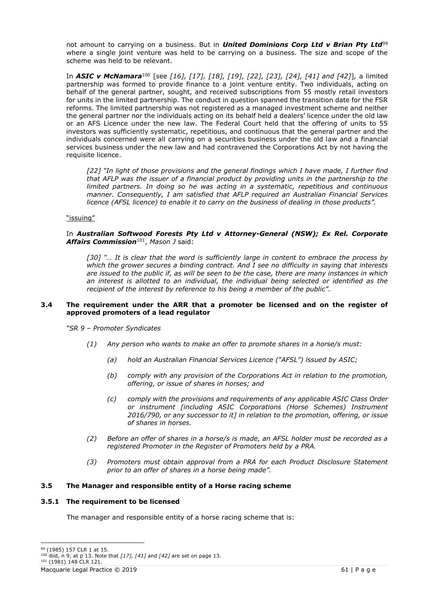not amount to carrying on a business. But in *United Dominions Corp Ltd v Brian Pty Ltd*<sup>99</sup> where a single joint venture was held to be carrying on a business. The size and scope of the scheme was held to be relevant.

In *ASIC v McNamara*<sup>100</sup> [see *[16], [17], [18], [19], [22], [23], [24], [41] and [42]*]*,* a limited partnership was formed to provide finance to a joint venture entity. Two individuals, acting on behalf of the general partner, sought, and received subscriptions from 55 mostly retail investors for units in the limited partnership. The conduct in question spanned the transition date for the FSR reforms. The limited partnership was not registered as a managed investment scheme and neither the general partner nor the individuals acting on its behalf held a dealers' licence under the old law or an AFS Licence under the new law. The Federal Court held that the offering of units to 55 investors was sufficiently systematic, repetitious, and continuous that the general partner and the individuals concerned were all carrying on a securities business under the old law and a financial services business under the new law and had contravened the Corporations Act by not having the requisite licence.

*[22] "In light of those provisions and the general findings which I have made, I further find that AFLP was the issuer of a financial product by providing units in the partnership to the limited partners. In doing so he was acting in a systematic, repetitious and continuous manner. Consequently, I am satisfied that AFLP required an Australian Financial Services licence (AFSL licence) to enable it to carry on the business of dealing in those products".*

"issuing"

#### In *Australian Softwood Forests Pty Ltd v Attorney-General (NSW); Ex Rel. Corporate Affairs Commission*<sup>101</sup> , *Mason J* said:

*[30] "… It is clear that the word is sufficiently large in content to embrace the process by which the grower secures a binding contract. And I see no difficulty in saying that interests are issued to the public if, as will be seen to be the case, there are many instances in which an interest is allotted to an individual, the individual being selected or identified as the recipient of the interest by reference to his being a member of the public".*

### **3.4 The requirement under the ARR that a promoter be licensed and on the register of approved promoters of a lead regulator**

*"SR 9 – Promoter Syndicates*

- *(1) Any person who wants to make an offer to promote shares in a horse/s must:*
	- *(a) hold an Australian Financial Services Licence ("AFSL") issued by ASIC;*
	- *(b) comply with any provision of the Corporations Act in relation to the promotion, offering, or issue of shares in horses; and*
	- *(c) comply with the provisions and requirements of any applicable ASIC Class Order or instrument [including ASIC Corporations (Horse Schemes) Instrument 2016/790, or any successor to it] in relation to the promotion, offering, or issue of shares in horses.*
- *(2) Before an offer of shares in a horse/s is made, an AFSL holder must be recorded as a registered Promoter in the Register of Promoters held by a PRA.*
- *(3) Promoters must obtain approval from a PRA for each Product Disclosure Statement prior to an offer of shares in a horse being made".*

### **3.5 The Manager and responsible entity of a Horse racing scheme**

### **3.5.1 The requirement to be licensed**

The manager and responsible entity of a horse racing scheme that is:

<sup>99</sup> (1985) 157 CLR 1 at 15.

<sup>100</sup> ibid, n 9, at p 13. Note that *[17], [41]* and *[42]* are set on page 13.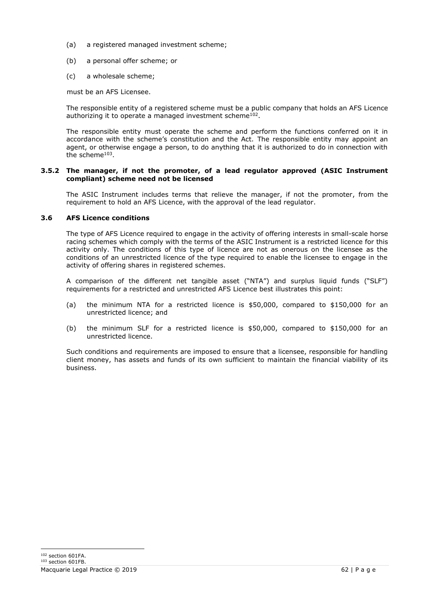- (a) a registered managed investment scheme;
- (b) a personal offer scheme; or
- (c) a wholesale scheme;

must be an AFS Licensee.

The responsible entity of a registered scheme must be a public company that holds an AFS Licence authorizing it to operate a managed investment scheme<sup>102</sup>.

The responsible entity must operate the scheme and perform the functions conferred on it in accordance with the scheme's constitution and the Act. The responsible entity may appoint an agent, or otherwise engage a person, to do anything that it is authorized to do in connection with the scheme<sup>103</sup>.

# **3.5.2 The manager, if not the promoter, of a lead regulator approved (ASIC Instrument compliant) scheme need not be licensed**

The ASIC Instrument includes terms that relieve the manager, if not the promoter, from the requirement to hold an AFS Licence, with the approval of the lead regulator.

# **3.6 AFS Licence conditions**

The type of AFS Licence required to engage in the activity of offering interests in small-scale horse racing schemes which comply with the terms of the ASIC Instrument is a restricted licence for this activity only. The conditions of this type of licence are not as onerous on the licensee as the conditions of an unrestricted licence of the type required to enable the licensee to engage in the activity of offering shares in registered schemes.

A comparison of the different net tangible asset ("NTA") and surplus liquid funds ("SLF") requirements for a restricted and unrestricted AFS Licence best illustrates this point:

- (a) the minimum NTA for a restricted licence is \$50,000, compared to \$150,000 for an unrestricted licence; and
- (b) the minimum SLF for a restricted licence is \$50,000, compared to \$150,000 for an unrestricted licence.

Such conditions and requirements are imposed to ensure that a licensee, responsible for handling client money, has assets and funds of its own sufficient to maintain the financial viability of its business.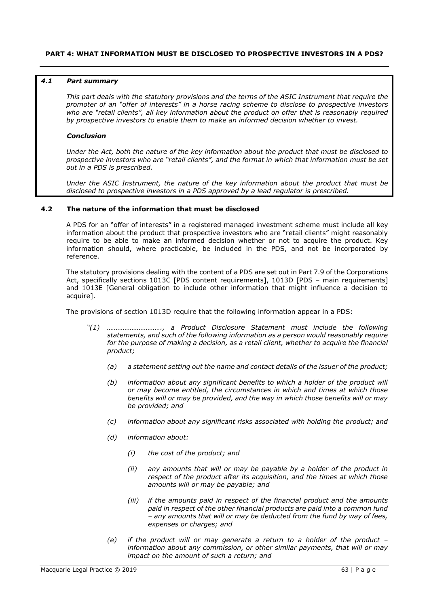### **PART 4: WHAT INFORMATION MUST BE DISCLOSED TO PROSPECTIVE INVESTORS IN A PDS?**

#### *4.1 Part summary*

*This part deals with the statutory provisions and the terms of the ASIC Instrument that require the promoter of an "offer of interests" in a horse racing scheme to disclose to prospective investors who are "retail clients", all key information about the product on offer that is reasonably required by prospective investors to enable them to make an informed decision whether to invest.*

#### *Conclusion*

*Under the Act, both the nature of the key information about the product that must be disclosed to prospective investors who are "retail clients", and the format in which that information must be set out in a PDS is prescribed.*

*Under the ASIC Instrument, the nature of the key information about the product that must be disclosed to prospective investors in a PDS approved by a lead regulator is prescribed.*

# **4.2 The nature of the information that must be disclosed**

A PDS for an "offer of interests" in a registered managed investment scheme must include all key information about the product that prospective investors who are "retail clients" might reasonably require to be able to make an informed decision whether or not to acquire the product. Key information should, where practicable, be included in the PDS, and not be incorporated by reference.

The statutory provisions dealing with the content of a PDS are set out in Part 7.9 of the Corporations Act, specifically sections 1013C [PDS content requirements], 1013D [PDS - main requirements] and 1013E [General obligation to include other information that might influence a decision to acquire].

The provisions of section 1013D require that the following information appear in a PDS:

- *"(1) …………………………., a Product Disclosure Statement must include the following statements, and such of the following information as a person would reasonably require*  for the purpose of making a decision, as a retail client, whether to acquire the financial *product;*
	- *(a) a statement setting out the name and contact details of the issuer of the product;*
	- *(b) information about any significant benefits to which a holder of the product will or may become entitled, the circumstances in which and times at which those benefits will or may be provided, and the way in which those benefits will or may be provided; and*
	- *(c) information about any significant risks associated with holding the product; and*
	- *(d) information about:*
		- *(i) the cost of the product; and*
		- *(ii) any amounts that will or may be payable by a holder of the product in respect of the product after its acquisition, and the times at which those amounts will or may be payable; and*
		- *(iii) if the amounts paid in respect of the financial product and the amounts paid in respect of the other financial products are paid into a common fund – any amounts that will or may be deducted from the fund by way of fees, expenses or charges; and*
	- *(e) if the product will or may generate a return to a holder of the product – information about any commission, or other similar payments, that will or may impact on the amount of such a return; and*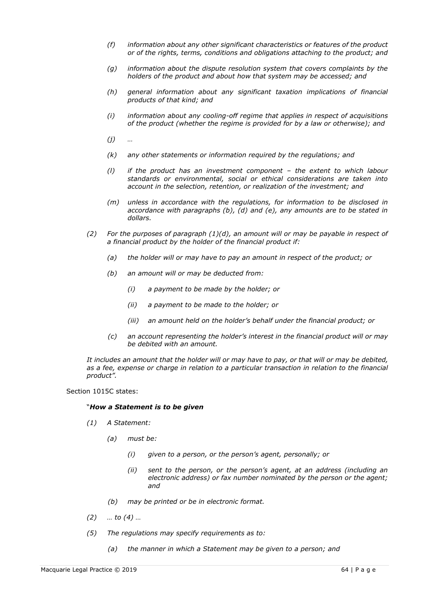- *(f) information about any other significant characteristics or features of the product or of the rights, terms, conditions and obligations attaching to the product; and*
- *(g) information about the dispute resolution system that covers complaints by the holders of the product and about how that system may be accessed; and*
- *(h) general information about any significant taxation implications of financial products of that kind; and*
- *(i) information about any cooling-off regime that applies in respect of acquisitions of the product (whether the regime is provided for by a law or otherwise); and*
- *(j) …*
- *(k) any other statements or information required by the regulations; and*
- *(l) if the product has an investment component – the extent to which labour standards or environmental, social or ethical considerations are taken into account in the selection, retention, or realization of the investment; and*
- *(m) unless in accordance with the regulations, for information to be disclosed in accordance with paragraphs (b), (d) and (e), any amounts are to be stated in dollars.*
- *(2) For the purposes of paragraph (1)(d), an amount will or may be payable in respect of a financial product by the holder of the financial product if:*
	- *(a) the holder will or may have to pay an amount in respect of the product; or*
	- *(b) an amount will or may be deducted from:*
		- *(i) a payment to be made by the holder; or*
		- *(ii) a payment to be made to the holder; or*
		- *(iii) an amount held on the holder's behalf under the financial product; or*
	- *(c) an account representing the holder's interest in the financial product will or may be debited with an amount.*

*It includes an amount that the holder will or may have to pay, or that will or may be debited,*  as a fee, expense or charge in relation to a particular transaction in relation to the financial *product".*

Section 1015C states:

#### "*How a Statement is to be given*

- *(1) A Statement:*
	- *(a) must be:*
		- *(i) given to a person, or the person's agent, personally; or*
		- *(ii) sent to the person, or the person's agent, at an address (including an electronic address) or fax number nominated by the person or the agent; and*
	- *(b) may be printed or be in electronic format.*
- *(2) … to (4) …*
- *(5) The regulations may specify requirements as to:*
	- *(a) the manner in which a Statement may be given to a person; and*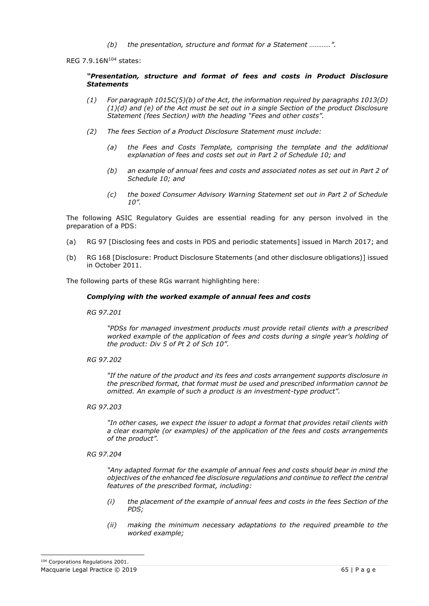*(b) the presentation, structure and format for a Statement …………".*

REG 7.9.16N<sup>104</sup> states:

#### *"Presentation, structure and format of fees and costs in Product Disclosure Statements*

- *(1) For paragraph 1015C(5)(b) of the Act, the information required by paragraphs 1013(D) (1)(d) and (e) of the Act must be set out in a single Section of the product Disclosure Statement (fees Section) with the heading "Fees and other costs".*
- *(2) The fees Section of a Product Disclosure Statement must include:*
	- *(a) the Fees and Costs Template, comprising the template and the additional explanation of fees and costs set out in Part 2 of Schedule 10; and*
	- *(b) an example of annual fees and costs and associated notes as set out in Part 2 of Schedule 10; and*
	- *(c) the boxed Consumer Advisory Warning Statement set out in Part 2 of Schedule 10".*

The following ASIC Regulatory Guides are essential reading for any person involved in the preparation of a PDS:

- (a) RG 97 [Disclosing fees and costs in PDS and periodic statements] issued in March 2017; and
- (b) RG 168 [Disclosure: Product Disclosure Statements (and other disclosure obligations)] issued in October 2011.

The following parts of these RGs warrant highlighting here:

#### *Complying with the worked example of annual fees and costs*

*RG 97.201*

*"PDSs for managed investment products must provide retail clients with a prescribed worked example of the application of fees and costs during a single year's holding of the product: Div 5 of Pt 2 of Sch 10".*

*RG 97.202*

*"If the nature of the product and its fees and costs arrangement supports disclosure in the prescribed format, that format must be used and prescribed information cannot be omitted. An example of such a product is an investment-type product".*

*RG 97.203*

*"In other cases, we expect the issuer to adopt a format that provides retail clients with a clear example (or examples) of the application of the fees and costs arrangements of the product".*

*RG 97.204*

*"Any adapted format for the example of annual fees and costs should bear in mind the objectives of the enhanced fee disclosure regulations and continue to reflect the central features of the prescribed format, including:*

- *(i) the placement of the example of annual fees and costs in the fees Section of the PDS;*
- *(ii) making the minimum necessary adaptations to the required preamble to the worked example;*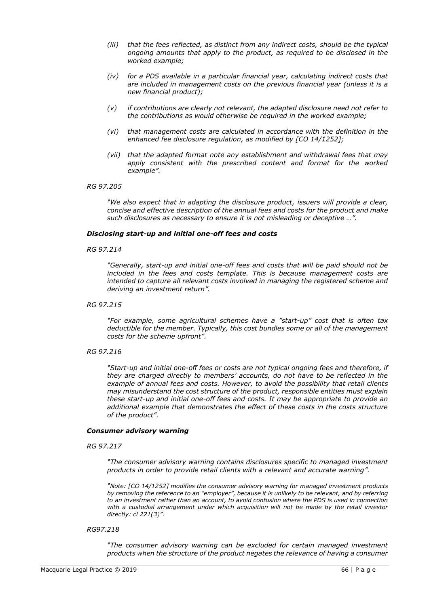- *(iii) that the fees reflected, as distinct from any indirect costs, should be the typical ongoing amounts that apply to the product, as required to be disclosed in the worked example;*
- *(iv) for a PDS available in a particular financial year, calculating indirect costs that are included in management costs on the previous financial year (unless it is a new financial product);*
- *(v) if contributions are clearly not relevant, the adapted disclosure need not refer to the contributions as would otherwise be required in the worked example;*
- *(vi) that management costs are calculated in accordance with the definition in the enhanced fee disclosure regulation, as modified by [CO 14/1252];*
- *(vii) that the adapted format note any establishment and withdrawal fees that may apply consistent with the prescribed content and format for the worked example".*

#### *RG 97.205*

*"We also expect that in adapting the disclosure product, issuers will provide a clear, concise and effective description of the annual fees and costs for the product and make such disclosures as necessary to ensure it is not misleading or deceptive …".*

#### *Disclosing start-up and initial one-off fees and costs*

*RG 97.214*

*"Generally, start-up and initial one-off fees and costs that will be paid should not be included in the fees and costs template. This is because management costs are intended to capture all relevant costs involved in managing the registered scheme and deriving an investment return".*

*RG 97.215*

*"For example, some agricultural schemes have a "start-up" cost that is often tax deductible for the member. Typically, this cost bundles some or all of the management costs for the scheme upfront".*

*RG 97.216*

*"Start-up and initial one-off fees or costs are not typical ongoing fees and therefore, if they are charged directly to members' accounts, do not have to be reflected in the example of annual fees and costs. However, to avoid the possibility that retail clients may misunderstand the cost structure of the product, responsible entities must explain these start-up and initial one-off fees and costs. It may be appropriate to provide an additional example that demonstrates the effect of these costs in the costs structure of the product".*

#### *Consumer advisory warning*

*RG 97.217*

*"The consumer advisory warning contains disclosures specific to managed investment products in order to provide retail clients with a relevant and accurate warning".*

*"Note: [CO 14/1252] modifies the consumer advisory warning for managed investment products by removing the reference to an "employer", because it is unlikely to be relevant, and by referring to an investment rather than an account, to avoid confusion where the PDS is used in connection with a custodial arrangement under which acquisition will not be made by the retail investor directly: cl 221(3)".*

*RG97.218*

*"The consumer advisory warning can be excluded for certain managed investment products when the structure of the product negates the relevance of having a consumer*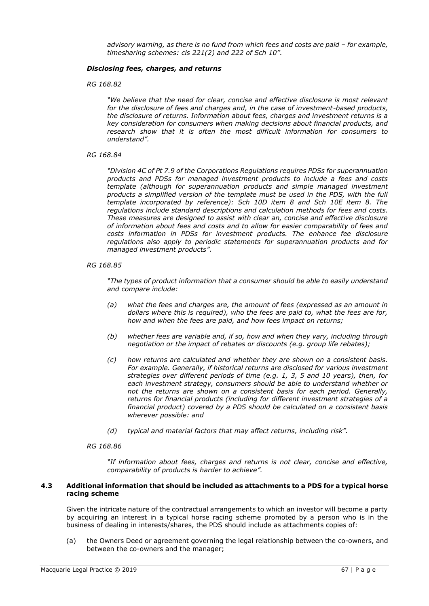*advisory warning, as there is no fund from which fees and costs are paid – for example, timesharing schemes: cls 221(2) and 222 of Sch 10".*

### *Disclosing fees, charges, and returns*

*RG 168.82*

*"We believe that the need for clear, concise and effective disclosure is most relevant for the disclosure of fees and charges and, in the case of investment-based products, the disclosure of returns. Information about fees, charges and investment returns is a key consideration for consumers when making decisions about financial products, and research show that it is often the most difficult information for consumers to understand".*

### *RG 168.84*

*"Division 4C of Pt 7.9 of the Corporations Regulations requires PDSs for superannuation products and PDSs for managed investment products to include a fees and costs template (although for superannuation products and simple managed investment products a simplified version of the template must be used in the PDS, with the full template incorporated by reference): Sch 10D item 8 and Sch 10E item 8. The regulations include standard descriptions and calculation methods for fees and costs. These measures are designed to assist with clear an, concise and effective disclosure of information about fees and costs and to allow for easier comparability of fees and costs information in PDSs for investment products. The enhance fee disclosure regulations also apply to periodic statements for superannuation products and for managed investment products".*

# *RG 168.85*

*"The types of product information that a consumer should be able to easily understand and compare include:*

- *(a) what the fees and charges are, the amount of fees (expressed as an amount in dollars where this is required), who the fees are paid to, what the fees are for, how and when the fees are paid, and how fees impact on returns;*
- *(b) whether fees are variable and, if so, how and when they vary, including through negotiation or the impact of rebates or discounts (e.g. group life rebates);*
- *(c) how returns are calculated and whether they are shown on a consistent basis. For example. Generally, if historical returns are disclosed for various investment strategies over different periods of time (e.g. 1, 3, 5 and 10 years), then, for each investment strategy, consumers should be able to understand whether or not the returns are shown on a consistent basis for each period. Generally, returns for financial products (including for different investment strategies of a financial product) covered by a PDS should be calculated on a consistent basis wherever possible: and*
- *(d) typical and material factors that may affect returns, including risk".*

#### *RG 168.86*

*"If information about fees, charges and returns is not clear, concise and effective, comparability of products is harder to achieve".*

### **4.3 Additional information that should be included as attachments to a PDS for a typical horse racing scheme**

Given the intricate nature of the contractual arrangements to which an investor will become a party by acquiring an interest in a typical horse racing scheme promoted by a person who is in the business of dealing in interests/shares, the PDS should include as attachments copies of:

(a) the Owners Deed or agreement governing the legal relationship between the co-owners, and between the co-owners and the manager;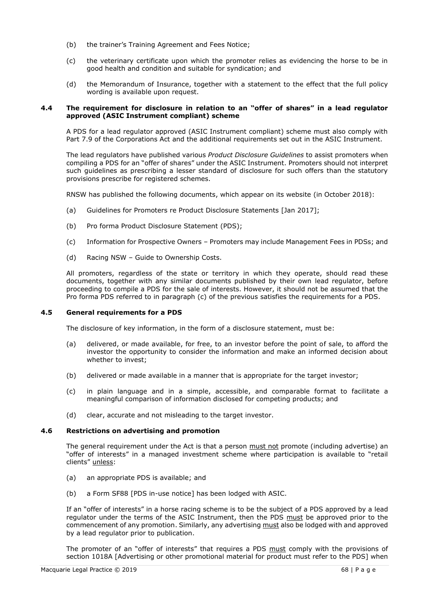- (b) the trainer's Training Agreement and Fees Notice;
- (c) the veterinary certificate upon which the promoter relies as evidencing the horse to be in good health and condition and suitable for syndication; and
- (d) the Memorandum of Insurance, together with a statement to the effect that the full policy wording is available upon request.

### **4.4 The requirement for disclosure in relation to an "offer of shares" in a lead regulator approved (ASIC Instrument compliant) scheme**

A PDS for a lead regulator approved (ASIC Instrument compliant) scheme must also comply with Part 7.9 of the Corporations Act and the additional requirements set out in the ASIC Instrument.

The lead regulators have published various *Product Disclosure Guidelines* to assist promoters when compiling a PDS for an "offer of shares" under the ASIC Instrument. Promoters should not interpret such guidelines as prescribing a lesser standard of disclosure for such offers than the statutory provisions prescribe for registered schemes.

RNSW has published the following documents, which appear on its website (in October 2018):

- (a) Guidelines for Promoters re Product Disclosure Statements [Jan 2017];
- (b) Pro forma Product Disclosure Statement (PDS);
- (c) Information for Prospective Owners Promoters may include Management Fees in PDSs; and
- (d) Racing NSW Guide to Ownership Costs.

All promoters, regardless of the state or territory in which they operate, should read these documents, together with any similar documents published by their own lead regulator, before proceeding to compile a PDS for the sale of interests. However, it should not be assumed that the Pro forma PDS referred to in paragraph (c) of the previous satisfies the requirements for a PDS.

### **4.5 General requirements for a PDS**

The disclosure of key information, in the form of a disclosure statement, must be:

- (a) delivered, or made available, for free, to an investor before the point of sale, to afford the investor the opportunity to consider the information and make an informed decision about whether to invest;
- (b) delivered or made available in a manner that is appropriate for the target investor;
- (c) in plain language and in a simple, accessible, and comparable format to facilitate a meaningful comparison of information disclosed for competing products; and
- (d) clear, accurate and not misleading to the target investor.

#### **4.6 Restrictions on advertising and promotion**

The general requirement under the Act is that a person must not promote (including advertise) an "offer of interests" in a managed investment scheme where participation is available to "retail clients" unless:

- (a) an appropriate PDS is available; and
- (b) a Form SF88 [PDS in-use notice] has been lodged with ASIC.

If an "offer of interests" in a horse racing scheme is to be the subject of a PDS approved by a lead regulator under the terms of the ASIC Instrument, then the PDS must be approved prior to the commencement of any promotion. Similarly, any advertising must also be lodged with and approved by a lead regulator prior to publication.

The promoter of an "offer of interests" that requires a PDS must comply with the provisions of section 1018A [Advertising or other promotional material for product must refer to the PDS] when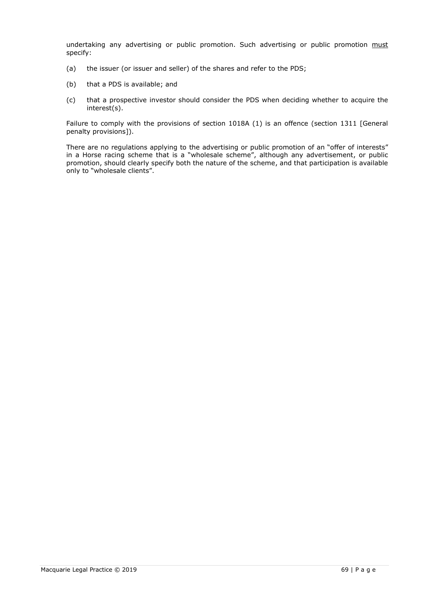undertaking any advertising or public promotion. Such advertising or public promotion must specify:

- (a) the issuer (or issuer and seller) of the shares and refer to the PDS;
- (b) that a PDS is available; and
- (c) that a prospective investor should consider the PDS when deciding whether to acquire the interest(s).

Failure to comply with the provisions of section 1018A (1) is an offence (section 1311 [General penalty provisions]).

There are no regulations applying to the advertising or public promotion of an "offer of interests" in a Horse racing scheme that is a "wholesale scheme", although any advertisement, or public promotion, should clearly specify both the nature of the scheme, and that participation is available only to "wholesale clients".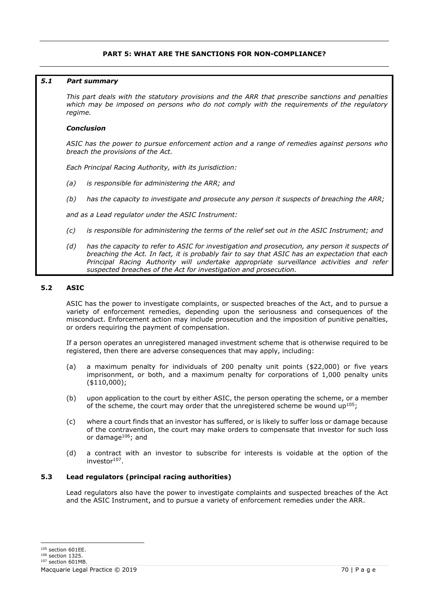# **PART 5: WHAT ARE THE SANCTIONS FOR NON-COMPLIANCE?**

### *5.1 Part summary*

*This part deals with the statutory provisions and the ARR that prescribe sanctions and penalties which may be imposed on persons who do not comply with the requirements of the regulatory regime.*

### *Conclusion*

*ASIC has the power to pursue enforcement action and a range of remedies against persons who breach the provisions of the Act.*

*Each Principal Racing Authority, with its jurisdiction:*

- *(a) is responsible for administering the ARR; and*
- *(b) has the capacity to investigate and prosecute any person it suspects of breaching the ARR;*

*and as a Lead regulator under the ASIC Instrument:*

- *(c) is responsible for administering the terms of the relief set out in the ASIC Instrument; and*
- *(d) has the capacity to refer to ASIC for investigation and prosecution, any person it suspects of breaching the Act. In fact, it is probably fair to say that ASIC has an expectation that each Principal Racing Authority will undertake appropriate surveillance activities and refer suspected breaches of the Act for investigation and prosecution.*

# **5.2 ASIC**

ASIC has the power to investigate complaints, or suspected breaches of the Act, and to pursue a variety of enforcement remedies, depending upon the seriousness and consequences of the misconduct. Enforcement action may include prosecution and the imposition of punitive penalties, or orders requiring the payment of compensation.

If a person operates an unregistered managed investment scheme that is otherwise required to be registered, then there are adverse consequences that may apply, including:

- (a) a maximum penalty for individuals of 200 penalty unit points (\$22,000) or five years imprisonment, or both, and a maximum penalty for corporations of 1,000 penalty units (\$110,000);
- (b) upon application to the court by either ASIC, the person operating the scheme, or a member of the scheme, the court may order that the unregistered scheme be wound up<sup>105</sup>;
- (c) where a court finds that an investor has suffered, or is likely to suffer loss or damage because of the contravention, the court may make orders to compensate that investor for such loss or damage<sup>106</sup>; and
- (d) a contract with an investor to subscribe for interests is voidable at the option of the investor<sup>107</sup>.

# **5.3 Lead regulators (principal racing authorities)**

Lead regulators also have the power to investigate complaints and suspected breaches of the Act and the ASIC Instrument, and to pursue a variety of enforcement remedies under the ARR.

<sup>105</sup> section 601EE.

<sup>106</sup> section 1325.

Macquarie Legal Practice © 2019 70 | P a g e

<sup>&</sup>lt;sup>107</sup> section 601MB.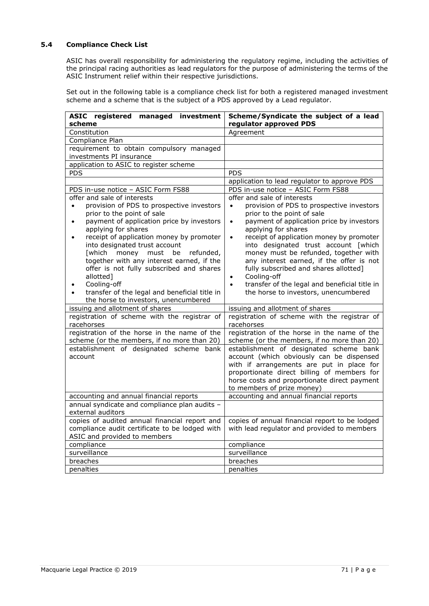# **5.4 Compliance Check List**

ASIC has overall responsibility for administering the regulatory regime, including the activities of the principal racing authorities as lead regulators for the purpose of administering the terms of the ASIC Instrument relief within their respective jurisdictions.

Set out in the following table is a compliance check list for both a registered managed investment scheme and a scheme that is the subject of a PDS approved by a Lead regulator.

| ASIC registered managed investment                                                                                                                                                                                                                                                                                                                                                                                                                                                                                                                                   | Scheme/Syndicate the subject of a lead                                                                                                                                                                                                                                                                                                                                                                                                                                                                                                                                |
|----------------------------------------------------------------------------------------------------------------------------------------------------------------------------------------------------------------------------------------------------------------------------------------------------------------------------------------------------------------------------------------------------------------------------------------------------------------------------------------------------------------------------------------------------------------------|-----------------------------------------------------------------------------------------------------------------------------------------------------------------------------------------------------------------------------------------------------------------------------------------------------------------------------------------------------------------------------------------------------------------------------------------------------------------------------------------------------------------------------------------------------------------------|
| scheme                                                                                                                                                                                                                                                                                                                                                                                                                                                                                                                                                               | regulator approved PDS                                                                                                                                                                                                                                                                                                                                                                                                                                                                                                                                                |
| Constitution                                                                                                                                                                                                                                                                                                                                                                                                                                                                                                                                                         | Agreement                                                                                                                                                                                                                                                                                                                                                                                                                                                                                                                                                             |
| Compliance Plan                                                                                                                                                                                                                                                                                                                                                                                                                                                                                                                                                      |                                                                                                                                                                                                                                                                                                                                                                                                                                                                                                                                                                       |
| requirement to obtain compulsory managed                                                                                                                                                                                                                                                                                                                                                                                                                                                                                                                             |                                                                                                                                                                                                                                                                                                                                                                                                                                                                                                                                                                       |
| investments PI insurance                                                                                                                                                                                                                                                                                                                                                                                                                                                                                                                                             |                                                                                                                                                                                                                                                                                                                                                                                                                                                                                                                                                                       |
| application to ASIC to register scheme                                                                                                                                                                                                                                                                                                                                                                                                                                                                                                                               |                                                                                                                                                                                                                                                                                                                                                                                                                                                                                                                                                                       |
| <b>PDS</b>                                                                                                                                                                                                                                                                                                                                                                                                                                                                                                                                                           | <b>PDS</b>                                                                                                                                                                                                                                                                                                                                                                                                                                                                                                                                                            |
|                                                                                                                                                                                                                                                                                                                                                                                                                                                                                                                                                                      | application to lead regulator to approve PDS                                                                                                                                                                                                                                                                                                                                                                                                                                                                                                                          |
| PDS in-use notice - ASIC Form FS88                                                                                                                                                                                                                                                                                                                                                                                                                                                                                                                                   | PDS in-use notice - ASIC Form FS88                                                                                                                                                                                                                                                                                                                                                                                                                                                                                                                                    |
| offer and sale of interests<br>provision of PDS to prospective investors<br>$\bullet$<br>prior to the point of sale<br>payment of application price by investors<br>$\bullet$<br>applying for shares<br>receipt of application money by promoter<br>$\bullet$<br>into designated trust account<br>[which money<br>must<br>be<br>refunded,<br>together with any interest earned, if the<br>offer is not fully subscribed and shares<br>allotted]<br>Cooling-off<br>transfer of the legal and beneficial title in<br>$\bullet$<br>the horse to investors, unencumbered | offer and sale of interests<br>provision of PDS to prospective investors<br>$\bullet$<br>prior to the point of sale<br>payment of application price by investors<br>$\bullet$<br>applying for shares<br>receipt of application money by promoter<br>$\bullet$<br>into designated trust account [which<br>money must be refunded, together with<br>any interest earned, if the offer is not<br>fully subscribed and shares allotted]<br>Cooling-off<br>$\bullet$<br>transfer of the legal and beneficial title in<br>$\bullet$<br>the horse to investors, unencumbered |
| issuing and allotment of shares                                                                                                                                                                                                                                                                                                                                                                                                                                                                                                                                      | issuing and allotment of shares                                                                                                                                                                                                                                                                                                                                                                                                                                                                                                                                       |
| registration of scheme with the registrar of<br>racehorses                                                                                                                                                                                                                                                                                                                                                                                                                                                                                                           | registration of scheme with the registrar of<br>racehorses                                                                                                                                                                                                                                                                                                                                                                                                                                                                                                            |
| registration of the horse in the name of the<br>scheme (or the members, if no more than 20)                                                                                                                                                                                                                                                                                                                                                                                                                                                                          | registration of the horse in the name of the<br>scheme (or the members, if no more than 20)                                                                                                                                                                                                                                                                                                                                                                                                                                                                           |
| establishment of designated scheme bank                                                                                                                                                                                                                                                                                                                                                                                                                                                                                                                              | establishment of designated scheme bank                                                                                                                                                                                                                                                                                                                                                                                                                                                                                                                               |
| account                                                                                                                                                                                                                                                                                                                                                                                                                                                                                                                                                              | account (which obviously can be dispensed<br>with if arrangements are put in place for<br>proportionate direct billing of members for<br>horse costs and proportionate direct payment<br>to members of prize money)                                                                                                                                                                                                                                                                                                                                                   |
| accounting and annual financial reports                                                                                                                                                                                                                                                                                                                                                                                                                                                                                                                              | accounting and annual financial reports                                                                                                                                                                                                                                                                                                                                                                                                                                                                                                                               |
| annual syndicate and compliance plan audits -<br>external auditors                                                                                                                                                                                                                                                                                                                                                                                                                                                                                                   |                                                                                                                                                                                                                                                                                                                                                                                                                                                                                                                                                                       |
| copies of audited annual financial report and<br>compliance audit certificate to be lodged with<br>ASIC and provided to members                                                                                                                                                                                                                                                                                                                                                                                                                                      | copies of annual financial report to be lodged<br>with lead regulator and provided to members                                                                                                                                                                                                                                                                                                                                                                                                                                                                         |
| compliance                                                                                                                                                                                                                                                                                                                                                                                                                                                                                                                                                           | compliance                                                                                                                                                                                                                                                                                                                                                                                                                                                                                                                                                            |
| surveillance                                                                                                                                                                                                                                                                                                                                                                                                                                                                                                                                                         | surveillance                                                                                                                                                                                                                                                                                                                                                                                                                                                                                                                                                          |
| breaches                                                                                                                                                                                                                                                                                                                                                                                                                                                                                                                                                             | breaches                                                                                                                                                                                                                                                                                                                                                                                                                                                                                                                                                              |
| penalties                                                                                                                                                                                                                                                                                                                                                                                                                                                                                                                                                            | penalties                                                                                                                                                                                                                                                                                                                                                                                                                                                                                                                                                             |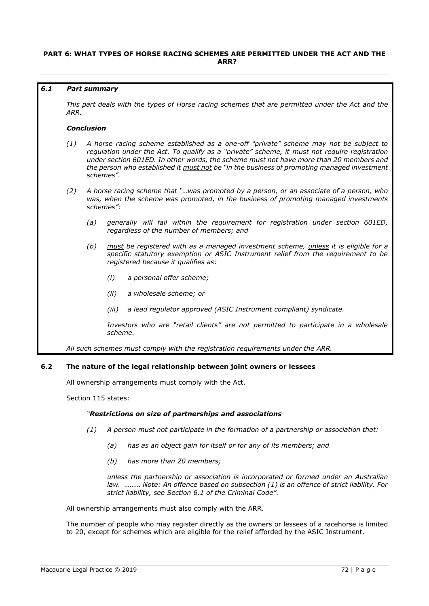# **PART 6: WHAT TYPES OF HORSE RACING SCHEMES ARE PERMITTED UNDER THE ACT AND THE ARR?**

### *6.1 Part summary*

*This part deals with the types of Horse racing schemes that are permitted under the Act and the ARR.*

### *Conclusion*

- *(1) A horse racing scheme established as a one-off "private" scheme may not be subject to regulation under the Act. To qualify as a "private" scheme, it must not require registration under section 601ED. In other words, the scheme must not have more than 20 members and the person who established it must not be "in the business of promoting managed investment schemes".*
- *(2) A horse racing scheme that "…was promoted by a person, or an associate of a person, who was, when the scheme was promoted, in the business of promoting managed investments schemes":*
	- *(a) generally will fall within the requirement for registration under section 601ED, regardless of the number of members; and*
	- *(b) must be registered with as a managed investment scheme, unless it is eligible for a specific statutory exemption or ASIC Instrument relief from the requirement to be registered because it qualifies as:*
		- *(i) a personal offer scheme;*
		- *(ii) a wholesale scheme; or*
		- *(iii) a lead regulator approved (ASIC Instrument compliant) syndicate.*

Investors who are "retail clients" are not permitted to participate in a wholesale *scheme.*

*All such schemes must comply with the registration requirements under the ARR.*

# **6.2 The nature of the legal relationship between joint owners or lessees**

All ownership arrangements must comply with the Act.

Section 115 states:

# *"Restrictions on size of partnerships and associations*

- *(1) A person must not participate in the formation of a partnership or association that:*
	- *(a) has as an object gain for itself or for any of its members; and*
	- *(b) has more than 20 members;*

*unless the partnership or association is incorporated or formed under an Australian law. ……… Note: An offence based on subsection (1) is an offence of strict liability. For strict liability, see Section 6.1 of the Criminal Code".*

All ownership arrangements must also comply with the ARR.

The number of people who may register directly as the owners or lessees of a racehorse is limited to 20, except for schemes which are eligible for the relief afforded by the ASIC Instrument.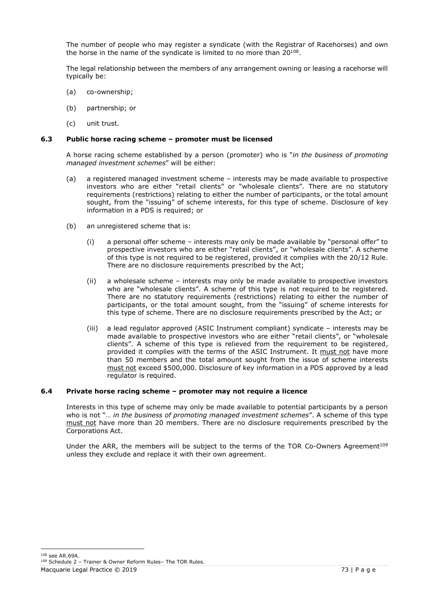The number of people who may register a syndicate (with the Registrar of Racehorses) and own the horse in the name of the syndicate is limited to no more than 20 $^{108}$ .

The legal relationship between the members of any arrangement owning or leasing a racehorse will typically be:

- (a) co-ownership;
- (b) partnership; or
- (c) unit trust.

# **6.3 Public horse racing scheme – promoter must be licensed**

A horse racing scheme established by a person (promoter) who is "*in the business of promoting managed investment schemes*" will be either:

- (a) a registered managed investment scheme interests may be made available to prospective investors who are either "retail clients" or "wholesale clients". There are no statutory requirements (restrictions) relating to either the number of participants, or the total amount sought, from the "issuing" of scheme interests, for this type of scheme. Disclosure of key information in a PDS is required; or
- (b) an unregistered scheme that is:
	- (i) a personal offer scheme interests may only be made available by "personal offer" to prospective investors who are either "retail clients", or "wholesale clients". A scheme of this type is not required to be registered, provided it complies with the 20/12 Rule. There are no disclosure requirements prescribed by the Act;
	- (ii) a wholesale scheme interests may only be made available to prospective investors who are "wholesale clients". A scheme of this type is not required to be registered. There are no statutory requirements (restrictions) relating to either the number of participants, or the total amount sought, from the "issuing" of scheme interests for this type of scheme. There are no disclosure requirements prescribed by the Act; or
	- (iii) a lead regulator approved (ASIC Instrument compliant) syndicate interests may be made available to prospective investors who are either "retail clients", or "wholesale clients". A scheme of this type is relieved from the requirement to be registered, provided it complies with the terms of the ASIC Instrument. It must not have more than 50 members and the total amount sought from the issue of scheme interests must not exceed \$500,000. Disclosure of key information in a PDS approved by a lead regulator is required.

# **6.4 Private horse racing scheme – promoter may not require a licence**

Interests in this type of scheme may only be made available to potential participants by a person who is not "… *in the business of promoting managed investment schemes*". A scheme of this type must not have more than 20 members. There are no disclosure requirements prescribed by the Corporations Act.

Under the ARR, the members will be subject to the terms of the TOR Co-Owners Agreement<sup>109</sup> unless they exclude and replace it with their own agreement.

<sup>108</sup> see AR.69A.

Macquarie Legal Practice © 2019 73 | P a g e

<sup>109</sup> Schedule 2 – Trainer & Owner Reform Rules– The TOR Rules.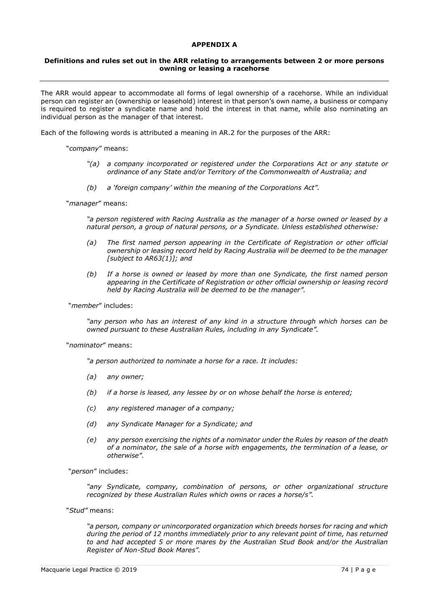# **APPENDIX A**

### **Definitions and rules set out in the ARR relating to arrangements between 2 or more persons owning or leasing a racehorse**

The ARR would appear to accommodate all forms of legal ownership of a racehorse. While an individual person can register an (ownership or leasehold) interest in that person's own name, a business or company is required to register a syndicate name and hold the interest in that name, while also nominating an individual person as the manager of that interest.

Each of the following words is attributed a meaning in AR.2 for the purposes of the ARR:

"*company*" means:

- *"(a) a company incorporated or registered under the Corporations Act or any statute or ordinance of any State and/or Territory of the Commonwealth of Australia; and*
- *(b) a 'foreign company' within the meaning of the Corporations Act".*

"*manager*" means:

*"a person registered with Racing Australia as the manager of a horse owned or leased by a natural person, a group of natural persons, or a Syndicate. Unless established otherwise:*

- *(a) The first named person appearing in the Certificate of Registration or other official ownership or leasing record held by Racing Australia will be deemed to be the manager [subject to AR63(1)]; and*
- *(b) If a horse is owned or leased by more than one Syndicate, the first named person appearing in the Certificate of Registration or other official ownership or leasing record held by Racing Australia will be deemed to be the manager".*

"*member*" includes:

*"any person who has an interest of any kind in a structure through which horses can be owned pursuant to these Australian Rules, including in any Syndicate".*

"*nominator*" means:

*"a person authorized to nominate a horse for a race. It includes:*

- *(a) any owner;*
- *(b) if a horse is leased, any lessee by or on whose behalf the horse is entered;*
- *(c) any registered manager of a company;*
- *(d) any Syndicate Manager for a Syndicate; and*
- *(e) any person exercising the rights of a nominator under the Rules by reason of the death of a nominator, the sale of a horse with engagements, the termination of a lease, or otherwise".*

"*person*" includes:

*"any Syndicate, company, combination of persons, or other organizational structure recognized by these Australian Rules which owns or races a horse/s".*

"*Stud"* means:

*"a person, company or unincorporated organization which breeds horses for racing and which during the period of 12 months immediately prior to any relevant point of time, has returned to and had accepted 5 or more mares by the Australian Stud Book and/or the Australian Register of Non-Stud Book Mares".*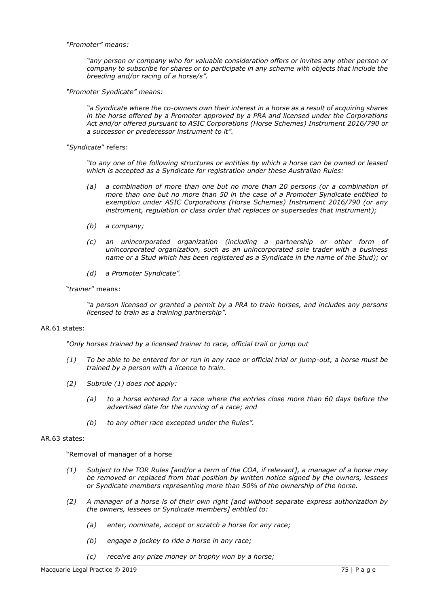#### *"Promoter" means:*

*"any person or company who for valuable consideration offers or invites any other person or company to subscribe for shares or to participate in any scheme with objects that include the breeding and/or racing of a horse/s".*

*"Promoter Syndicate" means:*

*"a Syndicate where the co-owners own their interest in a horse as a result of acquiring shares in the horse offered by a Promoter approved by a PRA and licensed under the Corporations Act and/or offered pursuant to ASIC Corporations (Horse Schemes) Instrument 2016/790 or a successor or predecessor instrument to it".*

*"Syndicate*" refers:

*"to any one of the following structures or entities by which a horse can be owned or leased which is accepted as a Syndicate for registration under these Australian Rules:*

- *(a) a combination of more than one but no more than 20 persons (or a combination of more than one but no more than 50 in the case of a Promoter Syndicate entitled to exemption under ASIC Corporations (Horse Schemes) Instrument 2016/790 (or any instrument, regulation or class order that replaces or supersedes that instrument);*
- *(b) a company;*
- *(c) an unincorporated organization (including a partnership or other form of unincorporated organization, such as an unincorporated sole trader with a business name or a Stud which has been registered as a Syndicate in the name of the Stud); or*
- *(d) a Promoter Syndicate".*

### "*trainer*" means:

*"a person licensed or granted a permit by a PRA to train horses, and includes any persons licensed to train as a training partnership".*

# AR.61 states:

"Only horses trained by a licensed trainer to race, official trail or *jump* out

- *(1) To be able to be entered for or run in any race or official trial or jump-out, a horse must be trained by a person with a licence to train.*
- *(2) Subrule (1) does not apply:*
	- *(a) to a horse entered for a race where the entries close more than 60 days before the advertised date for the running of a race; and*
	- *(b) to any other race excepted under the Rules".*

### AR.63 states:

"Removal of manager of a horse

- *(1) Subject to the TOR Rules [and/or a term of the COA, if relevant], a manager of a horse may be removed or replaced from that position by written notice signed by the owners, lessees or Syndicate members representing more than 50% of the ownership of the horse.*
- *(2) A manager of a horse is of their own right [and without separate express authorization by the owners, lessees or Syndicate members] entitled to:*
	- *(a) enter, nominate, accept or scratch a horse for any race;*
	- *(b) engage a jockey to ride a horse in any race;*
	- *(c) receive any prize money or trophy won by a horse;*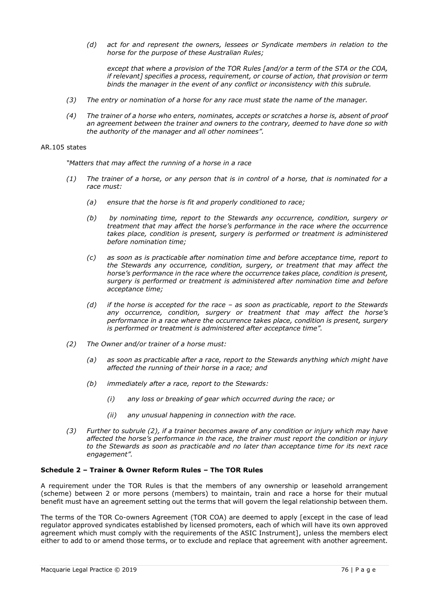*(d) act for and represent the owners, lessees or Syndicate members in relation to the horse for the purpose of these Australian Rules;*

*except that where a provision of the TOR Rules [and/or a term of the STA or the COA, if relevant] specifies a process, requirement, or course of action, that provision or term binds the manager in the event of any conflict or inconsistency with this subrule.*

- *(3) The entry or nomination of a horse for any race must state the name of the manager.*
- *(4) The trainer of a horse who enters, nominates, accepts or scratches a horse is, absent of proof an agreement between the trainer and owners to the contrary, deemed to have done so with the authority of the manager and all other nominees".*

### AR.105 states

*"Matters that may affect the running of a horse in a race*

- *(1) The trainer of a horse, or any person that is in control of a horse, that is nominated for a race must:*
	- *(a) ensure that the horse is fit and properly conditioned to race;*
	- *(b) by nominating time, report to the Stewards any occurrence, condition, surgery or treatment that may affect the horse's performance in the race where the occurrence takes place, condition is present, surgery is performed or treatment is administered before nomination time;*
	- *(c) as soon as is practicable after nomination time and before acceptance time, report to the Stewards any occurrence, condition, surgery, or treatment that may affect the horse's performance in the race where the occurrence takes place, condition is present, surgery is performed or treatment is administered after nomination time and before acceptance time;*
	- *(d) if the horse is accepted for the race – as soon as practicable, report to the Stewards any occurrence, condition, surgery or treatment that may affect the horse's performance in a race where the occurrence takes place, condition is present, surgery is performed or treatment is administered after acceptance time".*
- *(2) The Owner and/or trainer of a horse must:*
	- *(a) as soon as practicable after a race, report to the Stewards anything which might have affected the running of their horse in a race; and*
	- *(b) immediately after a race, report to the Stewards:*
		- *(i) any loss or breaking of gear which occurred during the race; or*
		- *(ii) any unusual happening in connection with the race.*
- *(3) Further to subrule (2), if a trainer becomes aware of any condition or injury which may have affected the horse's performance in the race, the trainer must report the condition or injury to the Stewards as soon as practicable and no later than acceptance time for its next race engagement".*

# **Schedule 2 – Trainer & Owner Reform Rules – The TOR Rules**

A requirement under the TOR Rules is that the members of any ownership or leasehold arrangement (scheme) between 2 or more persons (members) to maintain, train and race a horse for their mutual benefit must have an agreement setting out the terms that will govern the legal relationship between them.

The terms of the TOR Co-owners Agreement (TOR COA) are deemed to apply [except in the case of lead regulator approved syndicates established by licensed promoters, each of which will have its own approved agreement which must comply with the requirements of the ASIC Instrument], unless the members elect either to add to or amend those terms, or to exclude and replace that agreement with another agreement.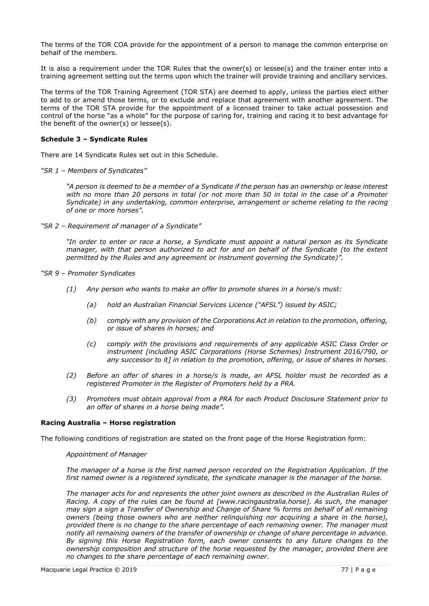The terms of the TOR COA provide for the appointment of a person to manage the common enterprise on behalf of the members.

It is also a requirement under the TOR Rules that the owner(s) or lessee(s) and the trainer enter into a training agreement setting out the terms upon which the trainer will provide training and ancillary services.

The terms of the TOR Training Agreement (TOR STA) are deemed to apply, unless the parties elect either to add to or amend those terms, or to exclude and replace that agreement with another agreement. The terms of the TOR STA provide for the appointment of a licensed trainer to take actual possession and control of the horse "as a whole" for the purpose of caring for, training and racing it to best advantage for the benefit of the owner(s) or lessee(s).

# **Schedule 3 – Syndicate Rules**

There are 14 Syndicate Rules set out in this Schedule.

*"SR 1 – Members of Syndicates"*

*"A person is deemed to be a member of a Syndicate if the person has an ownership or lease interest with no more than 20 persons in total (or not more than 50 in total in the case of a Promoter Syndicate) in any undertaking, common enterprise, arrangement or scheme relating to the racing of one or more horses".*

*"SR 2 – Requirement of manager of a Syndicate"*

*"In order to enter or race a horse, a Syndicate must appoint a natural person as its Syndicate manager, with that person authorized to act for and on behalf of the Syndicate (to the extent permitted by the Rules and any agreement or instrument governing the Syndicate)".*

- *"SR 9 – Promoter Syndicates*
	- *(1) Any person who wants to make an offer to promote shares in a horse/s must:*
		- *(a) hold an Australian Financial Services Licence ("AFSL") issued by ASIC;*
		- *(b) comply with any provision of the Corporations Act in relation to the promotion, offering, or issue of shares in horses; and*
		- *(c) comply with the provisions and requirements of any applicable ASIC Class Order or instrument [including ASIC Corporations (Horse Schemes) Instrument 2016/790, or any successor to it] in relation to the promotion, offering, or issue of shares in horses.*
	- *(2) Before an offer of shares in a horse/s is made, an AFSL holder must be recorded as a registered Promoter in the Register of Promoters held by a PRA.*
	- *(3) Promoters must obtain approval from a PRA for each Product Disclosure Statement prior to an offer of shares in a horse being made".*

# **Racing Australia – Horse registration**

The following conditions of registration are stated on the front page of the Horse Registration form:

#### *Appointment of Manager*

*The manager of a horse is the first named person recorded on the Registration Application. If the first named owner is a registered syndicate, the syndicate manager is the manager of the horse.*

*The manager acts for and represents the other joint owners as described in the Australian Rules of Racing. A copy of the rules can be found at [\[www.racingaustralia.horse\]](http://www.racingaustralia.horse/). As such, the manager may sign a sign a Transfer of Ownership and Change of Share % forms on behalf of all remaining owners (being those owners who are neither relinquishing nor acquiring a share in the horse), provided there is no change to the share percentage of each remaining owner. The manager must notify all remaining owners of the transfer of ownership or change of share percentage in advance. By signing this Horse Registration form, each owner consents to any future changes to the ownership composition and structure of the horse requested by the manager, provided there are no changes to the share percentage of each remaining owner.*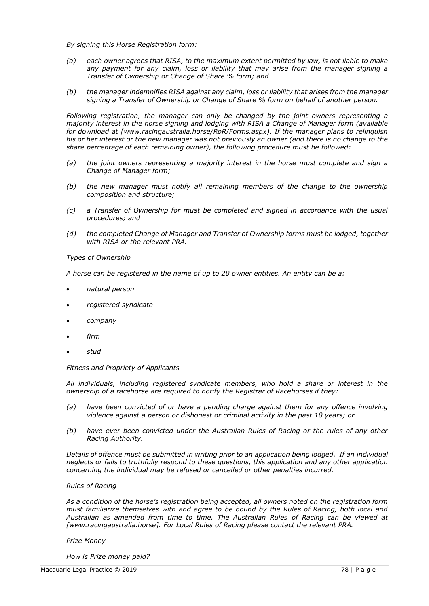*By signing this Horse Registration form:*

- *(a) each owner agrees that RISA, to the maximum extent permitted by law, is not liable to make any payment for any claim, loss or liability that may arise from the manager signing a Transfer of Ownership or Change of Share % form; and*
- *(b) the manager indemnifies RISA against any claim, loss or liability that arises from the manager signing a Transfer of Ownership or Change of Share % form on behalf of another person.*

*Following registration, the manager can only be changed by the joint owners representing a majority interest in the horse signing and lodging with RISA a Change of Manager form (available for download at [www.racingaustralia.horse/RoR/Forms.aspx). If the manager plans to relinquish his or her interest or the new manager was not previously an owner (and there is no change to the share percentage of each remaining owner), the following procedure must be followed:*

- *(a) the joint owners representing a majority interest in the horse must complete and sign a Change of Manager form;*
- *(b) the new manager must notify all remaining members of the change to the ownership composition and structure;*
- *(c) a Transfer of Ownership for must be completed and signed in accordance with the usual procedures; and*
- *(d) the completed Change of Manager and Transfer of Ownership forms must be lodged, together with RISA or the relevant PRA.*

# *Types of Ownership*

*A horse can be registered in the name of up to 20 owner entities. An entity can be a:*

- *natural person*
- *registered syndicate*
- *company*
- *firm*
- *stud*

#### *Fitness and Propriety of Applicants*

*All individuals, including registered syndicate members, who hold a share or interest in the ownership of a racehorse are required to notify the Registrar of Racehorses if they:*

- *(a) have been convicted of or have a pending charge against them for any offence involving violence against a person or dishonest or criminal activity in the past 10 years; or*
- *(b) have ever been convicted under the Australian Rules of Racing or the rules of any other Racing Authority.*

*Details of offence must be submitted in writing prior to an application being lodged. If an individual neglects or fails to truthfully respond to these questions, this application and any other application concerning the individual may be refused or cancelled or other penalties incurred.*

#### *Rules of Racing*

*As a condition of the horse's registration being accepted, all owners noted on the registration form must familiarize themselves with and agree to be bound by the Rules of Racing, both local and Australian as amended from time to time. The Australian Rules of Racing can be viewed at [\[www.racingaustralia.horse\]](http://www.racingaustralia.horse/). For Local Rules of Racing please contact the relevant PRA.*

#### *Prize Money*

*How is Prize money paid?*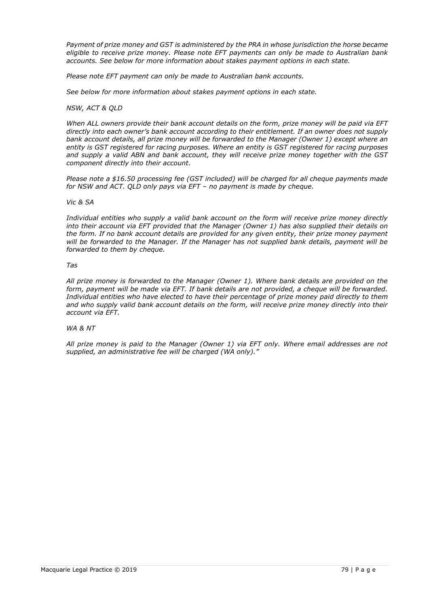*Payment of prize money and GST is administered by the PRA in whose jurisdiction the horse became eligible to receive prize money. Please note EFT payments can only be made to Australian bank accounts. See below for more information about stakes payment options in each state.*

*Please note EFT payment can only be made to Australian bank accounts.*

*See below for more information about stakes payment options in each state.*

### *NSW, ACT & QLD*

*When ALL owners provide their bank account details on the form, prize money will be paid via EFT directly into each owner's bank account according to their entitlement. If an owner does not supply bank account details, all prize money will be forwarded to the Manager (Owner 1) except where an entity is GST registered for racing purposes. Where an entity is GST registered for racing purposes and supply a valid ABN and bank account, they will receive prize money together with the GST component directly into their account.*

*Please note a \$16.50 processing fee (GST included) will be charged for all cheque payments made for NSW and ACT. QLD only pays via EFT – no payment is made by cheque.*

### *Vic & SA*

*Individual entities who supply a valid bank account on the form will receive prize money directly into their account via EFT provided that the Manager (Owner 1) has also supplied their details on the form. If no bank account details are provided for any given entity, their prize money payment will be forwarded to the Manager. If the Manager has not supplied bank details, payment will be forwarded to them by cheque.*

#### *Tas*

*All prize money is forwarded to the Manager (Owner 1). Where bank details are provided on the form, payment will be made via EFT. If bank details are not provided, a cheque will be forwarded. Individual entities who have elected to have their percentage of prize money paid directly to them and who supply valid bank account details on the form, will receive prize money directly into their account via EFT.*

# *WA & NT*

*All prize money is paid to the Manager (Owner 1) via EFT only. Where email addresses are not supplied, an administrative fee will be charged (WA only)."*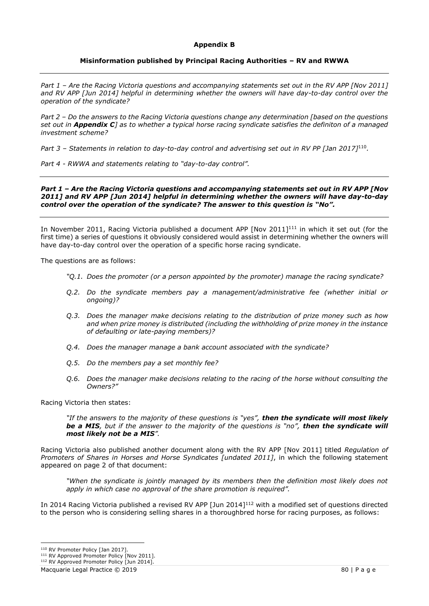### **Appendix B**

# **Misinformation published by Principal Racing Authorities – RV and RWWA**

*Part 1 – Are the Racing Victoria questions and accompanying statements set out in the RV APP [Nov 2011] and RV APP [Jun 2014] helpful in determining whether the owners will have day-to-day control over the operation of the syndicate?*

*Part 2 – Do the answers to the Racing Victoria questions change any determination [based on the questions set out in Appendix C] as to whether a typical horse racing syndicate satisfies the definiton of a managed investment scheme?*

*Part 3 – Statements in relation to day-to-day control and advertising set out in RV PP [Jan 2017]*<sup>110</sup> *.*

*Part 4 - RWWA and statements relating to "day-to-day control".*

### *Part 1 – Are the Racing Victoria questions and accompanying statements set out in RV APP [Nov 2011] and RV APP [Jun 2014] helpful in determining whether the owners will have day-to-day control over the operation of the syndicate? The answer to this question is "No".*

In November 2011, Racing Victoria published a document APP [Nov 2011]<sup>111</sup> in which it set out (for the first time) a series of questions it obviously considered would assist in determining whether the owners will have day-to-day control over the operation of a specific horse racing syndicate.

The questions are as follows:

- *"Q.1. Does the promoter (or a person appointed by the promoter) manage the racing syndicate?*
- *Q.2. Do the syndicate members pay a management/administrative fee (whether initial or ongoing)?*
- *Q.3. Does the manager make decisions relating to the distribution of prize money such as how and when prize money is distributed (including the withholding of prize money in the instance of defaulting or late-paying members)?*
- *Q.4. Does the manager manage a bank account associated with the syndicate?*
- *Q.5. Do the members pay a set monthly fee?*
- *Q.6. Does the manager make decisions relating to the racing of the horse without consulting the Owners?"*

Racing Victoria then states:

*"If the answers to the majority of these questions is "yes", then the syndicate will most likely be a MIS, but if the answer to the majority of the questions is "no", then the syndicate will most likely not be a MIS".*

Racing Victoria also published another document along with the RV APP [Nov 2011] titled *Regulation of Promoters of Shares in Horses and Horse Syndicates [undated 2011]*, in which the following statement appeared on page 2 of that document:

*"When the syndicate is jointly managed by its members then the definition most likely does not apply in which case no approval of the share promotion is required".*

In 2014 Racing Victoria published a revised RV APP [Jun 2014]<sup>112</sup> with a modified set of questions directed to the person who is considering selling shares in a thoroughbred horse for racing purposes, as follows:

<sup>110</sup> RV Promoter Policy [Jan 2017].

<sup>&</sup>lt;sup>111</sup> RV Approved Promoter Policy [Nov 2011].

<sup>&</sup>lt;sup>112</sup> RV Approved Promoter Policy [Jun 2014].

Macquarie Legal Practice © 2019 80 | P a g e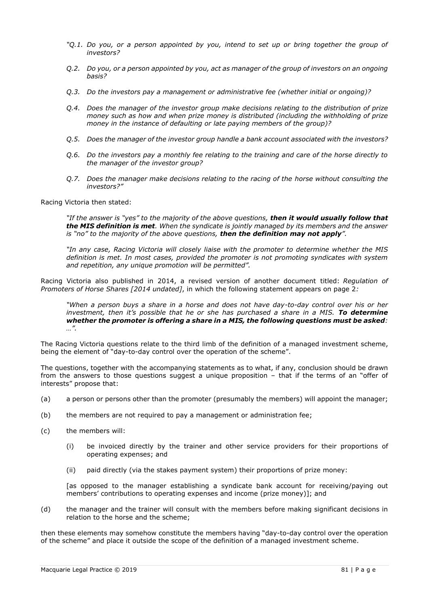- *"Q.1. Do you, or a person appointed by you, intend to set up or bring together the group of investors?*
- *Q.2. Do you, or a person appointed by you, act as manager of the group of investors on an ongoing basis?*
- *Q.3. Do the investors pay a management or administrative fee (whether initial or ongoing)?*
- *Q.4. Does the manager of the investor group make decisions relating to the distribution of prize money such as how and when prize money is distributed (including the withholding of prize money in the instance of defaulting or late paying members of the group)?*
- *Q.5. Does the manager of the investor group handle a bank account associated with the investors?*
- *Q.6. Do the investors pay a monthly fee relating to the training and care of the horse directly to the manager of the investor group?*
- *Q.7. Does the manager make decisions relating to the racing of the horse without consulting the investors?"*

Racing Victoria then stated:

*"If the answer is "yes" to the majority of the above questions, then it would usually follow that the MIS definition is met. When the syndicate is jointly managed by its members and the answer is "no" to the majority of the above questions, then the definition may not apply".*

*"In any case, Racing Victoria will closely liaise with the promoter to determine whether the MIS definition is met. In most cases, provided the promoter is not promoting syndicates with system and repetition, any unique promotion will be permitted".*

Racing Victoria also published in 2014, a revised version of another document titled: *Regulation of Promoters of Horse Shares [2014 undated]*, in which the following statement appears on page 2*:* 

*"When a person buys a share in a horse and does not have day-to-day control over his or her investment, then it's possible that he or she has purchased a share in a MIS. To determine whether the promoter is offering a share in a MIS, the following questions must be asked: …".*

The Racing Victoria questions relate to the third limb of the definition of a managed investment scheme, being the element of "day-to-day control over the operation of the scheme".

The questions, together with the accompanying statements as to what, if any, conclusion should be drawn from the answers to those questions suggest a unique proposition – that if the terms of an "offer of interests" propose that:

- (a) a person or persons other than the promoter (presumably the members) will appoint the manager;
- (b) the members are not required to pay a management or administration fee;
- (c) the members will:
	- (i) be invoiced directly by the trainer and other service providers for their proportions of operating expenses; and
	- (ii) paid directly (via the stakes payment system) their proportions of prize money:

[as opposed to the manager establishing a syndicate bank account for receiving/paying out members' contributions to operating expenses and income (prize money)]; and

(d) the manager and the trainer will consult with the members before making significant decisions in relation to the horse and the scheme;

then these elements may somehow constitute the members having "day-to-day control over the operation of the scheme" and place it outside the scope of the definition of a managed investment scheme.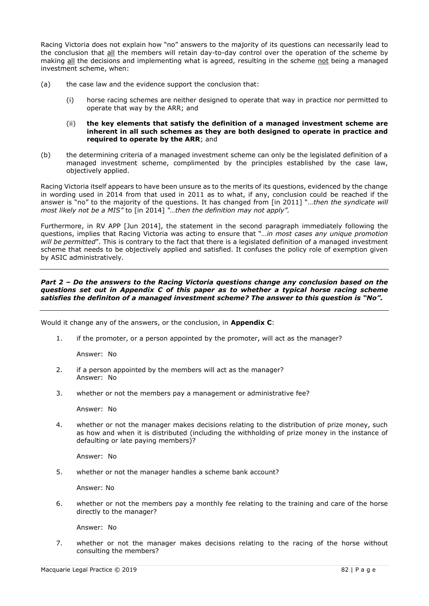Racing Victoria does not explain how "no" answers to the majority of its questions can necessarily lead to the conclusion that all the members will retain day-to-day control over the operation of the scheme by making all the decisions and implementing what is agreed, resulting in the scheme not being a managed investment scheme, when:

- (a) the case law and the evidence support the conclusion that:
	- (i) horse racing schemes are neither designed to operate that way in practice nor permitted to operate that way by the ARR; and
	- (ii) **the key elements that satisfy the definition of a managed investment scheme are inherent in all such schemes as they are both designed to operate in practice and required to operate by the ARR**; and
- (b) the determining criteria of a managed investment scheme can only be the legislated definition of a managed investment scheme, complimented by the principles established by the case law, objectively applied.

Racing Victoria itself appears to have been unsure as to the merits of its questions, evidenced by the change in wording used in 2014 from that used in 2011 as to what, if any, conclusion could be reached if the answer is "no" to the majority of the questions. It has changed from [in 2011] "…*then the syndicate will most likely not be a MIS"* to [in 2014] *"…then the definition may not apply".*

Furthermore, in RV APP [Jun 2014], the statement in the second paragraph immediately following the questions, implies that Racing Victoria was acting to ensure that "*…in most cases any unique promotion will be permitted*". This is contrary to the fact that there is a legislated definition of a managed investment scheme that needs to be objectively applied and satisfied. It confuses the policy role of exemption given by ASIC administratively.

# *Part 2 – Do the answers to the Racing Victoria questions change any conclusion based on the questions set out in Appendix C of this paper as to whether a typical horse racing scheme satisfies the definiton of a managed investment scheme? The answer to this question is "No".*

Would it change any of the answers, or the conclusion, in **Appendix C**:

1. if the promoter, or a person appointed by the promoter, will act as the manager?

Answer: No

- 2. if a person appointed by the members will act as the manager? Answer: No
- 3. whether or not the members pay a management or administrative fee?

Answer: No

4. whether or not the manager makes decisions relating to the distribution of prize money, such as how and when it is distributed (including the withholding of prize money in the instance of defaulting or late paying members)?

Answer: No

5. whether or not the manager handles a scheme bank account?

Answer: No

6. whether or not the members pay a monthly fee relating to the training and care of the horse directly to the manager?

Answer: No

7. whether or not the manager makes decisions relating to the racing of the horse without consulting the members?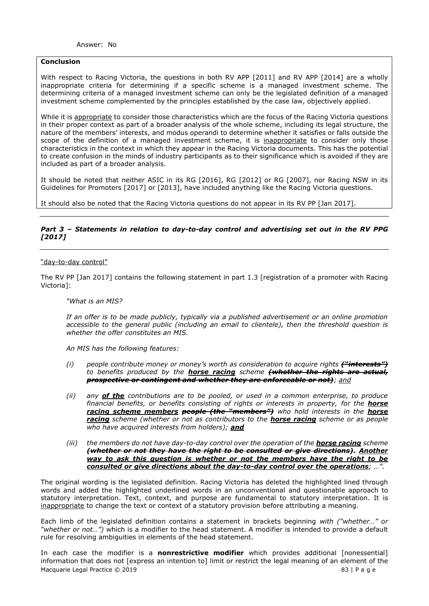# **Conclusion**

With respect to Racing Victoria, the questions in both RV APP [2011] and RV APP [2014] are a wholly inappropriate criteria for determining if a specific scheme is a managed investment scheme. The determining criteria of a managed investment scheme can only be the legislated definition of a managed investment scheme complemented by the principles established by the case law, objectively applied.

While it is appropriate to consider those characteristics which are the focus of the Racing Victoria questions in their proper context as part of a broader analysis of the whole scheme, including its legal structure, the nature of the members' interests, and modus operandi to determine whether it satisfies or falls outside the scope of the definition of a managed investment scheme, it is inappropriate to consider only those characteristics in the context in which they appear in the Racing Victoria documents. This has the potential to create confusion in the minds of industry participants as to their significance which is avoided if they are included as part of a broader analysis.

It should be noted that neither ASIC in its RG [2016], RG [2012] or RG [2007], nor Racing NSW in its Guidelines for Promoters [2017] or [2013], have included anything like the Racing Victoria questions.

It should also be noted that the Racing Victoria questions do not appear in its RV PP [Jan 2017].

# *Part 3 – Statements in relation to day-to-day control and advertising set out in the RV PPG [2017]*

# "day-to-day control"

The RV PP [Jan 2017] contains the following statement in part 1.3 [registration of a promoter with Racing Victoria]:

#### *"What is an MIS?*

*If an offer is to be made publicly, typically via a published advertisement or an online promotion accessible to the general public (including an email to clientele), then the threshold question is whether the offer constitutes an MIS.*

*An MIS has the following features:*

- *(i) people contribute money or money's worth as consideration to acquire rights ("interests") to benefits produced by the horse racing scheme (whether the rights are actual, prospective or contingent and whether they are enforceable or not); and*
- *(ii) any of the contributions are to be pooled, or used in a common enterprise, to produce financial benefits, or benefits consisting of rights or interests in property, for the horse racing scheme members people (the "members") who hold interests in the horse racing scheme (whether or not as contributors to the horse racing scheme or as people who have acquired interests from holders); and*
- *(iii) the members do not have day-to-day control over the operation of the horse racing scheme (whether or not they have the right to be consulted or give directions). Another way to ask this question is whether or not the members have the right to be consulted or give directions about the day-to-day control over the operations; …".*

The original wording is the legislated definition. Racing Victoria has deleted the highlighted lined through words and added the highlighted underlined words in an unconventional and questionable approach to statutory interpretation. Text, context, and purpose are fundamental to statutory interpretation. It is inappropriate to change the text or context of a statutory provision before attributing a meaning.

Each limb of the legislated definition contains a statement in brackets beginning *with ("whether…" or "whether or not…")* which is a modifier to the head statement. A modifier is intended to provide a default rule for resolving ambiguities in elements of the head statement.

Macquarie Legal Practice © 2019 83 | P a g e In each case the modifier is a **nonrestrictive modifier** which provides additional [nonessential] information that does not [express an intention to] limit or restrict the legal meaning of an element of the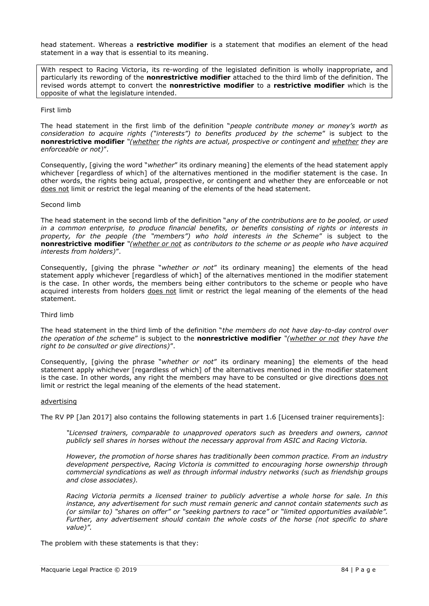head statement. Whereas a **restrictive modifier** is a statement that modifies an element of the head statement in a way that is essential to its meaning.

With respect to Racing Victoria, its re-wording of the legislated definition is wholly inappropriate, and particularly its rewording of the **nonrestrictive modifier** attached to the third limb of the definition. The revised words attempt to convert the **nonrestrictive modifier** to a **restrictive modifier** which is the opposite of what the legislature intended.

### First limb

The head statement in the first limb of the definition "*people contribute money or money's worth as consideration to acquire rights ("interests") to benefits produced by the scheme*" is subject to the **nonrestrictive modifier** *"(whether the rights are actual, prospective or contingent and whether they are enforceable or not)*".

Consequently, [giving the word "*whether*" its ordinary meaning] the elements of the head statement apply whichever [regardless of which] of the alternatives mentioned in the modifier statement is the case. In other words, the rights being actual, prospective, or contingent and whether they are enforceable or not does not limit or restrict the legal meaning of the elements of the head statement.

### Second limb

The head statement in the second limb of the definition "*any of the contributions are to be pooled, or used in a common enterprise, to produce financial benefits, or benefits consisting of rights or interests in property, for the people (the "members") who hold interests in the Scheme*" is subject to the **nonrestrictive modifier** *"(whether or not as contributors to the scheme or as people who have acquired interests from holders)*".

Consequently, [giving the phrase "*whether or not*" its ordinary meaning] the elements of the head statement apply whichever [regardless of which] of the alternatives mentioned in the modifier statement is the case. In other words, the members being either contributors to the scheme or people who have acquired interests from holders does not limit or restrict the legal meaning of the elements of the head statement.

#### Third limb

The head statement in the third limb of the definition "*the members do not have day-to-day control over the operation of the scheme*" is subject to the **nonrestrictive modifier** *"(whether or not they have the right to be consulted or give directions)*".

Consequently, [giving the phrase "*whether or not*" its ordinary meaning] the elements of the head statement apply whichever [regardless of which] of the alternatives mentioned in the modifier statement is the case. In other words, any right the members may have to be consulted or give directions does not limit or restrict the legal meaning of the elements of the head statement.

#### advertising

The RV PP [Jan 2017] also contains the following statements in part 1.6 [Licensed trainer requirements]:

*"Licensed trainers, comparable to unapproved operators such as breeders and owners, cannot publicly sell shares in horses without the necessary approval from ASIC and Racing Victoria.* 

*However, the promotion of horse shares has traditionally been common practice. From an industry development perspective, Racing Victoria is committed to encouraging horse ownership through commercial syndications as well as through informal industry networks (such as friendship groups and close associates).* 

*Racing Victoria permits a licensed trainer to publicly advertise a whole horse for sale. In this instance, any advertisement for such must remain generic and cannot contain statements such as (or similar to) "shares on offer" or "seeking partners to race" or "limited opportunities available". Further, any advertisement should contain the whole costs of the horse (not specific to share value)".*

The problem with these statements is that they: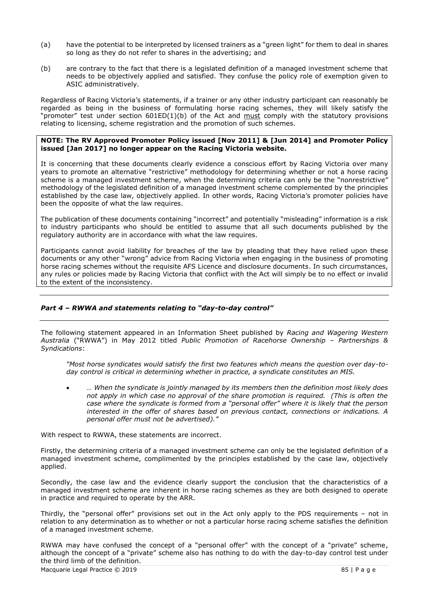- (a) have the potential to be interpreted by licensed trainers as a "green light" for them to deal in shares so long as they do not refer to shares in the advertising; and
- (b) are contrary to the fact that there is a legislated definition of a managed investment scheme that needs to be objectively applied and satisfied. They confuse the policy role of exemption given to ASIC administratively.

Regardless of Racing Victoria's statements, if a trainer or any other industry participant can reasonably be regarded as being in the business of formulating horse racing schemes, they will likely satisfy the "promoter" test under section 601ED(1)(b) of the Act and must comply with the statutory provisions relating to licensing, scheme registration and the promotion of such schemes.

# **NOTE: The RV Approved Promoter Policy issued [Nov 2011] & [Jun 2014] and Promoter Policy issued [Jan 2017] no longer appear on the Racing Victoria website.**

It is concerning that these documents clearly evidence a conscious effort by Racing Victoria over many years to promote an alternative "restrictive" methodology for determining whether or not a horse racing scheme is a managed investment scheme, when the determining criteria can only be the "nonrestrictive" methodology of the legislated definition of a managed investment scheme complemented by the principles established by the case law, objectively applied. In other words, Racing Victoria's promoter policies have been the opposite of what the law requires.

The publication of these documents containing "incorrect" and potentially "misleading" information is a risk to industry participants who should be entitled to assume that all such documents published by the regulatory authority are in accordance with what the law requires.

Participants cannot avoid liability for breaches of the law by pleading that they have relied upon these documents or any other "wrong" advice from Racing Victoria when engaging in the business of promoting horse racing schemes without the requisite AFS Licence and disclosure documents. In such circumstances, any rules or policies made by Racing Victoria that conflict with the Act will simply be to no effect or invalid to the extent of the inconsistency.

# *Part 4 – RWWA and statements relating to "day-to-day control"*

The following statement appeared in an Information Sheet published by *Racing and Wagering Western Australia* ("RWWA") in May 2012 titled *Public Promotion of Racehorse Ownership – Partnerships & Syndications*:

*"Most horse syndicates would satisfy the first two features which means the question over day-today control is critical in determining whether in practice, a syndicate constitutes an MIS.*

• *… When the syndicate is jointly managed by its members then the definition most likely does not apply in which case no approval of the share promotion is required. (This is often the case where the syndicate is formed from a "personal offer" where it is likely that the person interested in the offer of shares based on previous contact, connections or indications. A personal offer must not be advertised)."*

With respect to RWWA, these statements are incorrect.

Firstly, the determining criteria of a managed investment scheme can only be the legislated definition of a managed investment scheme, complimented by the principles established by the case law, objectively applied.

Secondly, the case law and the evidence clearly support the conclusion that the characteristics of a managed investment scheme are inherent in horse racing schemes as they are both designed to operate in practice and required to operate by the ARR.

Thirdly, the "personal offer" provisions set out in the Act only apply to the PDS requirements – not in relation to any determination as to whether or not a particular horse racing scheme satisfies the definition of a managed investment scheme.

RWWA may have confused the concept of a "personal offer" with the concept of a "private" scheme, although the concept of a "private" scheme also has nothing to do with the day-to-day control test under the third limb of the definition.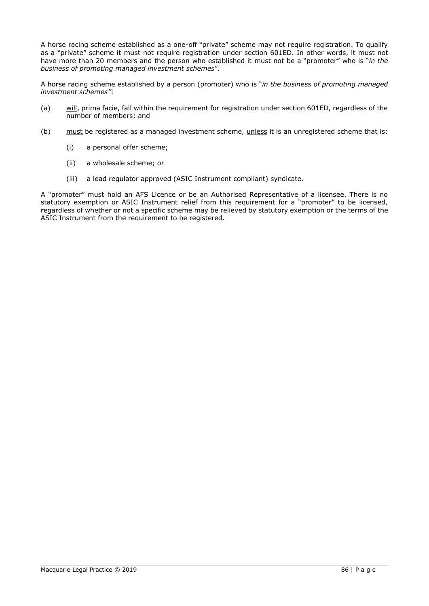A horse racing scheme established as a one-off "private" scheme may not require registration. To qualify as a "private" scheme it must not require registration under section 601ED. In other words, it must not have more than 20 members and the person who established it must not be a "promoter" who is "*in the business of promoting managed investment schemes*".

A horse racing scheme established by a person (promoter) who is "*in the business of promoting managed investment schemes"*:

- (a) will, prima facie, fall within the requirement for registration under section 601ED, regardless of the number of members; and
- (b) must be registered as a managed investment scheme, unless it is an unregistered scheme that is:
	- (i) a personal offer scheme;
	- (ii) a wholesale scheme; or
	- (iii) a lead regulator approved (ASIC Instrument compliant) syndicate.

A "promoter" must hold an AFS Licence or be an Authorised Representative of a licensee. There is no statutory exemption or ASIC Instrument relief from this requirement for a "promoter" to be licensed, regardless of whether or not a specific scheme may be relieved by statutory exemption or the terms of the ASIC Instrument from the requirement to be registered.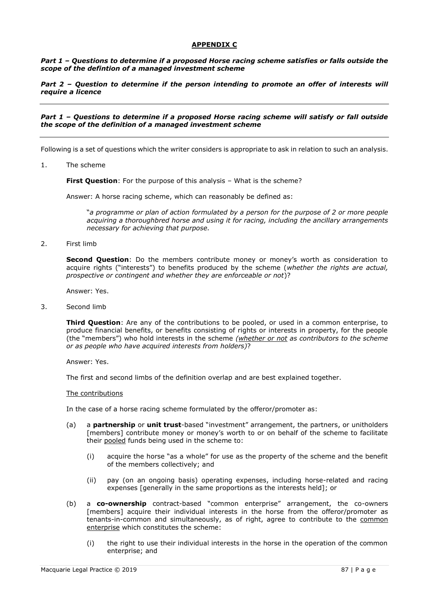# **APPENDIX C**

*Part 1 – Questions to determine if a proposed Horse racing scheme satisfies or falls outside the scope of the defintion of a managed investment scheme*

### *Part 2 – Question to determine if the person intending to promote an offer of interests will require a licence*

### *Part 1 – Questions to determine if a proposed Horse racing scheme will satisfy or fall outside the scope of the definition of a managed investment scheme*

Following is a set of questions which the writer considers is appropriate to ask in relation to such an analysis.

1. The scheme

**First Question**: For the purpose of this analysis – What is the scheme?

Answer: A horse racing scheme, which can reasonably be defined as:

"*a programme or plan of action formulated by a person for the purpose of 2 or more people acquiring a thoroughbred horse and using it for racing, including the ancillary arrangements necessary for achieving that purpose.* 

2. First limb

**Second Question**: Do the members contribute money or money's worth as consideration to acquire rights ("interests") to benefits produced by the scheme (*whether the rights are actual, prospective or contingent and whether they are enforceable or not*)?

Answer: Yes.

3. Second limb

**Third Question**: Are any of the contributions to be pooled, or used in a common enterprise, to produce financial benefits, or benefits consisting of rights or interests in property, for the people (the "members") who hold interests in the scheme *(whether or not as contributors to the scheme or as people who have acquired interests from holders)*?

Answer: Yes.

The first and second limbs of the definition overlap and are best explained together.

#### The contributions

In the case of a horse racing scheme formulated by the offeror/promoter as:

- (a) a **partnership** or **unit trust**-based "investment" arrangement, the partners, or unitholders [members] contribute money or money's worth to or on behalf of the scheme to facilitate their pooled funds being used in the scheme to:
	- (i) acquire the horse "as a whole" for use as the property of the scheme and the benefit of the members collectively; and
	- (ii) pay (on an ongoing basis) operating expenses, including horse-related and racing expenses [generally in the same proportions as the interests held]; or
- (b) a **co-ownership** contract-based "common enterprise" arrangement, the co-owners [members] acquire their individual interests in the horse from the offeror/promoter as tenants-in-common and simultaneously, as of right, agree to contribute to the common enterprise which constitutes the scheme:
	- (i) the right to use their individual interests in the horse in the operation of the common enterprise; and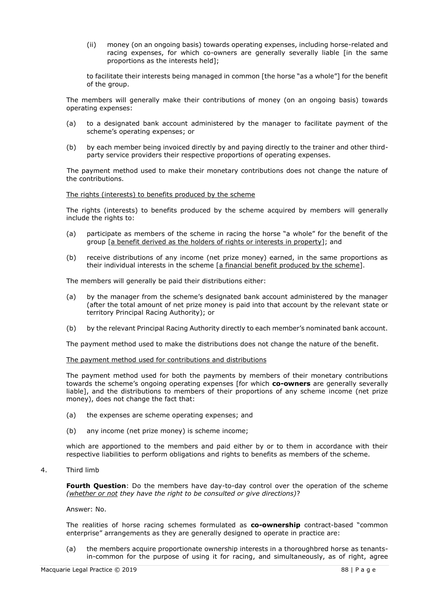(ii) money (on an ongoing basis) towards operating expenses, including horse-related and racing expenses, for which co-owners are generally severally liable [in the same proportions as the interests held];

to facilitate their interests being managed in common [the horse "as a whole"] for the benefit of the group.

The members will generally make their contributions of money (on an ongoing basis) towards operating expenses:

- (a) to a designated bank account administered by the manager to facilitate payment of the scheme's operating expenses; or
- (b) by each member being invoiced directly by and paying directly to the trainer and other thirdparty service providers their respective proportions of operating expenses.

The payment method used to make their monetary contributions does not change the nature of the contributions.

### The rights (interests) to benefits produced by the scheme

The rights (interests) to benefits produced by the scheme acquired by members will generally include the rights to:

- (a) participate as members of the scheme in racing the horse "a whole" for the benefit of the group [a benefit derived as the holders of rights or interests in property]; and
- (b) receive distributions of any income (net prize money) earned, in the same proportions as their individual interests in the scheme [a financial benefit produced by the scheme].

The members will generally be paid their distributions either:

- (a) by the manager from the scheme's designated bank account administered by the manager (after the total amount of net prize money is paid into that account by the relevant state or territory Principal Racing Authority); or
- (b) by the relevant Principal Racing Authority directly to each member's nominated bank account.

The payment method used to make the distributions does not change the nature of the benefit.

### The payment method used for contributions and distributions

The payment method used for both the payments by members of their monetary contributions towards the scheme's ongoing operating expenses [for which **co-owners** are generally severally liable], and the distributions to members of their proportions of any scheme income (net prize money), does not change the fact that:

- (a) the expenses are scheme operating expenses; and
- (b) any income (net prize money) is scheme income;

which are apportioned to the members and paid either by or to them in accordance with their respective liabilities to perform obligations and rights to benefits as members of the scheme.

#### 4. Third limb

**Fourth Question**: Do the members have day-to-day control over the operation of the scheme *(whether or not they have the right to be consulted or give directions)*?

### Answer: No.

The realities of horse racing schemes formulated as **co-ownership** contract-based "common enterprise" arrangements as they are generally designed to operate in practice are:

(a) the members acquire proportionate ownership interests in a thoroughbred horse as tenantsin-common for the purpose of using it for racing, and simultaneously, as of right, agree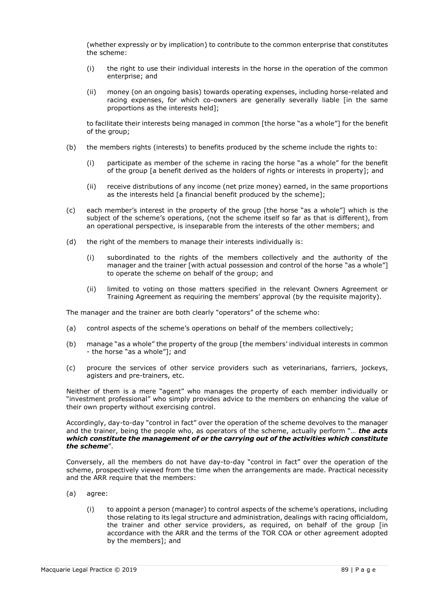(whether expressly or by implication) to contribute to the common enterprise that constitutes the scheme:

- (i) the right to use their individual interests in the horse in the operation of the common enterprise; and
- (ii) money (on an ongoing basis) towards operating expenses, including horse-related and racing expenses, for which co-owners are generally severally liable [in the same proportions as the interests held];

to facilitate their interests being managed in common [the horse "as a whole"] for the benefit of the group;

- (b) the members rights (interests) to benefits produced by the scheme include the rights to:
	- (i) participate as member of the scheme in racing the horse "as a whole" for the benefit of the group [a benefit derived as the holders of rights or interests in property]; and
	- (ii) receive distributions of any income (net prize money) earned, in the same proportions as the interests held [a financial benefit produced by the scheme];
- (c) each member's interest in the property of the group [the horse "as a whole"] which is the subject of the scheme's operations, (not the scheme itself so far as that is different), from an operational perspective, is inseparable from the interests of the other members; and
- (d) the right of the members to manage their interests individually is:
	- (i) subordinated to the rights of the members collectively and the authority of the manager and the trainer [with actual possession and control of the horse "as a whole"] to operate the scheme on behalf of the group; and
	- (ii) limited to voting on those matters specified in the relevant Owners Agreement or Training Agreement as requiring the members' approval (by the requisite majority).

The manager and the trainer are both clearly "operators" of the scheme who:

- (a) control aspects of the scheme's operations on behalf of the members collectively;
- (b) manage "as a whole" the property of the group [the members' individual interests in common - the horse "as a whole"]; and
- (c) procure the services of other service providers such as veterinarians, farriers, jockeys, agisters and pre-trainers, etc.

Neither of them is a mere "agent" who manages the property of each member individually or "investment professional" who simply provides advice to the members on enhancing the value of their own property without exercising control.

Accordingly, day-to-day "control in fact" over the operation of the scheme devolves to the manager and the trainer, being the people who, as operators of the scheme, actually perform "… *the acts which constitute the management of or the carrying out of the activities which constitute the scheme*".

Conversely, all the members do not have day-to-day "control in fact" over the operation of the scheme, prospectively viewed from the time when the arrangements are made. Practical necessity and the ARR require that the members:

- (a) agree:
	- (i) to appoint a person (manager) to control aspects of the scheme's operations, including those relating to its legal structure and administration, dealings with racing officialdom, the trainer and other service providers, as required, on behalf of the group [in accordance with the ARR and the terms of the TOR COA or other agreement adopted by the members]; and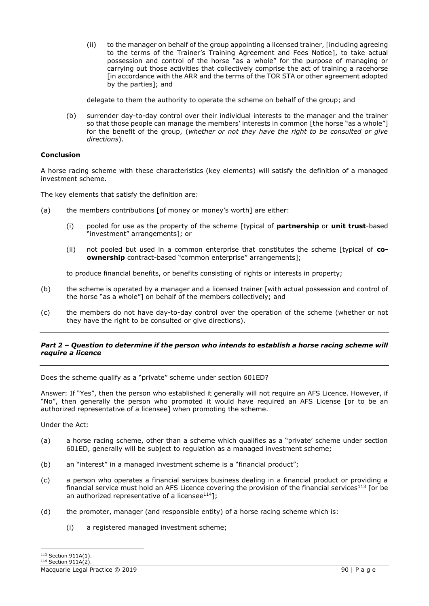(ii) to the manager on behalf of the group appointing a licensed trainer, [including agreeing to the terms of the Trainer's Training Agreement and Fees Notice], to take actual possession and control of the horse "as a whole" for the purpose of managing or carrying out those activities that collectively comprise the act of training a racehorse [in accordance with the ARR and the terms of the TOR STA or other agreement adopted by the parties]; and

delegate to them the authority to operate the scheme on behalf of the group; and

(b) surrender day-to-day control over their individual interests to the manager and the trainer so that those people can manage the members' interests in common [the horse "as a whole"] for the benefit of the group, (*whether or not they have the right to be consulted or give directions*).

# **Conclusion**

A horse racing scheme with these characteristics (key elements) will satisfy the definition of a managed investment scheme.

The key elements that satisfy the definition are:

- (a) the members contributions [of money or money's worth] are either:
	- (i) pooled for use as the property of the scheme [typical of **partnership** or **unit trust**-based "investment" arrangements]; or
	- (ii) not pooled but used in a common enterprise that constitutes the scheme [typical of **coownership** contract-based "common enterprise" arrangements];

to produce financial benefits, or benefits consisting of rights or interests in property;

- (b) the scheme is operated by a manager and a licensed trainer [with actual possession and control of the horse "as a whole"] on behalf of the members collectively; and
- (c) the members do not have day-to-day control over the operation of the scheme (whether or not they have the right to be consulted or give directions).

# *Part 2 – Question to determine if the person who intends to establish a horse racing scheme will require a licence*

Does the scheme qualify as a "private" scheme under section 601ED?

Answer: If "Yes", then the person who established it generally will not require an AFS Licence. However, if "No", then generally the person who promoted it would have required an AFS License [or to be an authorized representative of a licensee] when promoting the scheme.

Under the Act:

- (a) a horse racing scheme, other than a scheme which qualifies as a "private' scheme under section 601ED, generally will be subject to regulation as a managed investment scheme;
- (b) an "interest" in a managed investment scheme is a "financial product";
- (c) a person who operates a financial services business dealing in a financial product or providing a financial service must hold an AFS Licence covering the provision of the financial services<sup>113</sup> [or be an authorized representative of a licensee<sup>114</sup>];
- (d) the promoter, manager (and responsible entity) of a horse racing scheme which is:
	- (i) a registered managed investment scheme;

<sup>113</sup> Section 911A(1).  $114$  Section 911A(2).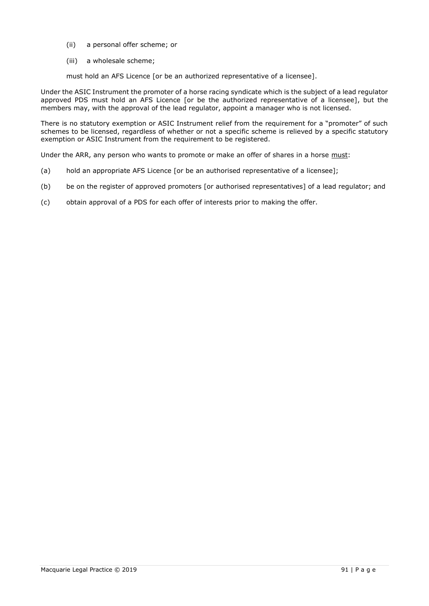- (ii) a personal offer scheme; or
- (iii) a wholesale scheme;

must hold an AFS Licence [or be an authorized representative of a licensee].

Under the ASIC Instrument the promoter of a horse racing syndicate which is the subject of a lead regulator approved PDS must hold an AFS Licence [or be the authorized representative of a licensee], but the members may, with the approval of the lead regulator, appoint a manager who is not licensed.

There is no statutory exemption or ASIC Instrument relief from the requirement for a "promoter" of such schemes to be licensed, regardless of whether or not a specific scheme is relieved by a specific statutory exemption or ASIC Instrument from the requirement to be registered.

Under the ARR, any person who wants to promote or make an offer of shares in a horse must:

- (a) hold an appropriate AFS Licence [or be an authorised representative of a licensee];
- (b) be on the register of approved promoters [or authorised representatives] of a lead regulator; and
- (c) obtain approval of a PDS for each offer of interests prior to making the offer.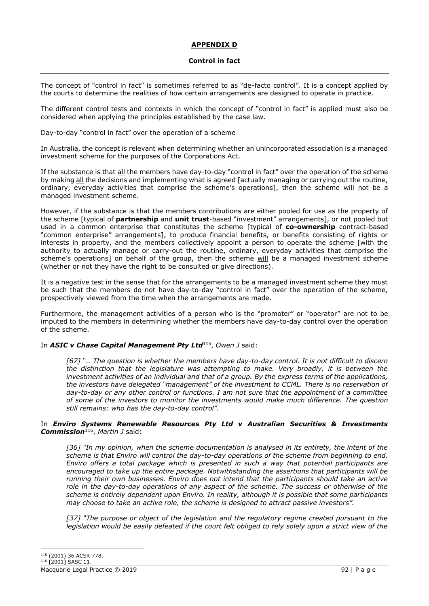# **APPENDIX D**

# **Control in fact**

The concept of "control in fact" is sometimes referred to as "de-facto control". It is a concept applied by the courts to determine the realities of how certain arrangements are designed to operate in practice.

The different control tests and contexts in which the concept of "control in fact" is applied must also be considered when applying the principles established by the case law.

### Day-to-day "control in fact" over the operation of a scheme

In Australia, the concept is relevant when determining whether an unincorporated association is a managed investment scheme for the purposes of the Corporations Act.

If the substance is that all the members have day-to-day "control in fact" over the operation of the scheme by making all the decisions and implementing what is agreed [actually managing or carrying out the routine, ordinary, everyday activities that comprise the scheme's operations], then the scheme will not be a managed investment scheme.

However, if the substance is that the members contributions are either pooled for use as the property of the scheme [typical of **partnership** and **unit trust**-based "investment" arrangements], or not pooled but used in a common enterprise that constitutes the scheme [typical of **co-ownership** contract-based "common enterprise" arrangements], to produce financial benefits, or benefits consisting of rights or interests in property, and the members collectively appoint a person to operate the scheme [with the authority to actually manage or carry-out the routine, ordinary, everyday activities that comprise the scheme's operations] on behalf of the group, then the scheme will be a managed investment scheme (whether or not they have the right to be consulted or give directions).

It is a negative test in the sense that for the arrangements to be a managed investment scheme they must be such that the members do not have day-to-day "control in fact" over the operation of the scheme, prospectively viewed from the time when the arrangements are made.

Furthermore, the management activities of a person who is the "promoter" or "operator" are not to be imputed to the members in determining whether the members have day-to-day control over the operation of the scheme.

# In *ASIC v Chase Capital Management Pty Ltd*<sup>115</sup> , *Owen J* said:

*[67] "… The question is whether the members have day-to-day control. It is not difficult to discern the distinction that the legislature was attempting to make. Very broadly, it is between the investment activities of an individual and that of a group. By the express terms of the applications, the investors have delegated "management" of the investment to CCML. There is no reservation of day-to-day or any other control or functions. I am not sure that the appointment of a committee of some of the investors to monitor the investments would make much difference. The question still remains: who has the day-to-day control".*

# In *Enviro Systems Renewable Resources Pty Ltd v Australian Securities & Investments Commission*<sup>116</sup> , *Martin J* said:

[36] "In my opinion, when the scheme documentation is analysed in its entirety, the intent of the *scheme is that Enviro will control the day-to-day operations of the scheme from beginning to end. Enviro offers a total package which is presented in such a way that potential participants are encouraged to take up the entire package. Notwithstanding the assertions that participants will be running their own businesses. Enviro does not intend that the participants should take an active role in the day-to-day operations of any aspect of the scheme. The success or otherwise of the scheme is entirely dependent upon Enviro. In reality, although it is possible that some participants may choose to take an active role, the scheme is designed to attract passive investors".* 

*[37] "The purpose or object of the legislation and the regulatory regime created pursuant to the legislation would be easily defeated if the court felt obliged to rely solely upon a strict view of the*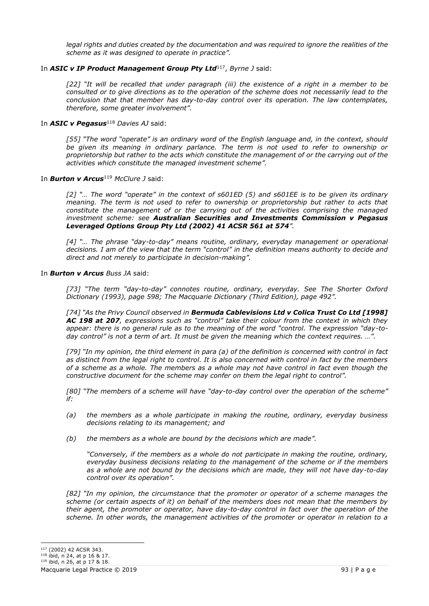legal rights and duties created by the documentation and was required to ignore the realities of the *scheme as it was designed to operate in practice".*

# In *ASIC v IP Product Management Group Pty Ltd*<sup>117</sup> , *Byrne J* said:

[22] "It will be recalled that under paragraph (iii) the existence of a right in a member to be *consulted or to give directions as to the operation of the scheme does not necessarily lead to the conclusion that that member has day-to-day control over its operation. The law contemplates, therefore, some greater involvement".*

## In **ASIC v Pegasus**<sup>118</sup> Davies AJ said:

*[55] "The word "operate" is an ordinary word of the English language and, in the context, should be given its meaning in ordinary parlance. The term is not used to refer to ownership or proprietorship but rather to the acts which constitute the management of or the carrying out of the activities which constitute the managed investment scheme".* 

# In **Burton v Arcus**<sup>119</sup> *McClure J* said:

*[2] "… The word "operate" in the context of s601ED (5) and s601EE is to be given its ordinary meaning. The term is not used to refer to ownership or proprietorship but rather to acts that constitute the management of or the carrying out of the activities comprising the managed investment scheme: see Australian Securities and Investments Commission v Pegasus Leveraged Options Group Pty Ltd (2002) 41 ACSR 561 at 574".*

*[4] "… The phrase "day-to-day" means routine, ordinary, everyday management or operational decisions. I am of the view that the term "control" in the definition means authority to decide and direct and not merely to participate in decision-making".*

### In *Burton v Arcus Buss JA* said:

*[73] "The term "day-to-day" connotes routine, ordinary, everyday. See The Shorter Oxford Dictionary (1993), page 598; The Macquarie Dictionary (Third Edition), page 492".*

*[74] "As the Privy Council observed in Bermuda Cablevisions Ltd v Colica Trust Co Ltd [1998] AC 198 at 207, expressions such as "control" take their colour from the context in which they appear: there is no general rule as to the meaning of the word "control. The expression "day-today control" is not a term of art. It must be given the meaning which the context requires. …".* 

*[79] "In my opinion, the third element in para (a) of the definition is concerned with control in fact as distinct from the legal right to control. It is also concerned with control in fact by the members of a scheme as a whole. The members as a whole may not have control in fact even though the constructive document for the scheme may confer on them the legal right to control".*

*[80] "The members of a scheme will have "day-to-day control over the operation of the scheme" if:*

- *(a) the members as a whole participate in making the routine, ordinary, everyday business decisions relating to its management; and*
- *(b) the members as a whole are bound by the decisions which are made".*

*"Conversely, if the members as a whole do not participate in making the routine, ordinary, everyday business decisions relating to the management of the scheme or if the members as a whole are not bound by the decisions which are made, they will not have day-to-day control over its operation".*

*[82] "In my opinion, the circumstance that the promoter or operator of a scheme manages the scheme (or certain aspects of it) on behalf of the members does not mean that the members by their agent, the promoter or operator, have day-to-day control in fact over the operation of the scheme. In other words, the management activities of the promoter or operator in relation to a* 

<sup>117</sup> (2002) 42 ACSR 343.

<sup>118</sup> ibid, n 24, at p 16 & 17.

<sup>119</sup> ibid, n 26, at p 17 & 18.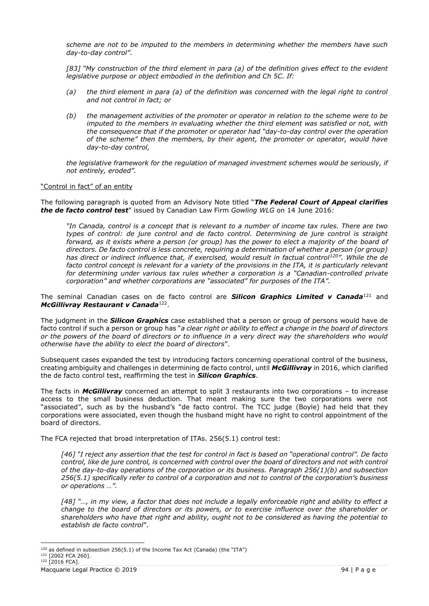*scheme are not to be imputed to the members in determining whether the members have such day-to-day control".*

*[83] "My construction of the third element in para (a) of the definition gives effect to the evident legislative purpose or object embodied in the definition and Ch 5C. If:*

- *(a) the third element in para (a) of the definition was concerned with the legal right to control and not control in fact; or*
- *(b) the management activities of the promoter or operator in relation to the scheme were to be imputed to the members in evaluating whether the third element was satisfied or not, with the consequence that if the promoter or operator had "day-to-day control over the operation of the scheme" then the members, by their agent, the promoter or operator, would have day-to-day control,*

*the legislative framework for the regulation of managed investment schemes would be seriously, if not entirely, eroded".*

# "Control in fact" of an entity

The following paragraph is quoted from an Advisory Note titled "*The Federal Court of Appeal clarifies the de facto control test*" issued by Canadian Law Firm *Gowling WLG* on 14 June 2016*:*

*"In Canada, control is a concept that is relevant to a number of income tax rules. There are two types of control: de jure control and de facto control. Determining de jure control is straight forward, as it exists where a person (or group) has the power to elect a majority of the board of directors. De facto control is less concrete, requiring a determination of whether a person (or group) has direct or indirect influence that, if exercised, would result in factual control<sup>120</sup>". While the de*  facto control concept is relevant for a variety of the provisions in the ITA, it is particularly relevant *for determining under various tax rules whether a corporation is a "Canadian-controlled private corporation" and whether corporations are "associated" for purposes of the ITA".*

The seminal Canadian cases on de facto control are *Silicon Graphics Limited v Canada*<sup>121</sup> and *McGillivray Restaurant v Canada*<sup>122</sup> .

The judgment in the *Silicon Graphics* case established that a person or group of persons would have de facto control if such a person or group has "*a clear right or ability to effect a change in the board of directors or the powers of the board of directors or to influence in a very direct way the shareholders who would otherwise have the ability to elect the board of directors*".

Subsequent cases expanded the test by introducing factors concerning operational control of the business, creating ambiguity and challenges in determining de facto control, until *McGillivray* in 2016, which clarified the de facto control test, reaffirming the test in *Silicon Graphics*.

The facts in *McGillivray* concerned an attempt to split 3 restaurants into two corporations – to increase access to the small business deduction. That meant making sure the two corporations were not "associated", such as by the husband's "de facto control. The TCC judge (Boyle) had held that they corporations were associated, even though the husband might have no right to control appointment of the board of directors.

The FCA rejected that broad interpretation of ITAs. 256(5.1) control test:

*[46] "I reject any assertion that the test for control in fact is based on "operational control". De facto control, like de jure control, is concerned with control over the board of directors and not with control of the day-to-day operations of the corporation or its business. Paragraph 256(1)(b) and subsection 256(5.1) specifically refer to control of a corporation and not to control of the corporation's business or operations …".*

*[48] "…, in my view, a factor that does not include a legally enforceable right and ability to effect a change to the board of directors or its powers, or to exercise influence over the shareholder or shareholders who have that right and ability, ought not to be considered as having the potential to establish de facto control*".

 $120$  as defined in subsection 256(5.1) of the Income Tax Act (Canada) (the "ITA")

<sup>121</sup> [2002 FCA 260].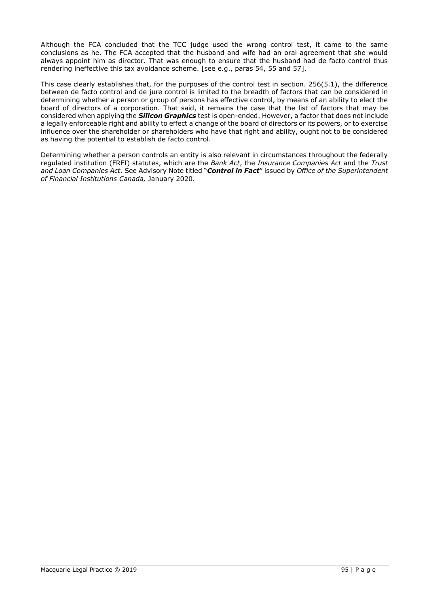Although the FCA concluded that the TCC judge used the wrong control test, it came to the same conclusions as he. The FCA accepted that the husband and wife had an oral agreement that she would always appoint him as director. That was enough to ensure that the husband had de facto control thus rendering ineffective this tax avoidance scheme. [see e.g., paras 54, 55 and 57].

This case clearly establishes that, for the purposes of the control test in section. 256(5.1), the difference between de facto control and de jure control is limited to the breadth of factors that can be considered in determining whether a person or group of persons has effective control, by means of an ability to elect the board of directors of a corporation. That said, it remains the case that the list of factors that may be considered when applying the *Silicon Graphics* test is open-ended. However, a factor that does not include a legally enforceable right and ability to effect a change of the board of directors or its powers, or to exercise influence over the shareholder or shareholders who have that right and ability, ought not to be considered as having the potential to establish de facto control.

Determining whether a person controls an entity is also relevant in circumstances throughout the federally regulated institution (FRFI) statutes, which are the *Bank Act*, the *Insurance Companies Act* and the *Trust and Loan Companies Act*. See Advisory Note titled "*Control in Fact*" issued by *Office of the Superintendent of Financial Institutions Canada,* January 2020.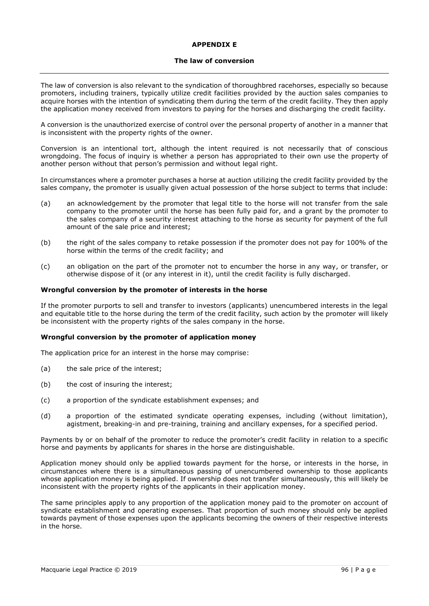# **APPENDIX E**

#### **The law of conversion**

The law of conversion is also relevant to the syndication of thoroughbred racehorses, especially so because promoters, including trainers, typically utilize credit facilities provided by the auction sales companies to acquire horses with the intention of syndicating them during the term of the credit facility. They then apply the application money received from investors to paying for the horses and discharging the credit facility.

A conversion is the unauthorized exercise of control over the personal property of another in a manner that is inconsistent with the property rights of the owner.

Conversion is an intentional tort, although the intent required is not necessarily that of conscious wrongdoing. The focus of inquiry is whether a person has appropriated to their own use the property of another person without that person's permission and without legal right.

In circumstances where a promoter purchases a horse at auction utilizing the credit facility provided by the sales company, the promoter is usually given actual possession of the horse subject to terms that include:

- (a) an acknowledgement by the promoter that legal title to the horse will not transfer from the sale company to the promoter until the horse has been fully paid for, and a grant by the promoter to the sales company of a security interest attaching to the horse as security for payment of the full amount of the sale price and interest;
- (b) the right of the sales company to retake possession if the promoter does not pay for 100% of the horse within the terms of the credit facility; and
- (c) an obligation on the part of the promoter not to encumber the horse in any way, or transfer, or otherwise dispose of it (or any interest in it), until the credit facility is fully discharged.

### **Wrongful conversion by the promoter of interests in the horse**

If the promoter purports to sell and transfer to investors (applicants) unencumbered interests in the legal and equitable title to the horse during the term of the credit facility, such action by the promoter will likely be inconsistent with the property rights of the sales company in the horse.

#### **Wrongful conversion by the promoter of application money**

The application price for an interest in the horse may comprise:

- (a) the sale price of the interest;
- (b) the cost of insuring the interest;
- (c) a proportion of the syndicate establishment expenses; and
- (d) a proportion of the estimated syndicate operating expenses, including (without limitation), agistment, breaking-in and pre-training, training and ancillary expenses, for a specified period.

Payments by or on behalf of the promoter to reduce the promoter's credit facility in relation to a specific horse and payments by applicants for shares in the horse are distinguishable.

Application money should only be applied towards payment for the horse, or interests in the horse, in circumstances where there is a simultaneous passing of unencumbered ownership to those applicants whose application money is being applied. If ownership does not transfer simultaneously, this will likely be inconsistent with the property rights of the applicants in their application money.

The same principles apply to any proportion of the application money paid to the promoter on account of syndicate establishment and operating expenses. That proportion of such money should only be applied towards payment of those expenses upon the applicants becoming the owners of their respective interests in the horse.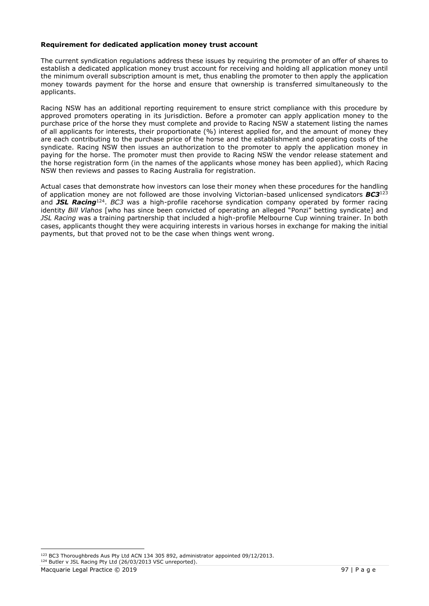### **Requirement for dedicated application money trust account**

The current syndication regulations address these issues by requiring the promoter of an offer of shares to establish a dedicated application money trust account for receiving and holding all application money until the minimum overall subscription amount is met, thus enabling the promoter to then apply the application money towards payment for the horse and ensure that ownership is transferred simultaneously to the applicants.

Racing NSW has an additional reporting requirement to ensure strict compliance with this procedure by approved promoters operating in its jurisdiction. Before a promoter can apply application money to the purchase price of the horse they must complete and provide to Racing NSW a statement listing the names of all applicants for interests, their proportionate (%) interest applied for, and the amount of money they are each contributing to the purchase price of the horse and the establishment and operating costs of the syndicate. Racing NSW then issues an authorization to the promoter to apply the application money in paying for the horse. The promoter must then provide to Racing NSW the vendor release statement and the horse registration form (in the names of the applicants whose money has been applied), which Racing NSW then reviews and passes to Racing Australia for registration.

Actual cases that demonstrate how investors can lose their money when these procedures for the handling of application money are not followed are those involving Victorian-based unlicensed syndicators *BC3*<sup>123</sup> and *JSL Racing*<sup>124</sup> . *BC3* was a high-profile racehorse syndication company operated by former racing identity *Bill Vlahos* [who has since been convicted of operating an alleged "Ponzi" betting syndicate] and *JSL Racing* was a training partnership that included a high-profile Melbourne Cup winning trainer. In both cases, applicants thought they were acquiring interests in various horses in exchange for making the initial payments, but that proved not to be the case when things went wrong.

<sup>124</sup> Butler v JSL Racing Pty Ltd (26/03/2013 VSC unreported).

<sup>123</sup> BC3 Thoroughbreds Aus Pty Ltd ACN 134 305 892, administrator appointed 09/12/2013.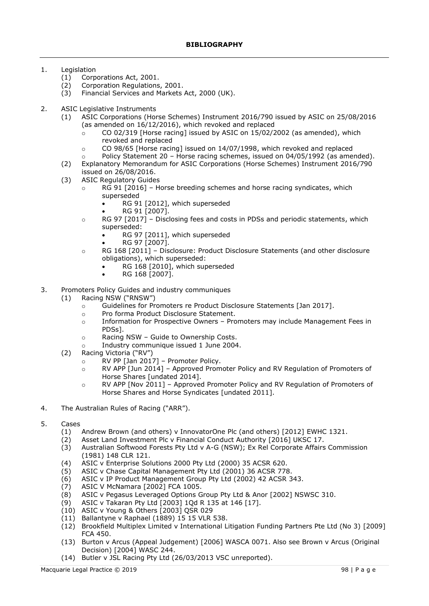# 1. Legislation

- (1) Corporations Act, 2001.
- (2) Corporation Regulations, 2001.
- (3) Financial Services and Markets Act, 2000 (UK).
- 2. ASIC Legislative Instruments
	- (1) ASIC Corporations (Horse Schemes) Instrument 2016/790 issued by ASIC on 25/08/2016 (as amended on 16/12/2016), which revoked and replaced
		- $\circ$  CO 02/319 [Horse racing] issued by ASIC on 15/02/2002 (as amended), which revoked and replaced
		- $\circ$  CO 98/65 [Horse racing] issued on 14/07/1998, which revoked and replaced
			- Policy Statement 20 Horse racing schemes, issued on 04/05/1992 (as amended).
	- (2) Explanatory Memorandum for ASIC Corporations (Horse Schemes) Instrument 2016/790 issued on 26/08/2016.
	- (3) ASIC Regulatory Guides
		- $\circ$  RG 91 [2016] Horse breeding schemes and horse racing syndicates, which superseded
			- RG 91 [2012], which superseded
			- RG 91 [2007].
		- o RG 97 [2017] Disclosing fees and costs in PDSs and periodic statements, which superseded:
			- RG 97 [2011], which superseded
			- RG 97 [2007].
		- $\circ$  RG 168 [2011] Disclosure: Product Disclosure Statements (and other disclosure obligations), which superseded:
			- RG 168 [2010], which superseded
			- RG 168 [2007].
- 3. Promoters Policy Guides and industry communiques
	- (1) Racing NSW ("RNSW")
		- o Guidelines for Promoters re Product Disclosure Statements [Jan 2017].
		- o Pro forma Product Disclosure Statement.
		- o Information for Prospective Owners Promoters may include Management Fees in PDSs].
		- o Racing NSW Guide to Ownership Costs.
		- o Industry communique issued 1 June 2004.
		- (2) Racing Victoria ("RV")
			- o RV PP [Jan 2017] Promoter Policy.
			- o RV APP [Jun 2014] Approved Promoter Policy and RV Regulation of Promoters of Horse Shares [undated 2014].
			- o RV APP [Nov 2011] Approved Promoter Policy and RV Regulation of Promoters of Horse Shares and Horse Syndicates [undated 2011].
- 4. The Australian Rules of Racing ("ARR").
- 5. Cases
	- (1) Andrew Brown (and others) v InnovatorOne Plc (and others) [2012] EWHC 1321.
	- (2) Asset Land Investment Plc v Financial Conduct Authority [2016] UKSC 17.
	- (3) Australian Softwood Forests Pty Ltd v A-G (NSW); Ex Rel Corporate Affairs Commission (1981) 148 CLR 121.
	- (4) ASIC v Enterprise Solutions 2000 Pty Ltd (2000) 35 ACSR 620.
	- ASIC v Chase Capital Management Pty Ltd (2001) 36 ACSR 778.
	- (6) ASIC v IP Product Management Group Pty Ltd (2002) 42 ACSR 343.
	- (7) ASIC V McNamara [2002] FCA 1005.
	- (8) ASIC v Pegasus Leveraged Options Group Pty Ltd & Anor [2002] NSWSC 310.
	- (9) ASIC v Takaran Pty Ltd [2003] 1Qd R 135 at 146 [17].
	- (10) ASIC v Young & Others [2003] QSR 029
	- (11) Ballantyne v Raphael (1889) 15 15 VLR 538.
	- (12) Brookfield Multiplex Limited v International Litigation Funding Partners Pte Ltd (No 3) [2009] FCA 450.
	- (13) Burton v Arcus (Appeal Judgement) [2006] WASCA 0071. Also see Brown v Arcus (Original Decision) [2004] WASC 244.
	- (14) Butler v JSL Racing Pty Ltd (26/03/2013 VSC unreported).